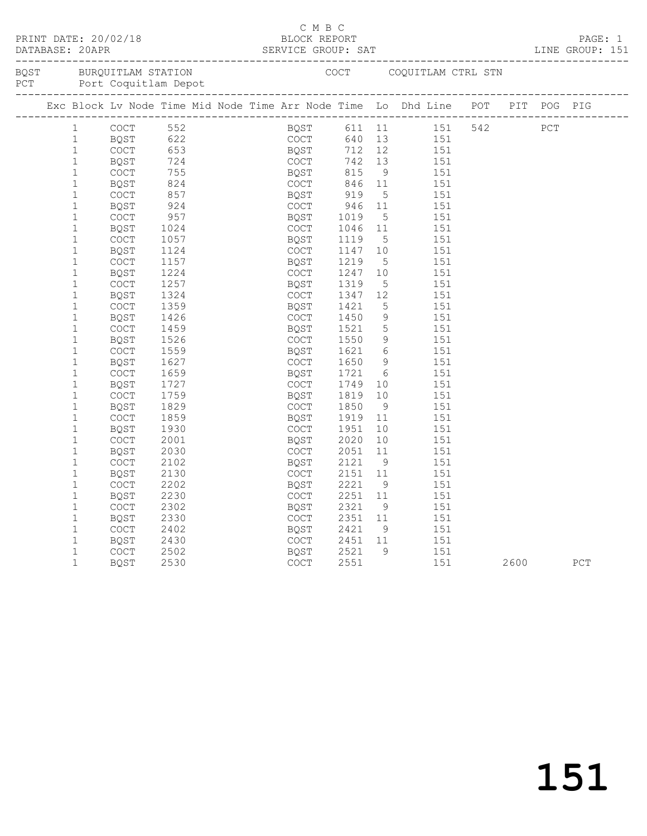| PRINT DATE: 20/02/18<br>DATABASE: 20APR |             |      |  | C M B C                                    |      |                 | BLOCK REPORT<br>SERVICE GROUP: SAT                                                                                 |      |     | PAGE: 1<br>LINE GROUP: 151 |
|-----------------------------------------|-------------|------|--|--------------------------------------------|------|-----------------|--------------------------------------------------------------------------------------------------------------------|------|-----|----------------------------|
|                                         |             |      |  |                                            |      |                 |                                                                                                                    |      |     |                            |
|                                         |             |      |  |                                            |      |                 | Exc Block Lv Node Time Mid Node Time Arr Node Time Lo Dhd Line POT PIT POG PIG                                     |      |     |                            |
| $\mathbf{1}$                            | <b>COCT</b> |      |  |                                            |      |                 | 552 BQST 611 11 151 542<br>622 COCT 640 13 151<br>653 BQST 712 12 151<br>724 COCT 742 13 151<br>755 BQST 815 9 151 |      | PCT |                            |
| $\mathbf{1}$                            | BQST        |      |  |                                            |      |                 |                                                                                                                    |      |     |                            |
| $\mathbf{1}$                            | COCT        |      |  |                                            |      |                 |                                                                                                                    |      |     |                            |
| $\mathbf{1}$                            | BQST        |      |  |                                            |      |                 |                                                                                                                    |      |     |                            |
| $\mathbf{1}$                            | COCT        |      |  |                                            |      |                 |                                                                                                                    |      |     |                            |
| $\mathbf{1}$                            | BQST        | 824  |  | COCT                                       | 846  | 11              | 151                                                                                                                |      |     |                            |
| $\mathbf{1}$                            | <b>COCT</b> | 857  |  | BOST                                       | 919  | $5^{\circ}$     | 151                                                                                                                |      |     |                            |
| $\mathbf{1}$                            | BQST        | 924  |  | COCT                                       | 946  | 11              | 151                                                                                                                |      |     |                            |
| $1\,$                                   | COCT        | 957  |  | BQST                                       | 1019 | $5^{\circ}$     | 151                                                                                                                |      |     |                            |
| $\mathbf{1}$                            | <b>BOST</b> | 1024 |  | <b>COCT</b>                                | 1046 | 11              | 151                                                                                                                |      |     |                            |
| $\mathbf{1}$                            | <b>COCT</b> | 1057 |  | BQST                                       | 1119 | 5               | 151                                                                                                                |      |     |                            |
| $\mathbf{1}$                            | BQST        | 1124 |  | <b>COCT</b>                                | 1147 | 10              | 151                                                                                                                |      |     |                            |
| $\mathbf{1}$                            | COCT        | 1157 |  | BQST                                       | 1219 | 5               | 151                                                                                                                |      |     |                            |
| $\mathbf{1}$                            | BQST        | 1224 |  | <b>COCT</b>                                | 1247 | 10              | 151                                                                                                                |      |     |                            |
| $\mathbf{1}$                            | COCT        | 1257 |  | BQST                                       | 1319 | 5               | 151                                                                                                                |      |     |                            |
| $\mathbf{1}$                            | BQST        | 1324 |  | COCT                                       | 1347 | 12              | 151                                                                                                                |      |     |                            |
| $\mathbf{1}$                            | <b>COCT</b> | 1359 |  | BQST                                       | 1421 | 5               | 151                                                                                                                |      |     |                            |
| $\mathbf{1}$                            | <b>BOST</b> | 1426 |  | <b>COCT</b>                                | 1450 | $\mathcal{G}$   | 151                                                                                                                |      |     |                            |
| $\mathbf{1}$                            | COCT        | 1459 |  | BQST                                       | 1521 | $5\phantom{.0}$ | 151                                                                                                                |      |     |                            |
| $\mathbf 1$                             | BQST        | 1526 |  | <b>COCT</b>                                | 1550 | 9               | 151                                                                                                                |      |     |                            |
| $\mathbf{1}$                            | <b>COCT</b> | 1559 |  | BQST                                       | 1621 | 6               | 151                                                                                                                |      |     |                            |
| $\mathbf{1}$                            | BQST        | 1627 |  | <b>COCT</b>                                | 1650 | 9               | 151                                                                                                                |      |     |                            |
| $\mathbf{1}$                            | COCT        | 1659 |  | BQST                                       | 1721 | 6               | 151                                                                                                                |      |     |                            |
| $\mathbf{1}$                            | BQST        | 1727 |  | <b>COCT</b>                                | 1749 | 10              | 151                                                                                                                |      |     |                            |
| $\mathbf{1}$                            | <b>COCT</b> | 1759 |  | BQST                                       | 1819 | 10              | 151                                                                                                                |      |     |                            |
| $\mathbf{1}$                            | BQST        | 1829 |  | <b>COCT</b>                                | 1850 | - 9             | 151                                                                                                                |      |     |                            |
| $1\,$                                   | COCT        | 1859 |  | BQST                                       | 1919 | 11              | 151                                                                                                                |      |     |                            |
| $\mathbf 1$                             | <b>BOST</b> | 1930 |  | COCT                                       | 1951 | 10              | 151                                                                                                                |      |     |                            |
| $\mathbf 1$                             | <b>COCT</b> | 2001 |  | BQST                                       | 2020 | 10              | 151                                                                                                                |      |     |                            |
| $1\,$                                   | BQST        | 2030 |  | $\mathtt{C}\mathtt{O}\mathtt{C}\mathtt{T}$ | 2051 | 11              | 151                                                                                                                |      |     |                            |
| $1\,$                                   | <b>COCT</b> | 2102 |  | BQST                                       | 2121 | 9               | 151                                                                                                                |      |     |                            |
| $\mathbf 1$                             | BQST        | 2130 |  | <b>COCT</b>                                | 2151 | 11              | 151                                                                                                                |      |     |                            |
| $\mathbf{1}$                            | <b>COCT</b> | 2202 |  | BQST                                       | 2221 | 9 <sup>°</sup>  | 151                                                                                                                |      |     |                            |
| $\mathbf{1}$                            | BQST        | 2230 |  | COCT                                       | 2251 | 11              | 151                                                                                                                |      |     |                            |
| $\mathbf{1}$                            | COCT        | 2302 |  | BQST                                       | 2321 | - 9             | 151                                                                                                                |      |     |                            |
| $\mathbf{1}$                            | BQST        | 2330 |  | COCT                                       | 2351 | 11              | 151                                                                                                                |      |     |                            |
| $\mathbf{1}$                            | COCT        | 2402 |  | BQST                                       | 2421 | 9               | 151                                                                                                                |      |     |                            |
| $\mathbf 1$                             | BQST        | 2430 |  | <b>COCT</b>                                | 2451 | 11              | 151                                                                                                                |      |     |                            |
| $\mathbf 1$                             | <b>COCT</b> | 2502 |  | <b>BOST</b>                                | 2521 | 9               | 151                                                                                                                |      |     |                            |
| $\mathbf{1}$                            | BQST        | 2530 |  | <b>COCT</b>                                | 2551 |                 | 151                                                                                                                | 2600 |     | PCT                        |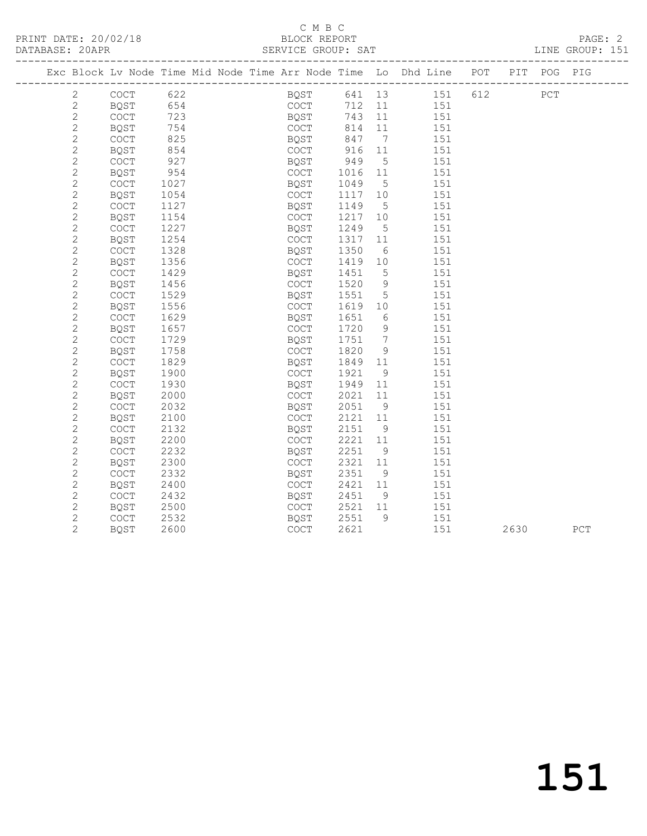|                |                                            |      |  |                                            |        |                 | Exc Block Lv Node Time Mid Node Time Arr Node Time Lo Dhd Line POT PIT POG PIG |     |      |             |     |
|----------------|--------------------------------------------|------|--|--------------------------------------------|--------|-----------------|--------------------------------------------------------------------------------|-----|------|-------------|-----|
| $\mathbf{2}$   | $\operatorname{COT}$                       | 622  |  | BQST                                       |        |                 | 641 13 151                                                                     | 612 |      | ${\tt PCT}$ |     |
| $\sqrt{2}$     | BQST                                       | 654  |  | COCT                                       | 712 11 |                 | 151                                                                            |     |      |             |     |
| $\overline{c}$ | $\mathtt{C}\mathtt{O}\mathtt{C}\mathtt{T}$ | 723  |  | BQST                                       | 743    | 11              | 151                                                                            |     |      |             |     |
| $\mathbf{2}$   | BQST                                       | 754  |  | COCT                                       | 814    | 11              | 151                                                                            |     |      |             |     |
| 2              | <b>COCT</b>                                | 825  |  | BQST                                       | 847    | 7               | 151                                                                            |     |      |             |     |
| $\mathbf{2}$   | <b>BQST</b>                                | 854  |  | COCT                                       | 916    | 11              | 151                                                                            |     |      |             |     |
| $\mathbf{2}$   | $\mathtt{C}\mathtt{O}\mathtt{C}\mathtt{T}$ | 927  |  | BQST                                       | 949    | 5               | 151                                                                            |     |      |             |     |
| $\mathbf{2}$   | BQST                                       | 954  |  | COCT                                       | 1016   | 11              | 151                                                                            |     |      |             |     |
| $\mathbf{2}$   | COCT                                       | 1027 |  | BQST                                       | 1049   | $5\phantom{.0}$ | 151                                                                            |     |      |             |     |
| $\overline{c}$ | <b>BQST</b>                                | 1054 |  | COCT                                       | 1117   | 10              | 151                                                                            |     |      |             |     |
| $\mathbf{2}$   | COCT                                       | 1127 |  | BQST                                       | 1149   | 5               | 151                                                                            |     |      |             |     |
| $\mathbf{2}$   | <b>BQST</b>                                | 1154 |  | COCT                                       | 1217   | 10              | 151                                                                            |     |      |             |     |
| $\mathbf{2}$   | <b>COCT</b>                                | 1227 |  | BQST                                       | 1249   | 5               | 151                                                                            |     |      |             |     |
| $\mathbf{2}$   | <b>BQST</b>                                | 1254 |  | COCT                                       | 1317   | 11              | 151                                                                            |     |      |             |     |
| $\mathbf{2}$   | COCT                                       | 1328 |  | BQST                                       | 1350   | 6               | 151                                                                            |     |      |             |     |
| $\mathbf{2}$   | <b>BQST</b>                                | 1356 |  | <b>COCT</b>                                | 1419   | 10              | 151                                                                            |     |      |             |     |
| $\sqrt{2}$     | $\mathtt{C}\mathtt{O}\mathtt{C}\mathtt{T}$ | 1429 |  | BQST                                       | 1451   | $5\phantom{.0}$ | 151                                                                            |     |      |             |     |
| $\mathbf{2}$   | <b>BQST</b>                                | 1456 |  | <b>COCT</b>                                | 1520   | 9               | 151                                                                            |     |      |             |     |
| $\overline{c}$ | $\mathtt{C}\mathtt{O}\mathtt{C}\mathtt{T}$ | 1529 |  | BQST                                       | 1551   | $5\phantom{.0}$ | 151                                                                            |     |      |             |     |
| $\mathbf{2}$   | <b>BQST</b>                                | 1556 |  | COCT                                       | 1619   | 10              | 151                                                                            |     |      |             |     |
| $\overline{c}$ | $\mathtt{C}\mathtt{O}\mathtt{C}\mathtt{T}$ | 1629 |  | BQST                                       | 1651   | $6\,$           | 151                                                                            |     |      |             |     |
| $\mathbf{2}$   | <b>BQST</b>                                | 1657 |  | COCT                                       | 1720   | 9               | 151                                                                            |     |      |             |     |
| $\mathbf{2}$   | COCT                                       | 1729 |  | BQST                                       | 1751   | $7\phantom{.0}$ | 151                                                                            |     |      |             |     |
| $\overline{c}$ | BQST                                       | 1758 |  | COCT                                       | 1820   | 9               | 151                                                                            |     |      |             |     |
| $\mathbf{2}$   | COCT                                       | 1829 |  | BQST                                       | 1849   | 11              | 151                                                                            |     |      |             |     |
| $\mathbf{2}$   | <b>BQST</b>                                | 1900 |  | COCT                                       | 1921   | 9               | 151                                                                            |     |      |             |     |
| $\mathbf{2}$   | <b>COCT</b>                                | 1930 |  | BQST                                       | 1949   | 11              | 151                                                                            |     |      |             |     |
| $\mathbf{2}$   | <b>BQST</b>                                | 2000 |  | COCT                                       | 2021   | 11              | 151                                                                            |     |      |             |     |
| $\mathbf{2}$   | COCT                                       | 2032 |  | BQST                                       | 2051   | 9               | 151                                                                            |     |      |             |     |
| $\overline{c}$ | <b>BQST</b>                                | 2100 |  | COCT                                       | 2121   | 11              | 151                                                                            |     |      |             |     |
| $\mathbf{2}$   | $\mathtt{C}\mathtt{O}\mathtt{C}\mathtt{T}$ | 2132 |  | BQST                                       | 2151   | - 9             | 151                                                                            |     |      |             |     |
| $\mathbf{2}$   | <b>BQST</b>                                | 2200 |  | $\mathtt{C}\mathtt{O}\mathtt{C}\mathtt{T}$ | 2221   | 11              | 151                                                                            |     |      |             |     |
| $\overline{c}$ | <b>COCT</b>                                | 2232 |  | BQST                                       | 2251   | 9               | 151                                                                            |     |      |             |     |
| 2              | <b>BQST</b>                                | 2300 |  | <b>COCT</b>                                | 2321   | 11              | 151                                                                            |     |      |             |     |
| $\mathbf{2}$   | $\mathtt{C}\mathtt{O}\mathtt{C}\mathtt{T}$ | 2332 |  | BQST                                       | 2351   | 9               | 151                                                                            |     |      |             |     |
| $\mathbf{2}$   | BQST                                       | 2400 |  | <b>COCT</b>                                | 2421   | 11              | 151                                                                            |     |      |             |     |
| $\mathbf{2}$   | COCT                                       | 2432 |  | BQST                                       | 2451   | 9               | 151                                                                            |     |      |             |     |
| $\mathbf{2}$   | BQST                                       | 2500 |  | <b>COCT</b>                                | 2521   | 11              | 151                                                                            |     |      |             |     |
| $\overline{c}$ | $\mathtt{C}\mathtt{O}\mathtt{C}\mathtt{T}$ | 2532 |  | BQST                                       | 2551   | 9               | 151                                                                            |     |      |             |     |
| $\overline{2}$ | <b>BQST</b>                                | 2600 |  | COCT                                       | 2621   |                 | 151                                                                            |     | 2630 |             | PCT |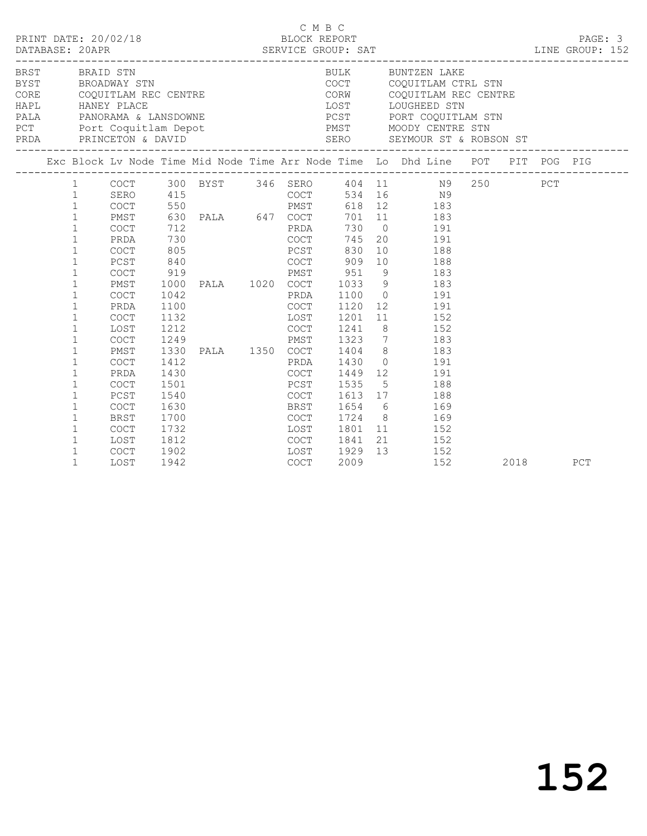|                |                                                                                                                                                                                          |                                                                                                                                                                                |                                                                                                              |                                                                                                                   | C M B C                                                                                                                          |                                                              | PRINT DATE: 20/02/18<br>BLOCK REPORT BLOCK PRESSERIE BATABASE: 20APR SERVICE GROUP: SAT LINE GROUP: 152                                                                                                                                                                                                                                        |  |      |     |
|----------------|------------------------------------------------------------------------------------------------------------------------------------------------------------------------------------------|--------------------------------------------------------------------------------------------------------------------------------------------------------------------------------|--------------------------------------------------------------------------------------------------------------|-------------------------------------------------------------------------------------------------------------------|----------------------------------------------------------------------------------------------------------------------------------|--------------------------------------------------------------|------------------------------------------------------------------------------------------------------------------------------------------------------------------------------------------------------------------------------------------------------------------------------------------------------------------------------------------------|--|------|-----|
| BRST BRAID STN |                                                                                                                                                                                          |                                                                                                                                                                                |                                                                                                              | BRST BRAID STN<br>BYST BROADWAY STN<br>CORE COQUITLAM REC CENTRE<br>HAPL HANEY PLACE<br>PALA PANORAMA & LANSDOWNE |                                                                                                                                  |                                                              | BULK BUNTZEN LAKE<br>COCT COQUITLAM CTRL STN<br>CORW COQUITLAM REC CENTRE<br>LOST LOUGHEED STN<br>PCST PORT COQUITLAM STN                                                                                                                                                                                                                      |  |      |     |
|                |                                                                                                                                                                                          |                                                                                                                                                                                |                                                                                                              |                                                                                                                   |                                                                                                                                  |                                                              | Exc Block Lv Node Time Mid Node Time Arr Node Time Lo Dhd Line POT PIT POG PIG                                                                                                                                                                                                                                                                 |  |      |     |
|                | $\mathbf{1}$<br>$\mathbf{1}$<br>$\mathbf{1}$<br>$\mathbf{1}$<br>$\mathbf{1}$<br>$\mathbf{1}$<br>$\mathbf{1}$<br>$\mathbf 1$<br>$\mathbf{1}$                                              | PMST<br><b>COCT</b><br>PRDA<br>COCT<br>PCST<br>COCT<br>PMST<br>COCT<br>PRDA                                                                                                    | 712<br>730<br>805<br>840<br>919<br>1000<br>1042<br>1100                                                      | 630 PALA 647 COCT<br><b>COCT</b>                                                                                  | <b>EXPRESS PRDA</b><br>PCST<br>PRDA<br>COCT                                                                                      | 745<br>830                                                   | $\begin{tabular}{lllllllll} 1 & COCT & 300 BYST & 346 SERO & 404 & 11 & N9 & 250 & PCT \\ 1 & SERO & 415 & COCT & 534 & 16 & N9 \\ 1 & COCT & 550 & PMST & 618 & 12 & 183 \\ \end{tabular}$<br>701 11 183<br>730 0 191<br>20 191<br>10 188<br>COCT 909 10 188<br>PMST 951 9 183<br>PALA 1020 COCT 1033 9 183<br>PRDA 1100 0 191<br>1120 12 191 |  |      |     |
|                | $\mathbf{1}$<br>$\mathbf{1}$<br>$\mathbf{1}$<br>1<br>1<br>$\mathbf{1}$<br>$\mathbf 1$<br>$\mathbf 1$<br>$\mathbf 1$<br>$\mathbf{1}$<br>$\mathbf{1}$<br>$\mathbf{1}$<br>1<br>$\mathbf{1}$ | <b>COCT</b><br>LOST<br>$\mathtt{C}\mathtt{O}\mathtt{C}\mathtt{T}$<br>PMST<br><b>COCT</b><br>PRDA<br>COCT<br>PCST<br><b>COCT</b><br>BRST<br>COCT<br>LOST<br><b>COCT</b><br>LOST | 1132<br>1212<br>1249<br>1330<br>1412<br>1430<br>1501<br>1540<br>1630<br>1700<br>1732<br>1812<br>1902<br>1942 | PALA 1350 COCT<br>LOST<br><b>COCT</b>                                                                             | <b>Example 1988</b><br><b>COCT</b><br>PMST<br>PRDA<br>FRDA<br>COCT<br>PCST<br>COCT<br><b>BRST</b><br><b>COCT</b><br>LOST<br>COCT | 1241<br>1430<br>1449<br>1535<br>1801<br>1841<br>1929<br>2009 | 1201 11 152<br>8 152<br>1323 7 183<br>1404 8 183<br>$\begin{array}{ccc} 0 & \hspace{1.5cm} & 191 \\ 12 & \hspace{1.5cm} & 191 \end{array}$<br>$\frac{1}{5}$ $\frac{1}{188}$<br>1613 17 188<br>1654 6 169<br>1724 8 169<br>11 152<br>21 152<br>13 152<br>152                                                                                    |  | 2018 | PCT |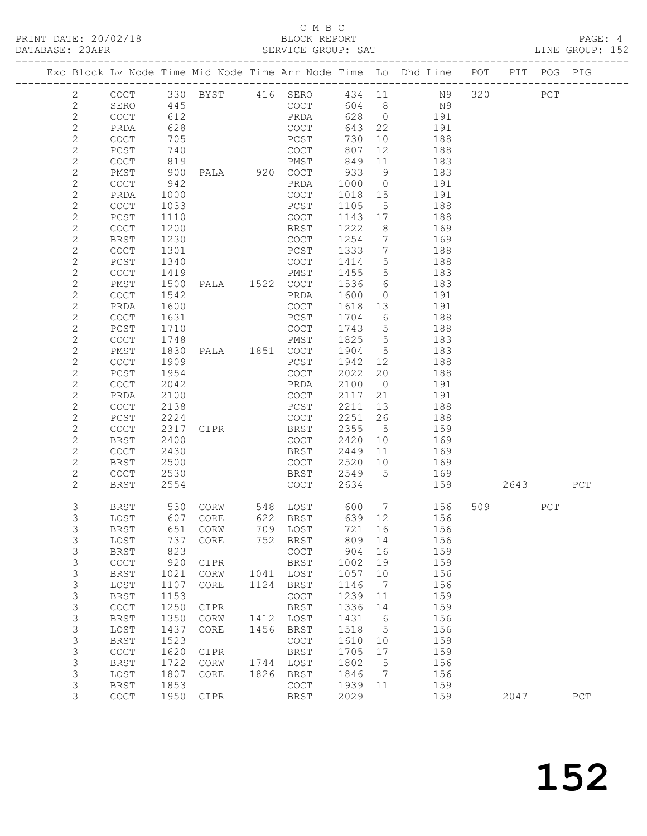|                            |                                            |              |                         |      |                                            |              |                 | Exc Block Lv Node Time Mid Node Time Arr Node Time Lo Dhd Line POT |        |          | PIT POG PIG |     |
|----------------------------|--------------------------------------------|--------------|-------------------------|------|--------------------------------------------|--------------|-----------------|--------------------------------------------------------------------|--------|----------|-------------|-----|
|                            |                                            |              |                         |      |                                            |              |                 |                                                                    |        |          |             |     |
| $\overline{2}$             |                                            |              |                         |      |                                            |              |                 | COCT 330 BYST 416 SERO 434 11 N9 320 PCT<br>SERO 445 COCT 604 8 N9 |        |          |             |     |
| 2<br>$\sqrt{2}$            |                                            | 612          |                         |      | PRDA                                       |              |                 | 628 0 191                                                          |        |          |             |     |
| $\mathbf{2}$               | COCT<br>PRDA                               | 628          |                         |      | COCT                                       | 643 22       |                 | 191                                                                |        |          |             |     |
| $\sqrt{2}$                 | COCT                                       | 705          |                         |      | PCST                                       | 730          | 10              | 188                                                                |        |          |             |     |
| $\mathbf{2}$               | PCST                                       | 740          |                         |      | $\frac{1}{2}$                              | 807          | 12              | 188                                                                |        |          |             |     |
| $\mathbf{2}$               | COCT                                       | 819          |                         |      | PMST                                       | 849          | 11              | 183                                                                |        |          |             |     |
| $\mathbf{2}$               | PMST                                       | 900          | PALA 920 COCT           |      |                                            | 933          | 9               | 183                                                                |        |          |             |     |
| $\overline{c}$             | $\mathtt{C}\mathtt{O}\mathtt{C}\mathtt{T}$ | 942          |                         |      | PRDA                                       | 1000 0       |                 | 191                                                                |        |          |             |     |
| $\mathbf{2}$               | PRDA                                       | 1000         |                         |      | COCT                                       | 1018 15      |                 | 191                                                                |        |          |             |     |
| $\mathbf{2}$               | COCT                                       | 1033         |                         |      | PCST                                       | 1105         | $5^{\circ}$     | 188                                                                |        |          |             |     |
| $\mathbf{2}$               | PCST                                       | 1110         |                         |      | COCT                                       | 1143 17      |                 | 188                                                                |        |          |             |     |
| $\mathbf{2}$               | COCT                                       | 1200         |                         |      | BRST                                       | 1222         | 8 <sup>8</sup>  | 169                                                                |        |          |             |     |
| $\mathbf{2}$               | BRST                                       | 1230         |                         |      | COCT                                       | 1254         | $\overline{7}$  | 169                                                                |        |          |             |     |
| $\mathbf{2}$               | COCT                                       | 1301         |                         |      | PCST                                       | 1333         | $\overline{7}$  | 188                                                                |        |          |             |     |
| $\mathbf{2}$               | PCST                                       | 1340         |                         |      | COCT                                       | 1414         | $5\overline{)}$ | 188                                                                |        |          |             |     |
| $\mathbf{2}$               | COCT                                       | 1419         |                         |      | PMST                                       | 1455         | 5               | 183                                                                |        |          |             |     |
| $\mathbf{2}$               | PMST                                       | 1500         |                         |      |                                            | 1536         | $6\overline{6}$ | 183                                                                |        |          |             |     |
| $\mathbf{2}$               | COCT                                       | 1542         |                         |      | PRDA                                       | 1600         | $\overline{0}$  | 191                                                                |        |          |             |     |
| $\mathbf{2}$               | PRDA                                       | 1600         |                         |      | COCT                                       | 1618 13      |                 | 191                                                                |        |          |             |     |
| $\mathbf{2}$               | <b>COCT</b>                                | 1631         |                         |      | PCST                                       | 1704         | 6               | 188                                                                |        |          |             |     |
| $\mathbf{2}$               | PCST                                       | 1710         |                         |      | COCT                                       | 1743 5       |                 | 188                                                                |        |          |             |     |
| $\mathbf{2}$               | COCT                                       | 1748         |                         |      | PMST                                       | 1825         | $5\overline{)}$ | 183                                                                |        |          |             |     |
| $\mathbf{2}$               | PMST                                       | 1830         | PALA 1851 COCT          |      |                                            | 1904 5       |                 | 183                                                                |        |          |             |     |
| $\mathbf{2}$<br>$\sqrt{2}$ | COCT                                       | 1909         |                         |      | PCST                                       | 1942<br>2022 | 12<br>20        | 188                                                                |        |          |             |     |
| $\mathbf{2}$               | PCST<br>COCT                               | 1954<br>2042 |                         |      | COCT<br>PRDA                               | 2100 0       |                 | 188<br>191                                                         |        |          |             |     |
| $\mathbf{2}$               | PRDA                                       | 2100         |                         |      | COCT                                       | 2117         | 21              | 191                                                                |        |          |             |     |
| $\mathbf{2}$               | COCT                                       | 2138         |                         |      | PCST                                       | 2211         | 13              | 188                                                                |        |          |             |     |
| $\mathbf{2}$               | PCST                                       | 2224         |                         |      | COCT                                       | 2251         | 26              | 188                                                                |        |          |             |     |
| $\mathbf{2}$               | COCT                                       | 2317         | CIPR                    |      | BRST                                       | 2355         | $5\overline{)}$ | 159                                                                |        |          |             |     |
| $\mathbf{2}$               | BRST                                       | 2400         |                         |      | COCT                                       | 2420         | 10              | 169                                                                |        |          |             |     |
| $\mathbf{2}$               | COCT                                       | 2430         |                         |      | BRST                                       | 2449         | 11              | 169                                                                |        |          |             |     |
| $\overline{c}$             | BRST                                       | 2500         |                         |      | COCT                                       | 2520         | 10              | 169                                                                |        |          |             |     |
| $\overline{c}$             | COCT                                       | 2530         |                         |      | BRST                                       | 2549 5       |                 | 169                                                                |        |          |             |     |
| $\mathbf{2}$               | BRST                                       | 2554         |                         |      | COCT                                       | 2634         |                 |                                                                    | 159 30 | 2643 PCT |             |     |
| 3                          | BRST                                       |              | 530 CORW 548 LOST 600 7 |      |                                            |              |                 | 156                                                                |        | 509      | PCT         |     |
| 3                          | LOST                                       |              | 607 CORE                |      | 622 BRST                                   | 639 12       |                 | 156                                                                |        |          |             |     |
| 3                          | BRST                                       |              | 651 CORW                |      | 709 LOST                                   | 721 16       |                 | 156                                                                |        |          |             |     |
| 3                          | LOST                                       | 737          | CORE                    | 752  | BRST                                       | 809          | 14              | 156                                                                |        |          |             |     |
| 3                          | <b>BRST</b>                                | 823          |                         |      | $\mathtt{C}\mathtt{O}\mathtt{C}\mathtt{T}$ | 904          | 16              | 159                                                                |        |          |             |     |
| $\mathsf S$                | COCT                                       | 920          | CIPR                    |      | BRST                                       | 1002         | 19              | 159                                                                |        |          |             |     |
| $\mathsf 3$                | <b>BRST</b>                                | 1021         | CORW                    | 1041 | LOST                                       | 1057         | 10              | 156                                                                |        |          |             |     |
| $\mathsf S$                | LOST                                       | 1107         | CORE                    | 1124 | BRST                                       | 1146         | $\overline{7}$  | 156                                                                |        |          |             |     |
| $\mathsf S$                | <b>BRST</b>                                | 1153         |                         |      | COCT                                       | 1239         | 11              | 159                                                                |        |          |             |     |
| $\mathsf S$                | COCT                                       | 1250         | CIPR                    |      | <b>BRST</b>                                | 1336         | 14              | 159                                                                |        |          |             |     |
| $\mathsf 3$                | <b>BRST</b>                                | 1350         | CORW                    | 1412 | LOST                                       | 1431         | $6\overline{6}$ | 156                                                                |        |          |             |     |
| $\mathsf 3$                | LOST                                       | 1437         | CORE                    | 1456 | BRST                                       | 1518         | $5^{\circ}$     | 156                                                                |        |          |             |     |
| $\mathsf S$                | <b>BRST</b>                                | 1523         |                         |      | COCT                                       | 1610         | 10              | 159                                                                |        |          |             |     |
| $\mathsf S$                | COCT                                       | 1620         | CIPR                    |      | <b>BRST</b>                                | 1705         | 17              | 159                                                                |        |          |             |     |
| $\mathsf S$                | <b>BRST</b>                                | 1722         | CORW                    |      | 1744 LOST                                  | 1802         | $5\phantom{.0}$ | 156                                                                |        |          |             |     |
| $\mathsf 3$                | LOST                                       | 1807         | CORE                    | 1826 | BRST                                       | 1846         | $\overline{7}$  | 156                                                                |        |          |             |     |
| 3<br>3                     | <b>BRST</b>                                | 1853         |                         |      | COCT                                       | 1939         | 11              | 159                                                                |        |          |             |     |
|                            | COCT                                       | 1950         | CIPR                    |      | BRST                                       | 2029         |                 | 159                                                                |        | 2047     |             | PCT |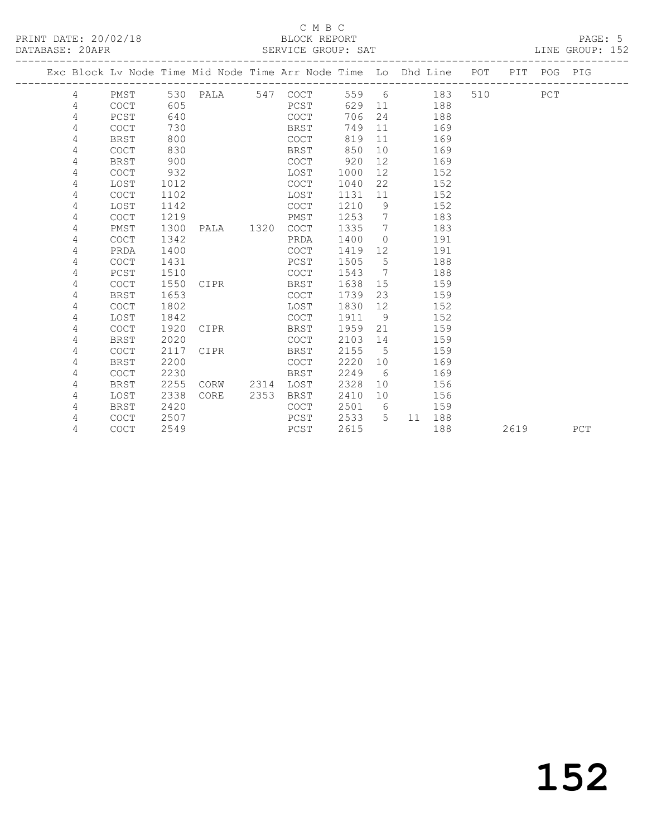## C M B C<br>BLOCK REPORT

LINE GROUP: 152

|  |   |             |      | Exc Block Lv Node Time Mid Node Time Arr Node Time Lo Dhd Line POT |      |             |       |                              |    |     |     |      | PIT POG PIG |     |
|--|---|-------------|------|--------------------------------------------------------------------|------|-------------|-------|------------------------------|----|-----|-----|------|-------------|-----|
|  | 4 | PMST        |      | 530 PALA 547 COCT                                                  |      |             | 559 6 |                              |    | 183 | 510 |      | PCT         |     |
|  | 4 | COCT        | 605  |                                                                    |      | PCST        | 629   | 11                           |    | 188 |     |      |             |     |
|  | 4 | PCST        | 640  |                                                                    |      | COCT        | 706   | 24                           |    | 188 |     |      |             |     |
|  | 4 | <b>COCT</b> | 730  |                                                                    |      | BRST        | 749   | 11                           |    | 169 |     |      |             |     |
|  | 4 | <b>BRST</b> | 800  |                                                                    |      | COCT        | 819   | 11                           |    | 169 |     |      |             |     |
|  | 4 | <b>COCT</b> | 830  |                                                                    |      | BRST        | 850   | 10                           |    | 169 |     |      |             |     |
|  | 4 | <b>BRST</b> | 900  |                                                                    |      | COCT        | 920   | 12                           |    | 169 |     |      |             |     |
|  | 4 | <b>COCT</b> | 932  |                                                                    |      | LOST        | 1000  | 12                           |    | 152 |     |      |             |     |
|  | 4 | LOST        | 1012 |                                                                    |      | COCT        | 1040  | 22                           |    | 152 |     |      |             |     |
|  | 4 | <b>COCT</b> | 1102 |                                                                    |      | LOST        | 1131  | 11                           |    | 152 |     |      |             |     |
|  | 4 | LOST        | 1142 |                                                                    |      | <b>COCT</b> | 1210  | 9                            |    | 152 |     |      |             |     |
|  | 4 | <b>COCT</b> | 1219 |                                                                    |      | PMST        | 1253  | $\overline{7}$               |    | 183 |     |      |             |     |
|  | 4 | PMST        | 1300 | PALA                                                               | 1320 | COCT        | 1335  | 7                            |    | 183 |     |      |             |     |
|  | 4 | <b>COCT</b> | 1342 |                                                                    |      | PRDA        | 1400  | $\Omega$                     |    | 191 |     |      |             |     |
|  | 4 | PRDA        | 1400 |                                                                    |      | COCT        | 1419  | 12                           |    | 191 |     |      |             |     |
|  | 4 | COCT        | 1431 |                                                                    |      | PCST        | 1505  | $5\phantom{.0}$              |    | 188 |     |      |             |     |
|  | 4 | PCST        | 1510 |                                                                    |      | <b>COCT</b> | 1543  | $7\phantom{.0}\phantom{.0}7$ |    | 188 |     |      |             |     |
|  | 4 | COCT        | 1550 | CIPR                                                               |      | BRST        | 1638  | 15                           |    | 159 |     |      |             |     |
|  | 4 | <b>BRST</b> | 1653 |                                                                    |      | <b>COCT</b> | 1739  | 23                           |    | 159 |     |      |             |     |
|  | 4 | <b>COCT</b> | 1802 |                                                                    |      | LOST        | 1830  | 12                           |    | 152 |     |      |             |     |
|  | 4 | LOST        | 1842 |                                                                    |      | <b>COCT</b> | 1911  | 9                            |    | 152 |     |      |             |     |
|  | 4 | <b>COCT</b> | 1920 | CIPR                                                               |      | BRST        | 1959  | 21                           |    | 159 |     |      |             |     |
|  | 4 | <b>BRST</b> | 2020 |                                                                    |      | COCT        | 2103  | 14                           |    | 159 |     |      |             |     |
|  | 4 | <b>COCT</b> | 2117 | CIPR                                                               |      | <b>BRST</b> | 2155  | 5                            |    | 159 |     |      |             |     |
|  | 4 | <b>BRST</b> | 2200 |                                                                    |      | <b>COCT</b> | 2220  | 10                           |    | 169 |     |      |             |     |
|  | 4 | <b>COCT</b> | 2230 |                                                                    |      | <b>BRST</b> | 2249  | 6                            |    | 169 |     |      |             |     |
|  | 4 | <b>BRST</b> | 2255 | CORW                                                               | 2314 | LOST        | 2328  | 10                           |    | 156 |     |      |             |     |
|  | 4 | LOST        | 2338 | <b>CORE</b>                                                        | 2353 | <b>BRST</b> | 2410  | 10                           |    | 156 |     |      |             |     |
|  | 4 | <b>BRST</b> | 2420 |                                                                    |      | <b>COCT</b> | 2501  | - 6                          |    | 159 |     |      |             |     |
|  | 4 | <b>COCT</b> | 2507 |                                                                    |      | PCST        | 2533  | $5^{\circ}$                  | 11 | 188 |     |      |             |     |
|  | 4 | <b>COCT</b> | 2549 |                                                                    |      | PCST        | 2615  |                              |    | 188 |     | 2619 |             | PCT |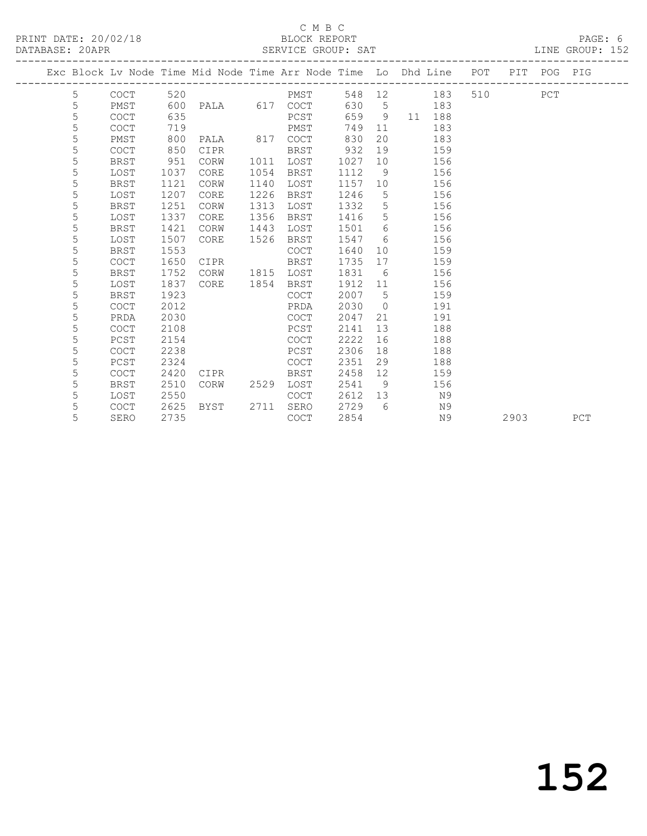## C M B C<br>BLOCK REPORT

LINE GROUP: 152

|  |   |             |      | Exc Block Lv Node Time Mid Node Time Arr Node Time Lo Dhd Line POT PIT POG PIG |      |             |      |                |       |            |         |      |     |     |
|--|---|-------------|------|--------------------------------------------------------------------------------|------|-------------|------|----------------|-------|------------|---------|------|-----|-----|
|  | 5 | COCT        | 520  |                                                                                |      | PMST        |      |                |       | 548 12 183 | 510 310 |      | PCT |     |
|  | 5 | PMST        | 600  | PALA 617 COCT                                                                  |      |             |      |                | 630 5 | 183        |         |      |     |     |
|  | 5 | <b>COCT</b> | 635  |                                                                                |      | PCST        | 659  | 9              |       | 11 188     |         |      |     |     |
|  | 5 | <b>COCT</b> | 719  |                                                                                |      | PMST        | 749  | 11             |       | 183        |         |      |     |     |
|  | 5 | PMST        | 800  | PALA                                                                           | 817  | COCT        | 830  | 20             |       | 183        |         |      |     |     |
|  | 5 | <b>COCT</b> | 850  | CIPR                                                                           |      | BRST        | 932  | 19             |       | 159        |         |      |     |     |
|  | 5 | <b>BRST</b> | 951  | CORW                                                                           | 1011 | LOST        | 1027 | 10             |       | 156        |         |      |     |     |
|  | 5 | LOST        | 1037 | CORE                                                                           | 1054 | BRST        | 1112 | 9              |       | 156        |         |      |     |     |
|  | 5 | <b>BRST</b> | 1121 | CORW                                                                           | 1140 | LOST        | 1157 | 10             |       | 156        |         |      |     |     |
|  | 5 | LOST        | 1207 | CORE                                                                           | 1226 | BRST        | 1246 | 5              |       | 156        |         |      |     |     |
|  | 5 | <b>BRST</b> | 1251 | CORW                                                                           | 1313 | LOST        | 1332 | 5              |       | 156        |         |      |     |     |
|  | 5 | LOST        | 1337 | CORE                                                                           | 1356 | BRST        | 1416 | 5              |       | 156        |         |      |     |     |
|  | 5 | <b>BRST</b> | 1421 | CORW                                                                           | 1443 | LOST        | 1501 | 6              |       | 156        |         |      |     |     |
|  | 5 | LOST        | 1507 | CORE                                                                           | 1526 | BRST        | 1547 | 6              |       | 156        |         |      |     |     |
|  | 5 | BRST        | 1553 |                                                                                |      | <b>COCT</b> | 1640 | 10             |       | 159        |         |      |     |     |
|  | 5 | <b>COCT</b> | 1650 | CIPR                                                                           |      | BRST        | 1735 | 17             |       | 159        |         |      |     |     |
|  | 5 | BRST        | 1752 | CORW                                                                           |      | 1815 LOST   | 1831 | 6              |       | 156        |         |      |     |     |
|  | 5 | LOST        | 1837 | CORE                                                                           | 1854 | BRST        | 1912 | 11             |       | 156        |         |      |     |     |
|  | 5 | BRST        | 1923 |                                                                                |      | COCT        | 2007 | $5^{\circ}$    |       | 159        |         |      |     |     |
|  | 5 | <b>COCT</b> | 2012 |                                                                                |      | PRDA        | 2030 | $\overline{0}$ |       | 191        |         |      |     |     |
|  | 5 | PRDA        | 2030 |                                                                                |      | COCT        | 2047 | 21             |       | 191        |         |      |     |     |
|  | 5 | <b>COCT</b> | 2108 |                                                                                |      | PCST        | 2141 | 13             |       | 188        |         |      |     |     |
|  | 5 | PCST        | 2154 |                                                                                |      | COCT        | 2222 | 16             |       | 188        |         |      |     |     |
|  | 5 | COCT        | 2238 |                                                                                |      | PCST        | 2306 | 18             |       | 188        |         |      |     |     |
|  | 5 | PCST        | 2324 |                                                                                |      | COCT        | 2351 | 29             |       | 188        |         |      |     |     |
|  | 5 | <b>COCT</b> | 2420 | CIPR                                                                           |      | <b>BRST</b> | 2458 | 12             |       | 159        |         |      |     |     |
|  | 5 | <b>BRST</b> | 2510 | CORW                                                                           | 2529 | LOST        | 2541 | - 9            |       | 156        |         |      |     |     |
|  | 5 | LOST        | 2550 |                                                                                |      | COCT        | 2612 | 13             |       | N9         |         |      |     |     |
|  | 5 | <b>COCT</b> | 2625 | BYST                                                                           | 2711 | SERO        | 2729 | $6^{\circ}$    |       | N9         |         |      |     |     |
|  | 5 | SERO        | 2735 |                                                                                |      | <b>COCT</b> | 2854 |                |       | N9         |         | 2903 |     | PCT |
|  |   |             |      |                                                                                |      |             |      |                |       |            |         |      |     |     |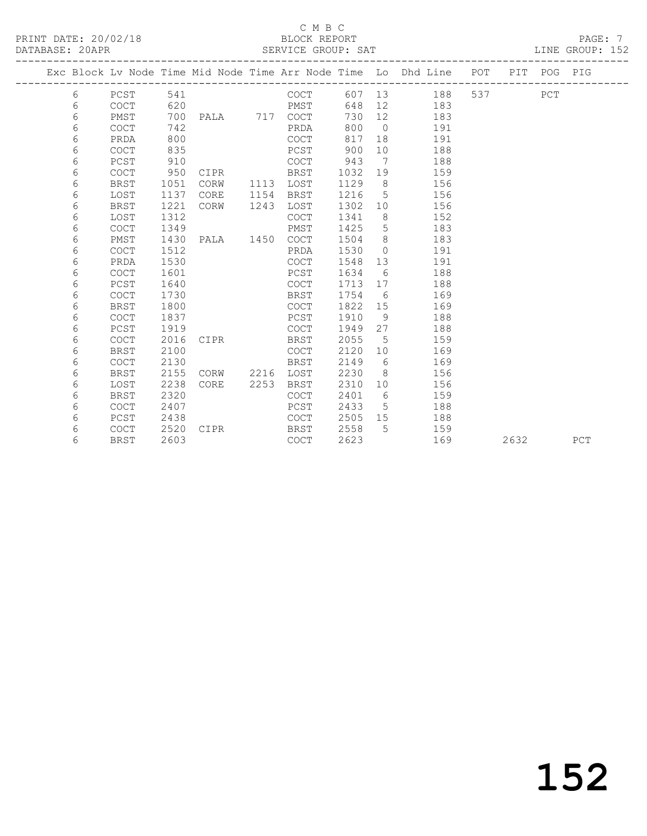|  |   |             |      |               |      |             |         |                 | Exc Block Lv Node Time Mid Node Time Arr Node Time Lo Dhd Line POT PIT POG PIG |     |      |     |     |
|--|---|-------------|------|---------------|------|-------------|---------|-----------------|--------------------------------------------------------------------------------|-----|------|-----|-----|
|  | 6 | PCST        | 541  |               |      | COCT        |         |                 | 607 13<br>188                                                                  | 537 |      | PCT |     |
|  | 6 | COCT        | 620  |               |      | PMST        | 648     | 12              | 183                                                                            |     |      |     |     |
|  | 6 | PMST        | 700  | PALA 717 COCT |      |             | 730     | 12              | 183                                                                            |     |      |     |     |
|  | 6 | <b>COCT</b> | 742  |               |      | PRDA        | 800     | $\overline{0}$  | 191                                                                            |     |      |     |     |
|  | 6 | PRDA        | 800  |               |      | COCT        | 817     | 18              | 191                                                                            |     |      |     |     |
|  | 6 | <b>COCT</b> | 835  |               |      | PCST        | 900     | 10 <sup>°</sup> | 188                                                                            |     |      |     |     |
|  | 6 | PCST        | 910  |               |      | COCT        | 943     | $\overline{7}$  | 188                                                                            |     |      |     |     |
|  | 6 | <b>COCT</b> | 950  | CIPR          |      | BRST        | 1032    | 19              | 159                                                                            |     |      |     |     |
|  | 6 | <b>BRST</b> | 1051 | CORW          | 1113 | LOST        | 1129    | 8 <sup>8</sup>  | 156                                                                            |     |      |     |     |
|  | 6 | LOST        | 1137 | CORE          | 1154 | BRST        | 1216    | $5^{\circ}$     | 156                                                                            |     |      |     |     |
|  | 6 | <b>BRST</b> | 1221 | CORW          | 1243 | LOST        | 1302    | 10              | 156                                                                            |     |      |     |     |
|  | 6 | LOST        | 1312 |               |      | COCT        | 1341    | 8               | 152                                                                            |     |      |     |     |
|  | 6 | <b>COCT</b> | 1349 |               |      | PMST        | 1425    | $5\phantom{.0}$ | 183                                                                            |     |      |     |     |
|  | 6 | PMST        | 1430 | PALA 1450     |      | COCT        | 1504    | 8               | 183                                                                            |     |      |     |     |
|  | 6 | <b>COCT</b> | 1512 |               |      | PRDA        | 1530    | $\bigcirc$      | 191                                                                            |     |      |     |     |
|  | 6 | PRDA        | 1530 |               |      | <b>COCT</b> | 1548    | 13              | 191                                                                            |     |      |     |     |
|  | 6 | COCT        | 1601 |               |      | PCST        | 1634    | 6               | 188                                                                            |     |      |     |     |
|  | 6 | PCST        | 1640 |               |      | COCT        | 1713    | 17              | 188                                                                            |     |      |     |     |
|  | 6 | <b>COCT</b> | 1730 |               |      | BRST        | 1754    | 6               | 169                                                                            |     |      |     |     |
|  | 6 | <b>BRST</b> | 1800 |               |      | COCT        | 1822 15 |                 | 169                                                                            |     |      |     |     |
|  | 6 | <b>COCT</b> | 1837 |               |      | PCST        | 1910    | 9               | 188                                                                            |     |      |     |     |
|  | 6 | PCST        | 1919 |               |      | COCT        | 1949    | 27              | 188                                                                            |     |      |     |     |
|  | 6 | <b>COCT</b> | 2016 | CIPR          |      | BRST        | 2055    | 5               | 159                                                                            |     |      |     |     |
|  | 6 | <b>BRST</b> | 2100 |               |      | COCT        | 2120    | 10              | 169                                                                            |     |      |     |     |
|  | 6 | <b>COCT</b> | 2130 |               |      | BRST        | 2149    | 6               | 169                                                                            |     |      |     |     |
|  | 6 | <b>BRST</b> | 2155 | CORW          | 2216 | LOST        | 2230    | 8 <sup>8</sup>  | 156                                                                            |     |      |     |     |
|  | 6 | LOST        | 2238 | CORE          | 2253 | BRST        | 2310    | 10 <sup>°</sup> | 156                                                                            |     |      |     |     |
|  | 6 | <b>BRST</b> | 2320 |               |      | <b>COCT</b> | 2401    | $6\overline{6}$ | 159                                                                            |     |      |     |     |
|  | 6 | COCT        | 2407 |               |      | PCST        | 2433    | $5\overline{)}$ | 188                                                                            |     |      |     |     |
|  | 6 | PCST        | 2438 |               |      | COCT        | 2505    | 15              | 188                                                                            |     |      |     |     |
|  | 6 | <b>COCT</b> | 2520 | CIPR          |      | BRST        | 2558    | 5 <sup>1</sup>  | 159                                                                            |     |      |     |     |
|  | 6 | BRST        | 2603 |               |      | <b>COCT</b> | 2623    |                 | 169                                                                            |     | 2632 |     | PCT |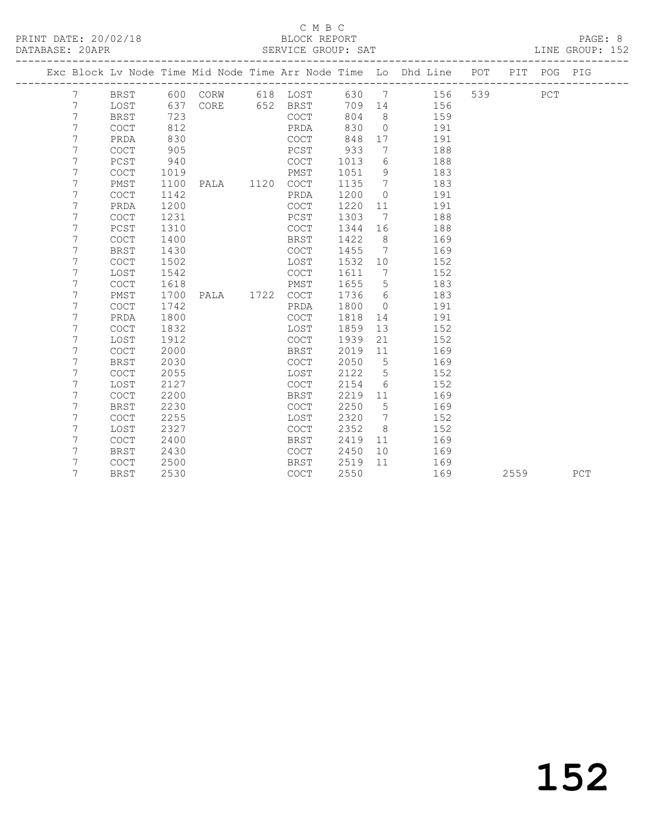|  |   |                                            |      |      |      |                                            |      |                 | Exc Block Lv Node Time Mid Node Time Arr Node Time Lo Dhd Line POT |     |      | PIT POG PIG |             |
|--|---|--------------------------------------------|------|------|------|--------------------------------------------|------|-----------------|--------------------------------------------------------------------|-----|------|-------------|-------------|
|  | 7 | BRST                                       | 600  | CORW |      | 618 LOST                                   | 630  | 7               | 156                                                                | 539 |      | PCT         |             |
|  | 7 | LOST                                       | 637  | CORE | 652  | BRST                                       | 709  | 14              | 156                                                                |     |      |             |             |
|  | 7 | <b>BRST</b>                                | 723  |      |      | $\mathtt{C}\mathtt{O}\mathtt{C}\mathtt{T}$ | 804  | 8               | 159                                                                |     |      |             |             |
|  | 7 | $\mathtt{C}\mathtt{O}\mathtt{C}\mathtt{T}$ | 812  |      |      | PRDA                                       | 830  | $\circ$         | 191                                                                |     |      |             |             |
|  | 7 | PRDA                                       | 830  |      |      | COCT                                       | 848  | 17              | 191                                                                |     |      |             |             |
|  | 7 | <b>COCT</b>                                | 905  |      |      | PCST                                       | 933  | 7               | 188                                                                |     |      |             |             |
|  | 7 | PCST                                       | 940  |      |      | <b>COCT</b>                                | 1013 | 6               | 188                                                                |     |      |             |             |
|  | 7 | COCT                                       | 1019 |      |      | PMST                                       | 1051 | 9               | 183                                                                |     |      |             |             |
|  | 7 | PMST                                       | 1100 | PALA | 1120 | $\mathtt{C}\mathtt{O}\mathtt{C}\mathtt{T}$ | 1135 | $7\phantom{.0}$ | 183                                                                |     |      |             |             |
|  | 7 | COCT                                       | 1142 |      |      | PRDA                                       | 1200 | $\circ$         | 191                                                                |     |      |             |             |
|  | 7 | PRDA                                       | 1200 |      |      | <b>COCT</b>                                | 1220 | 11              | 191                                                                |     |      |             |             |
|  | 7 | COCT                                       | 1231 |      |      | PCST                                       | 1303 | 7               | 188                                                                |     |      |             |             |
|  | 7 | PCST                                       | 1310 |      |      | COCT                                       | 1344 | 16              | 188                                                                |     |      |             |             |
|  | 7 | COCT                                       | 1400 |      |      | <b>BRST</b>                                | 1422 | 8               | 169                                                                |     |      |             |             |
|  | 7 | <b>BRST</b>                                | 1430 |      |      | <b>COCT</b>                                | 1455 | 7               | 169                                                                |     |      |             |             |
|  | 7 | <b>COCT</b>                                | 1502 |      |      | LOST                                       | 1532 | 10              | 152                                                                |     |      |             |             |
|  | 7 | LOST                                       | 1542 |      |      | <b>COCT</b>                                | 1611 | 7               | 152                                                                |     |      |             |             |
|  | 7 | <b>COCT</b>                                | 1618 |      |      | PMST                                       | 1655 | 5               | 183                                                                |     |      |             |             |
|  | 7 | PMST                                       | 1700 | PALA | 1722 | <b>COCT</b>                                | 1736 | 6               | 183                                                                |     |      |             |             |
|  | 7 | <b>COCT</b>                                | 1742 |      |      | PRDA                                       | 1800 | $\circ$         | 191                                                                |     |      |             |             |
|  | 7 | PRDA                                       | 1800 |      |      | COCT                                       | 1818 | 14              | 191                                                                |     |      |             |             |
|  | 7 | <b>COCT</b>                                | 1832 |      |      | LOST                                       | 1859 | 13              | 152                                                                |     |      |             |             |
|  | 7 | LOST                                       | 1912 |      |      | $\mathtt{C}\mathtt{O}\mathtt{C}\mathtt{T}$ | 1939 | 21              | 152                                                                |     |      |             |             |
|  | 7 | <b>COCT</b>                                | 2000 |      |      | BRST                                       | 2019 | 11              | 169                                                                |     |      |             |             |
|  | 7 | <b>BRST</b>                                | 2030 |      |      | <b>COCT</b>                                | 2050 | 5               | 169                                                                |     |      |             |             |
|  | 7 | COCT                                       | 2055 |      |      | LOST                                       | 2122 | 5               | 152                                                                |     |      |             |             |
|  | 7 | LOST                                       | 2127 |      |      | COCT                                       | 2154 | 6               | 152                                                                |     |      |             |             |
|  | 7 | COCT                                       | 2200 |      |      | BRST                                       | 2219 | 11              | 169                                                                |     |      |             |             |
|  | 7 | <b>BRST</b>                                | 2230 |      |      | <b>COCT</b>                                | 2250 | 5               | 169                                                                |     |      |             |             |
|  | 7 | <b>COCT</b>                                | 2255 |      |      | LOST                                       | 2320 | 7               | 152                                                                |     |      |             |             |
|  | 7 | LOST                                       | 2327 |      |      | COCT                                       | 2352 | 8               | 152                                                                |     |      |             |             |
|  | 7 | <b>COCT</b>                                | 2400 |      |      | <b>BRST</b>                                | 2419 | 11              | 169                                                                |     |      |             |             |
|  | 7 | <b>BRST</b>                                | 2430 |      |      | COCT                                       | 2450 | 10              | 169                                                                |     |      |             |             |
|  | 7 | <b>COCT</b>                                | 2500 |      |      | BRST                                       | 2519 | 11              | 169                                                                |     |      |             |             |
|  | 7 | <b>BRST</b>                                | 2530 |      |      | COCT                                       | 2550 |                 | 169                                                                |     | 2559 |             | ${\tt PCT}$ |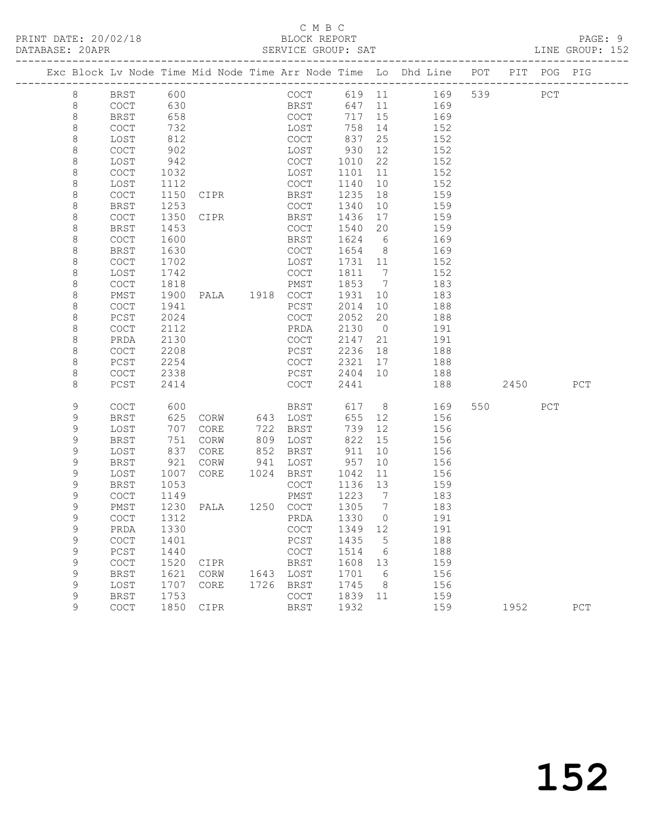|              |                     |              |                |      |                  |                |                | Exc Block Lv Node Time Mid Node Time Arr Node Time Lo Dhd Line POT |         | PIT POG PIG |     |
|--------------|---------------------|--------------|----------------|------|------------------|----------------|----------------|--------------------------------------------------------------------|---------|-------------|-----|
| 8            | BRST                | 600          |                |      |                  |                |                | COCT 619 11 169                                                    | 539     | PCT         |     |
| $8\,$        | COCT                | 630          |                |      | BRST             | 647 11         |                | 169                                                                |         |             |     |
| 8            | BRST                | 658          |                |      | COCT             | 717 15         |                | 169                                                                |         |             |     |
| $\,8\,$      | <b>COCT</b>         | 732          |                |      | LOST             | 758            | 14             | 152                                                                |         |             |     |
| 8            | LOST                | 812          |                |      | COCT             | 837            | 25             | 152                                                                |         |             |     |
| $\,8\,$      | COCT                | 902          |                |      | LOST             | 930            | 12             | 152                                                                |         |             |     |
| 8            | LOST                | 942          |                |      | COCT             | 1010           | 22             | 152                                                                |         |             |     |
| 8            | COCT                | 1032         |                |      | LOST             | 1101           | 11             | 152                                                                |         |             |     |
| 8            | LOST                | 1112         |                |      | COCT             | 1140           | 10             | 152                                                                |         |             |     |
| $\,8\,$      | <b>COCT</b>         | 1150         | CIPR           |      | BRST             | 1235           | 18             | 159                                                                |         |             |     |
| 8            | <b>BRST</b>         | 1253         |                |      | COCT             | 1340           | 10             | 159                                                                |         |             |     |
| 8            | <b>COCT</b>         | 1350         | CIPR           |      | BRST             | 1436           | 17             | 159                                                                |         |             |     |
| 8            | BRST                | 1453         |                |      | COCT             | 1540           | 20             | 159                                                                |         |             |     |
| $\,8\,$      | COCT                | 1600         |                |      | BRST             | 1624           | 6              | 169                                                                |         |             |     |
| 8            | <b>BRST</b>         | 1630         |                |      | COCT             | 1654 8         |                | 169                                                                |         |             |     |
| 8<br>$\,8\,$ | <b>COCT</b><br>LOST | 1702         |                |      | LOST<br>COCT     | 1731 11        | $\overline{7}$ | 152<br>152                                                         |         |             |     |
| $\,8\,$      | <b>COCT</b>         | 1742<br>1818 |                |      | PMST             | 1811<br>1853 7 |                | 183                                                                |         |             |     |
| 8            | PMST                | 1900         |                |      |                  | 1931           | 10             | 183                                                                |         |             |     |
| 8            | <b>COCT</b>         | 1941         |                |      | PCST             | 2014           | 10             | 188                                                                |         |             |     |
| $\,8\,$      | PCST                | 2024         |                |      | COCT             | 2052           | 20             | 188                                                                |         |             |     |
| $\,8\,$      | COCT                | 2112         |                |      | PRDA             | 2130           | $\overline{0}$ | 191                                                                |         |             |     |
| $\,8\,$      | PRDA                | 2130         |                |      | COCT             | 2147           | 21             | 191                                                                |         |             |     |
| 8            | COCT                | 2208         |                |      | PCST             | 2236           | 18             | 188                                                                |         |             |     |
| $\,8\,$      | PCST                | 2254         |                |      | COCT             | 2321           | 17             | 188                                                                |         |             |     |
| 8            | COCT                | 2338         |                |      | PCST             | 2404 10        |                | 188                                                                |         |             |     |
| 8            | $PCST$              | 2414         |                |      | COCT             | 2441           |                | 188                                                                | 2450    |             | PCT |
|              |                     |              |                |      |                  |                |                |                                                                    |         |             |     |
| 9            | <b>COCT</b>         | 600          |                |      | BRST             |                |                | 617 8<br>169                                                       | 550 PCT |             |     |
| 9            | <b>BRST</b>         | 625          | CORW           |      | 643 LOST         | 655            | 12             | 156                                                                |         |             |     |
| 9            | LOST                | 707          | CORE           |      | 722 BRST         | 739            | 12             | 156                                                                |         |             |     |
| 9            | BRST                | 751          | CORW           |      | 809 LOST         | 822            | 15             | 156                                                                |         |             |     |
| 9<br>9       | LOST<br><b>BRST</b> | 837          | CORE           | 941  | 852 BRST<br>LOST | 911<br>957     | 10<br>10       | 156<br>156                                                         |         |             |     |
| 9            | LOST                | 921<br>1007  | CORW<br>CORE   |      | 1024 BRST        | 1042           | 11             | 156                                                                |         |             |     |
| 9            | BRST                | 1053         |                |      | COCT             | 1136           | 13             | 159                                                                |         |             |     |
| 9            | <b>COCT</b>         | 1149         |                |      | PMST             | 1223 7         |                | 183                                                                |         |             |     |
| 9            | PMST                | 1230         | PALA 1250 COCT |      |                  | 1305 7         |                | 183                                                                |         |             |     |
| 9            | <b>COCT</b>         | 1312         |                |      | PRDA             | 1330           | $\overline{0}$ | 191                                                                |         |             |     |
| 9            | PRDA 1330           |              |                |      | COCT 1349 12     |                |                | 191                                                                |         |             |     |
| 9            | COCT                | 1401         |                |      | PCST             | 1435           | $-5$           | 188                                                                |         |             |     |
| $\mathsf 9$  | PCST                | 1440         |                |      | COCT             | 1514           | 6              | 188                                                                |         |             |     |
| 9            | COCT                | 1520         | CIPR           |      | <b>BRST</b>      | 1608           | 13             | 159                                                                |         |             |     |
| $\mathsf 9$  | <b>BRST</b>         | 1621         | CORW           | 1643 | LOST             | 1701           | 6              | 156                                                                |         |             |     |
| 9            | LOST                | 1707         | CORE           | 1726 | BRST             | 1745           | 8              | 156                                                                |         |             |     |
| 9            | <b>BRST</b>         | 1753         |                |      | COCT             | 1839           | 11             | 159                                                                |         |             |     |
| 9            | COCT                | 1850         | CIPR           |      | BRST             | 1932           |                | 159                                                                | 1952    |             | PCT |
|              |                     |              |                |      |                  |                |                |                                                                    |         |             |     |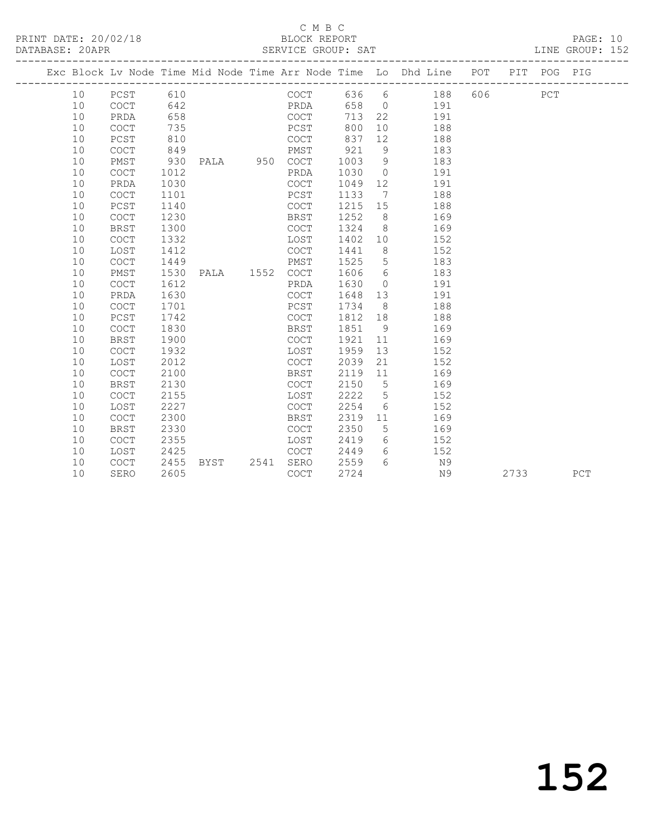### C M B C

| DATABASE: 20APR |    |             |      | --------------------- | SERVICE GROUP: SAT |      |                 | : SAT<br>------------------------------                                        |         | LINE GROUP: 152 |  |
|-----------------|----|-------------|------|-----------------------|--------------------|------|-----------------|--------------------------------------------------------------------------------|---------|-----------------|--|
|                 |    |             |      |                       |                    |      |                 | Exc Block Lv Node Time Mid Node Time Arr Node Time Lo Dhd Line POT PIT POG PIG |         |                 |  |
|                 | 10 | PCST 610    |      |                       | COCT               |      |                 | 636 6 188                                                                      | 606 PCT |                 |  |
|                 | 10 | COCT        | 642  |                       | PRDA               |      |                 | 658 0 191                                                                      |         |                 |  |
|                 | 10 | PRDA        | 658  |                       | COCT               | 713  |                 | 22<br>191                                                                      |         |                 |  |
|                 | 10 | COCT        | 735  |                       | PCST               | 800  |                 | 10<br>188                                                                      |         |                 |  |
|                 | 10 | PCST        | 810  |                       | COCT               | 837  | 12              | 188                                                                            |         |                 |  |
|                 | 10 | COCT        | 849  |                       | PMST               | 921  | - 9             | 183                                                                            |         |                 |  |
|                 | 10 | PMST        | 930  | PALA 950 COCT         |                    | 1003 | 9 <sup>°</sup>  | 183                                                                            |         |                 |  |
|                 | 10 | <b>COCT</b> | 1012 |                       | PRDA               | 1030 |                 | $\overline{O}$<br>191                                                          |         |                 |  |
|                 | 10 | PRDA        | 1030 |                       | COCT               | 1049 |                 | 12 and $\overline{a}$<br>191                                                   |         |                 |  |
|                 | 10 | COCT        | 1101 |                       | PCST               | 1133 | $7\phantom{0}$  | 188                                                                            |         |                 |  |
|                 | 10 | PCST        | 1140 |                       | COCT               | 1215 | 15              | 188                                                                            |         |                 |  |
|                 | 10 | <b>COCT</b> | 1230 |                       | BRST               | 1252 | 8 <sup>8</sup>  | 169                                                                            |         |                 |  |
|                 | 10 | <b>BRST</b> | 1300 |                       | COCT               | 1324 |                 | 8<br>169                                                                       |         |                 |  |
|                 | 10 | <b>COCT</b> | 1332 |                       | LOST               | 1402 | 10              | 152                                                                            |         |                 |  |
|                 | 10 | LOST        | 1412 |                       | COCT               | 1441 | 8               | 152                                                                            |         |                 |  |
|                 | 10 | <b>COCT</b> | 1449 |                       | PMST               | 1525 | 5               | 183                                                                            |         |                 |  |
|                 | 10 | PMST        | 1530 | PALA 1552 COCT        |                    | 1606 | 6               | 183                                                                            |         |                 |  |
|                 | 10 | <b>COCT</b> | 1612 |                       | PRDA               | 1630 | $\circ$         | 191                                                                            |         |                 |  |
|                 | 10 | PRDA        | 1630 |                       | COCT               | 1648 | 13              | 191                                                                            |         |                 |  |
|                 | 10 | COCT        | 1701 |                       | PCST               | 1734 | 8 <sup>8</sup>  | 188                                                                            |         |                 |  |
|                 | 10 | PCST        | 1742 |                       | COCT               | 1812 | 18              | 188                                                                            |         |                 |  |
|                 | 10 | <b>COCT</b> | 1830 |                       | BRST               | 1851 | 9               | 169                                                                            |         |                 |  |
|                 | 10 | <b>BRST</b> | 1900 |                       | COCT               | 1921 | 11              | 169                                                                            |         |                 |  |
|                 | 10 | COCT        | 1932 |                       | LOST               | 1959 | 13              | 152                                                                            |         |                 |  |
|                 | 10 | LOST        | 2012 |                       | COCT               | 2039 | 21              | 152                                                                            |         |                 |  |
|                 | 10 | COCT        | 2100 |                       | BRST               | 2119 | 11              | 169                                                                            |         |                 |  |
|                 | 10 | <b>BRST</b> | 2130 |                       | COCT               | 2150 | $5\phantom{0}$  | 169                                                                            |         |                 |  |
|                 | 10 | COCT        | 2155 |                       | LOST               | 2222 | $5\phantom{.0}$ | 152                                                                            |         |                 |  |
|                 | 10 | LOST        | 2227 |                       | COCT               | 2254 | 6               | 152                                                                            |         |                 |  |
|                 | 10 | <b>COCT</b> | 2300 |                       | BRST               | 2319 | 11              | 169                                                                            |         |                 |  |
|                 | 10 | <b>BRST</b> | 2330 |                       | COCT               | 2350 | $5\phantom{.0}$ | 169                                                                            |         |                 |  |
|                 | 10 | <b>COCT</b> | 2355 |                       | LOST               | 2419 | 6               | 152                                                                            |         |                 |  |
|                 | 10 | LOST        | 2425 |                       | COCT               | 2449 | 6               | 152                                                                            |         |                 |  |
|                 | 10 | <b>COCT</b> | 2455 | <b>BYST</b>           | 2541 SERO          | 2559 | $6^{\circ}$     | N <sub>9</sub>                                                                 |         |                 |  |

10 SERO 2605 COCT 2724 N9 2733 PCT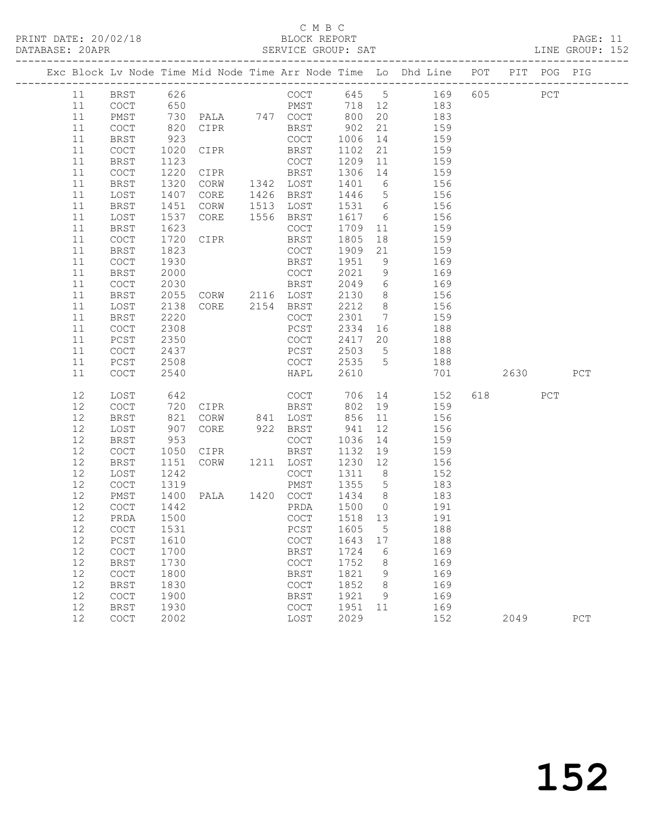## C M B C<br>BLOCK REPORT

| PRINT DATE: 20/02/18<br>DATABASE: 20APR |         |      |                |      | BLOCK REPORT<br>SERVICE GROUP: SAT |               |       |                                                                |     |     |     | PAGE: 11<br>LINE GROUP: 152 |  |
|-----------------------------------------|---------|------|----------------|------|------------------------------------|---------------|-------|----------------------------------------------------------------|-----|-----|-----|-----------------------------|--|
|                                         |         |      |                |      |                                    |               |       | Exc Block Lv Node Time Mid Node Time Arr Node Time Lo Dhd Line | POT | PIT | POG | PIG                         |  |
| 11                                      | BRST    | 626  |                |      | COCT                               | 645           | -5    | 169                                                            | 605 |     | PCT |                             |  |
| 11                                      | COCT    | 650  |                |      | PMST                               | 718           | 12    | 183                                                            |     |     |     |                             |  |
| 11                                      | PMST    | 730  | PALA           | 747  | COCT                               | 800           | 20    | 183                                                            |     |     |     |                             |  |
| 11                                      | COCT    | 820  | CIPR           |      | BRST                               | 902           | 21    | 159                                                            |     |     |     |                             |  |
| 11                                      | BRST    | 923  |                |      | COCT                               | 1006          | 14    | 159                                                            |     |     |     |                             |  |
| 11                                      | COCT    | 1020 | CIPR           |      | BRST                               | 1102          | 21    | 159                                                            |     |     |     |                             |  |
| 11                                      | BRST    | 1123 |                |      | COCT                               | 1209          | $-11$ | 159                                                            |     |     |     |                             |  |
| 11                                      | COCT    | 1220 | CIPR           |      | BRST                               | 1306          | 14    | 159                                                            |     |     |     |                             |  |
| 11                                      | P P Q H |      | $1220$ $0.005$ | 1212 | $T \cap \cap m$                    | $1101$ $\sim$ |       | 1.5.7                                                          |     |     |     |                             |  |

| 11     | <b>BRST</b>                                | 1320 | $\mathop{\rm CORW}\nolimits$ | 1342 | LOST                                       | 1401 | 6               | 156 |     |      |             |             |  |
|--------|--------------------------------------------|------|------------------------------|------|--------------------------------------------|------|-----------------|-----|-----|------|-------------|-------------|--|
| 11     | LOST                                       | 1407 | CORE                         | 1426 | <b>BRST</b>                                | 1446 | 5               | 156 |     |      |             |             |  |
| 11     | <b>BRST</b>                                | 1451 | CORW                         | 1513 | LOST                                       | 1531 | $\epsilon$      | 156 |     |      |             |             |  |
| $11$   | LOST                                       | 1537 | CORE                         | 1556 | <b>BRST</b>                                | 1617 | $\sqrt{6}$      | 156 |     |      |             |             |  |
| 11     | <b>BRST</b>                                | 1623 |                              |      | $\mathtt{C}\mathtt{O}\mathtt{C}\mathtt{T}$ | 1709 | 11              | 159 |     |      |             |             |  |
| 11     | COCT                                       | 1720 | CIPR                         |      | BRST                                       | 1805 | 18              | 159 |     |      |             |             |  |
| 11     | <b>BRST</b>                                | 1823 |                              |      | COCT                                       | 1909 | 21              | 159 |     |      |             |             |  |
| 11     | $\mathtt{C}\mathtt{O}\mathtt{C}\mathtt{T}$ | 1930 |                              |      | <b>BRST</b>                                | 1951 | $\,9$           | 169 |     |      |             |             |  |
| 11     | <b>BRST</b>                                | 2000 |                              |      | COCT                                       | 2021 | 9               | 169 |     |      |             |             |  |
| 11     | COCT                                       | 2030 |                              |      | <b>BRST</b>                                | 2049 | $\epsilon$      | 169 |     |      |             |             |  |
| $11\,$ | <b>BRST</b>                                | 2055 | CORW                         | 2116 | LOST                                       | 2130 | $\,8\,$         | 156 |     |      |             |             |  |
| 11     | LOST                                       | 2138 | CORE                         | 2154 | <b>BRST</b>                                | 2212 | $\,8\,$         | 156 |     |      |             |             |  |
| 11     | <b>BRST</b>                                | 2220 |                              |      | $\mathtt{C}\mathtt{O}\mathtt{C}\mathtt{T}$ | 2301 | $7\phantom{.0}$ | 159 |     |      |             |             |  |
| 11     | $\mathtt{C}\mathtt{O}\mathtt{C}\mathtt{T}$ | 2308 |                              |      | $PCST$                                     | 2334 | 16              | 188 |     |      |             |             |  |
| 11     | PCST                                       | 2350 |                              |      | COCT                                       | 2417 | 20              | 188 |     |      |             |             |  |
| 11     | $\mathtt{C}\mathtt{O}\mathtt{C}\mathtt{T}$ | 2437 |                              |      | PCST                                       | 2503 | 5               | 188 |     |      |             |             |  |
| 11     | PCST                                       | 2508 |                              |      | COCT                                       | 2535 | 5               | 188 |     |      |             |             |  |
| 11     | $\operatorname{COT}$                       | 2540 |                              |      | HAPL                                       | 2610 |                 | 701 |     | 2630 |             | ${\tt PCT}$ |  |
|        |                                            |      |                              |      |                                            |      |                 |     |     |      |             |             |  |
| 12     | LOST                                       | 642  |                              |      | $\mathtt{C}\mathtt{O}\mathtt{C}\mathtt{T}$ | 706  | 14              | 152 | 618 |      | ${\tt PCT}$ |             |  |
| 12     | COCT                                       | 720  | CIPR                         |      | <b>BRST</b>                                | 802  | 19              | 159 |     |      |             |             |  |
| 12     | <b>BRST</b>                                | 821  | CORW                         | 841  | LOST                                       | 856  | 11              | 156 |     |      |             |             |  |
| 12     | LOST                                       | 907  | CORE                         | 922  | <b>BRST</b>                                | 941  | 12              | 156 |     |      |             |             |  |
| 12     | <b>BRST</b>                                | 953  |                              |      | $_{\rm COCT}$                              | 1036 | $1\,4$          | 159 |     |      |             |             |  |
| 12     | $\mathtt{C}\mathtt{O}\mathtt{C}\mathtt{T}$ | 1050 | CIPR                         |      | <b>BRST</b>                                | 1132 | 19              | 159 |     |      |             |             |  |
| 12     | <b>BRST</b>                                | 1151 | CORW                         | 1211 | LOST                                       | 1230 | 12              | 156 |     |      |             |             |  |
| 12     | LOST                                       | 1242 |                              |      | $\mathtt{C}\mathtt{O}\mathtt{C}\mathtt{T}$ | 1311 | $\,8\,$         | 152 |     |      |             |             |  |
| 12     | COCT                                       | 1319 |                              |      | PMST                                       | 1355 | 5               | 183 |     |      |             |             |  |
| 12     | PMST                                       | 1400 | PALA                         | 1420 | $\mathtt{C}\mathtt{O}\mathtt{C}\mathtt{T}$ | 1434 | $\,8\,$         | 183 |     |      |             |             |  |
| 12     | COCT                                       | 1442 |                              |      | PRDA                                       | 1500 | $\mathbb O$     | 191 |     |      |             |             |  |
| 12     | PRDA                                       | 1500 |                              |      | $\mathtt{C}\mathtt{O}\mathtt{C}\mathtt{T}$ | 1518 | 13              | 191 |     |      |             |             |  |
| 12     | COCT                                       | 1531 |                              |      | PCST                                       | 1605 | $\mathsf S$     | 188 |     |      |             |             |  |
| 12     | PCST                                       | 1610 |                              |      | COCT                                       | 1643 | 17              | 188 |     |      |             |             |  |
| 12     | $\mathtt{C}\mathtt{O}\mathtt{C}\mathtt{T}$ | 1700 |                              |      | <b>BRST</b>                                | 1724 | 6               | 169 |     |      |             |             |  |
| $12$   | <b>BRST</b>                                | 1730 |                              |      | COCT                                       | 1752 | 8               | 169 |     |      |             |             |  |
| 12     | COCT                                       | 1800 |                              |      | <b>BRST</b>                                | 1821 | 9               | 169 |     |      |             |             |  |
| 12     | <b>BRST</b>                                | 1830 |                              |      | $\mathtt{C}\mathtt{O}\mathtt{C}\mathtt{T}$ | 1852 | $\,8\,$         | 169 |     |      |             |             |  |
| 12     | COCT                                       | 1900 |                              |      | <b>BRST</b>                                | 1921 | $\mathsf 9$     | 169 |     |      |             |             |  |
| 12     | <b>BRST</b>                                | 1930 |                              |      | $\mathtt{C}\mathtt{O}\mathtt{C}\mathtt{T}$ | 1951 | 11              | 169 |     |      |             |             |  |
| 12     | COCT                                       | 2002 |                              |      | LOST                                       | 2029 |                 | 152 |     | 2049 |             | ${\tt PCT}$ |  |
|        |                                            |      |                              |      |                                            |      |                 |     |     |      |             |             |  |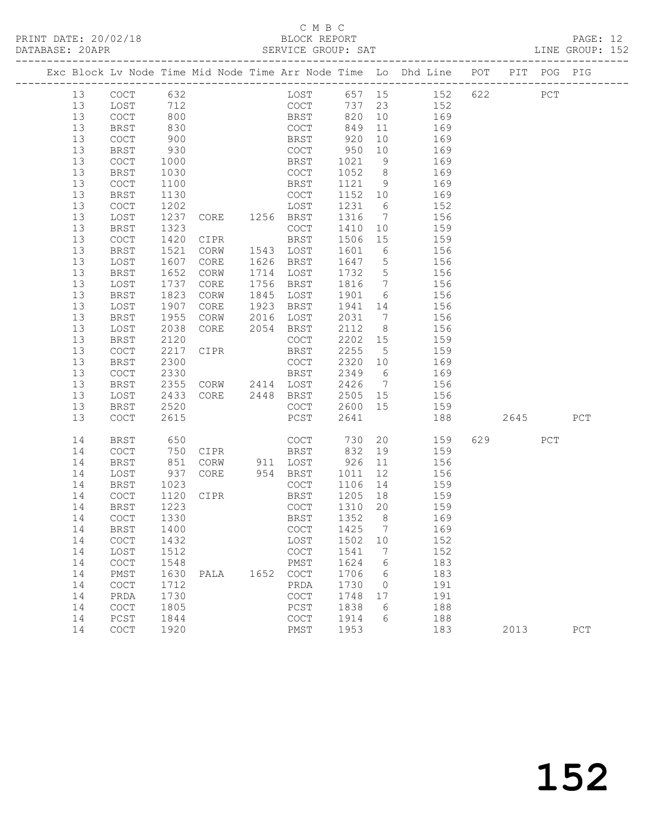# C M B C<br>BLOCK REPORT

PAGE: 12<br>LINE GROUP: 152

|          |                                            |              |                                  |      |                                            |              |                 | Exc Block Lv Node Time Mid Node Time Arr Node Time Lo Dhd Line POT PIT POG PIG |     |      |     |     |
|----------|--------------------------------------------|--------------|----------------------------------|------|--------------------------------------------|--------------|-----------------|--------------------------------------------------------------------------------|-----|------|-----|-----|
| 13       | COCT                                       | 632          |                                  |      |                                            |              |                 | LOST 657 15 152                                                                | 622 |      | PCT |     |
| 13       | LOST                                       | 712<br>800   |                                  |      | COCT<br>BRST                               | 737 23       |                 | 152                                                                            |     |      |     |     |
| 13       | COCT                                       |              |                                  |      |                                            | 820          | 10              | 169                                                                            |     |      |     |     |
| 13       | BRST                                       | 830          |                                  |      | COCT                                       | 849          | 11              | 169                                                                            |     |      |     |     |
| 13       | COCT                                       | 900          |                                  |      | BRST                                       | 920          | 10              | 169                                                                            |     |      |     |     |
| 13       | BRST                                       | 930          |                                  |      | COCT                                       | 950          | 10              | 169                                                                            |     |      |     |     |
| 13       | COCT                                       | 1000         |                                  |      | BRST                                       | 1021         | 9               | 169                                                                            |     |      |     |     |
| 13       | BRST                                       | 1030         |                                  |      | COCT                                       | 1052         | 8 <sup>8</sup>  | 169                                                                            |     |      |     |     |
| 13       | COCT                                       | 1100         |                                  |      | BRST                                       | 1121         | 9               | 169                                                                            |     |      |     |     |
| 13       | <b>BRST</b>                                | 1130         |                                  |      | COCT                                       | 1152 10      |                 | 169                                                                            |     |      |     |     |
| 13       | COCT                                       | 1202         | LOST<br>CORE 1256 BRST           |      | LOST                                       | 1231         | 6               | 152                                                                            |     |      |     |     |
| 13       | LOST                                       | 1237         |                                  |      |                                            | 1316         | $7\overline{ }$ | 156                                                                            |     |      |     |     |
| 13       | BRST                                       | 1323         |                                  |      | COCT                                       | 1410         | 10              | 159                                                                            |     |      |     |     |
| 13       | COCT                                       | 1420         | CIPR                             |      | BRST                                       | 1506         | 15              | 159                                                                            |     |      |     |     |
| 13       | BRST                                       | 1521         | CORW                             |      | 1543 LOST                                  | 1601         | 6               | 156                                                                            |     |      |     |     |
| 13       | LOST                                       | 1607         | CORE                             |      | 1626 BRST                                  | 1647         | $5\overline{)}$ | 156                                                                            |     |      |     |     |
| 13       | BRST                                       | 1652         | CORW                             |      | 1714 LOST                                  | 1732         | $5\overline{)}$ | 156                                                                            |     |      |     |     |
| 13       | LOST                                       | 1737         | CORE                             |      | 1756 BRST                                  | 1816         | $7\overline{)}$ | 156<br>156                                                                     |     |      |     |     |
| 13<br>13 | BRST                                       | 1823<br>1907 | CORW                             | 1923 | 1845 LOST                                  | 1901         | 6               |                                                                                |     |      |     |     |
| 13       | LOST<br><b>BRST</b>                        | 1955         | CORE<br>CORW                     | 2016 | BRST<br>LOST                               | 1941<br>2031 | 14              | 156<br>7 156                                                                   |     |      |     |     |
| 13       | LOST                                       | 2038         | CORE                             |      | 2054 BRST                                  | 2112         | 8 <sup>8</sup>  | 156                                                                            |     |      |     |     |
| 13       | BRST                                       | 2120         |                                  |      | COCT                                       | 2202 15      |                 | 159                                                                            |     |      |     |     |
| 13       | COCT                                       | 2217         | CIPR                             |      | BRST                                       | 2255         | $5^{\circ}$     | 159                                                                            |     |      |     |     |
| 13       | BRST                                       | 2300         |                                  |      | COCT                                       | 2320 10      |                 | 169                                                                            |     |      |     |     |
| 13       | COCT                                       | 2330         |                                  |      | BRST                                       | 2349         | 6               | 169                                                                            |     |      |     |     |
| 13       | BRST                                       | 2355         |                                  |      |                                            | 2426         | $7\overline{ }$ | 156                                                                            |     |      |     |     |
| 13       | LOST                                       | 2433         | CORW 2414 LOST<br>CORE 2448 BRST |      |                                            | 2505         | 15              | 156                                                                            |     |      |     |     |
| 13       | BRST                                       | 2520         |                                  |      | COCT                                       | 2600 15      |                 | 159                                                                            |     |      |     |     |
| 13       | COCT                                       | 2615         |                                  |      | PCST                                       | 2641         |                 | 188                                                                            |     | 2645 |     | PCT |
| 14       | <b>BRST</b>                                | 650          |                                  |      | COCT                                       | 730          |                 | 20<br>159                                                                      |     | 629  | PCT |     |
| 14       | COCT                                       | 750          | CIPR                             |      | BRST                                       | 832          | 19              | 159                                                                            |     |      |     |     |
| 14       | <b>BRST</b>                                | 851          | CORW                             |      | 911 LOST                                   | 926          | 11              | 156                                                                            |     |      |     |     |
| 14       | LOST                                       | 937          | CORE                             |      | 954 BRST                                   | 1011         | 12              | 156                                                                            |     |      |     |     |
| 14       | BRST                                       | 1023         |                                  |      | COCT                                       | 1106         | 14              | 159                                                                            |     |      |     |     |
| 14       | COCT                                       | 1120         | CIPR                             |      | BRST                                       | 1205         | 18              | 159                                                                            |     |      |     |     |
| 14       | <b>BRST</b>                                | 1223         |                                  |      | COCT                                       | 1310         | 20              | 159                                                                            |     |      |     |     |
| 14       | COCT                                       | 1330         |                                  |      | BRST                                       | 1352         | 8 <sup>8</sup>  | 169                                                                            |     |      |     |     |
|          | 14 BRST                                    | 1400         |                                  |      | COCT 1425 7                                |              |                 | 169                                                                            |     |      |     |     |
| 14       | COCT                                       | 1432         |                                  |      | LOST                                       | 1502         | 10              | 152                                                                            |     |      |     |     |
| 14       | LOST                                       | 1512         |                                  |      | COCT                                       | 1541         | 7               | 152                                                                            |     |      |     |     |
| 14       | $\mathtt{C}\mathtt{O}\mathtt{C}\mathtt{T}$ | 1548         |                                  |      | PMST                                       | 1624         | 6               | 183                                                                            |     |      |     |     |
| 14       | PMST                                       | 1630         | PALA                             | 1652 | COCT                                       | 1706         | 6               | 183                                                                            |     |      |     |     |
| 14       | $\mathtt{C}\mathtt{O}\mathtt{C}\mathtt{T}$ | 1712         |                                  |      | PRDA                                       | 1730         | $\mathbf 0$     | 191                                                                            |     |      |     |     |
| 14       | PRDA                                       | 1730         |                                  |      | $\mathtt{C}\mathtt{O}\mathtt{C}\mathtt{T}$ | 1748         | 17              | 191                                                                            |     |      |     |     |
| 14       | COCT                                       | 1805         |                                  |      | PCST                                       | 1838         | 6               | 188                                                                            |     |      |     |     |
| 14       | PCST                                       | 1844         |                                  |      | COCT                                       | 1914         | 6               | 188                                                                            |     |      |     |     |
| 14       | COCT                                       | 1920         |                                  |      | PMST                                       | 1953         |                 | 183                                                                            |     | 2013 |     | PCT |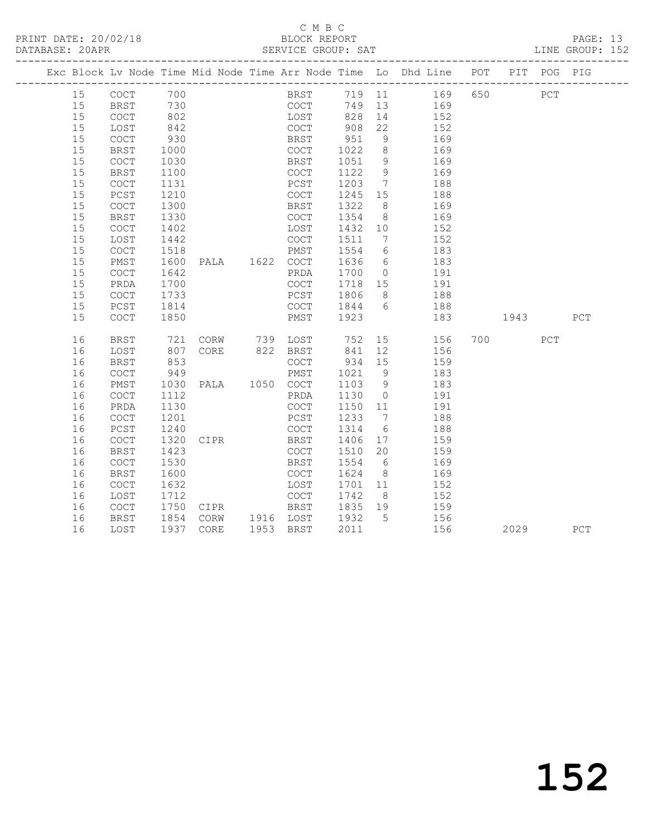# C M B C<br>BLOCK REPORT

PAGE: 13<br>LINE GROUP: 152

|    |                                            |                                                       |                |                       |              |                 | Exc Block Lv Node Time Mid Node Time Arr Node Time Lo Dhd Line POT PIT POG PIG |         |     |     |
|----|--------------------------------------------|-------------------------------------------------------|----------------|-----------------------|--------------|-----------------|--------------------------------------------------------------------------------|---------|-----|-----|
| 15 | COCT 700<br>BRST 730<br>COCT 802           |                                                       |                |                       |              |                 | BRST 719 11 169<br>COCT 749 13 169                                             | 650 PCT |     |     |
| 15 |                                            |                                                       |                |                       |              |                 |                                                                                |         |     |     |
| 15 |                                            |                                                       |                | LOST                  |              |                 | 828 14 152                                                                     |         |     |     |
| 15 | LOST                                       | 842                                                   |                | COCT 908              |              | 22              | 152                                                                            |         |     |     |
| 15 | COCT                                       | 930                                                   |                |                       |              | 9               | 169                                                                            |         |     |     |
| 15 | <b>BRST</b>                                | 1000                                                  |                | COCT                  | 1022         | 8 <sup>8</sup>  | $\frac{1}{169}$                                                                |         |     |     |
| 15 | COCT                                       | 1030                                                  |                | BRST                  | 1051         | 9               | 169                                                                            |         |     |     |
| 15 | <b>BRST</b>                                | 1100                                                  |                | COCT                  | 1122         | 9               | 169                                                                            |         |     |     |
| 15 | COCT                                       | 1131                                                  |                | PCST                  | 1203 7       |                 | 188                                                                            |         |     |     |
| 15 | PCST                                       | 1210                                                  |                | COCT                  | 1245 15      |                 | 188                                                                            |         |     |     |
| 15 | <b>COCT</b>                                | 1300                                                  |                | BRST                  | 1322         | 8 <sup>8</sup>  | 169                                                                            |         |     |     |
| 15 | <b>BRST</b>                                | 1330                                                  |                | COCT                  | 1354         | 8 <sup>8</sup>  | 169                                                                            |         |     |     |
| 15 | COCT                                       | 1402                                                  |                | LOST                  | 1432 10      |                 | 152                                                                            |         |     |     |
| 15 | LOST                                       | 1442                                                  |                | COCT                  | 1511         | $7\overline{ }$ | 152                                                                            |         |     |     |
| 15 | COCT                                       | 1518                                                  |                | PMST                  | 1554         | $6\overline{6}$ | 183                                                                            |         |     |     |
| 15 | PMST                                       | 1600                                                  | PALA 1622 COCT |                       | 1636         | $6\overline{6}$ | 183                                                                            |         |     |     |
| 15 | <b>COCT</b>                                | 1642                                                  |                | PRDA                  | 1700 0       |                 | 191                                                                            |         |     |     |
| 15 | PRDA                                       | 1700                                                  |                | COCT                  |              |                 | $1718$ $15$ $191$                                                              |         |     |     |
| 15 | COCT                                       | 1733                                                  |                | PCST                  | 1806         |                 | 8 188                                                                          |         |     |     |
| 15 | PCST                                       | 1814                                                  |                | COCT                  | 1844 6       |                 | 188                                                                            |         |     |     |
| 15 | COCT                                       | 1850                                                  |                | PMST 1923             |              |                 | 183                                                                            | 1943    |     | PCT |
| 16 | <b>BRST</b>                                | 721                                                   |                | CORW 739 LOST 752     |              |                 | 15<br>156                                                                      | 700     | PCT |     |
| 16 | LOST                                       | 807                                                   | CORE 822 BRST  |                       | $.52$<br>841 | 12              | 156                                                                            |         |     |     |
| 16 | <b>BRST</b>                                | $\begin{array}{c} 62 \\ 853 \\ \hline 10 \end{array}$ |                | COCT                  | 934 15       |                 | 159                                                                            |         |     |     |
| 16 | COCT                                       | 949                                                   |                | PMST                  | 1021 9       |                 | 183                                                                            |         |     |     |
| 16 | PMST                                       | 1030                                                  | PALA 1050 COCT |                       | 1103 9       |                 | 183                                                                            |         |     |     |
| 16 | $\mathtt{C}\mathtt{O}\mathtt{C}\mathtt{T}$ | 1112                                                  |                | PRDA                  | 1130         | $\overline{0}$  | 191                                                                            |         |     |     |
| 16 | PRDA                                       | 1130                                                  |                | COCT                  | 1150 11      |                 | 191                                                                            |         |     |     |
| 16 | <b>COCT</b>                                | 1201                                                  |                | PCST                  | 1233         | $7\phantom{0}$  | 188                                                                            |         |     |     |
| 16 | PCST                                       | 1240                                                  |                | COCT                  | 1314         | $6\overline{6}$ | 188                                                                            |         |     |     |
| 16 | COCT                                       | 1320                                                  | CIPR           | BRST                  | 1406 17      |                 | 159                                                                            |         |     |     |
| 16 | <b>BRST</b>                                | 1423                                                  |                | COCT                  | 1510 20      |                 | 159                                                                            |         |     |     |
| 16 | COCT                                       | 1530                                                  |                | BRST                  |              |                 | 1554 6 169                                                                     |         |     |     |
| 16 | <b>BRST</b>                                | 1600                                                  |                | COCT                  | 1624         | 8 <sup>8</sup>  | 169                                                                            |         |     |     |
| 16 | COCT                                       | 1632                                                  |                | LOST                  | 1701 11      |                 | 152                                                                            |         |     |     |
| 16 | LOST                                       | 1712                                                  |                | COCT                  | 1742         | 8 <sup>8</sup>  | $\frac{1}{152}$                                                                |         |     |     |
| 16 | COCT                                       | 1750                                                  | CIPR BRST      |                       | 1835 19      |                 | 159                                                                            |         |     |     |
| 16 | BRST                                       | 1854                                                  |                | CORW 1916 LOST 1932 5 |              |                 | 156                                                                            |         |     |     |
| 16 | LOST                                       |                                                       | 1937 CORE      | 1953 BRST             | 2011         |                 | 156                                                                            | 2029    |     | PCT |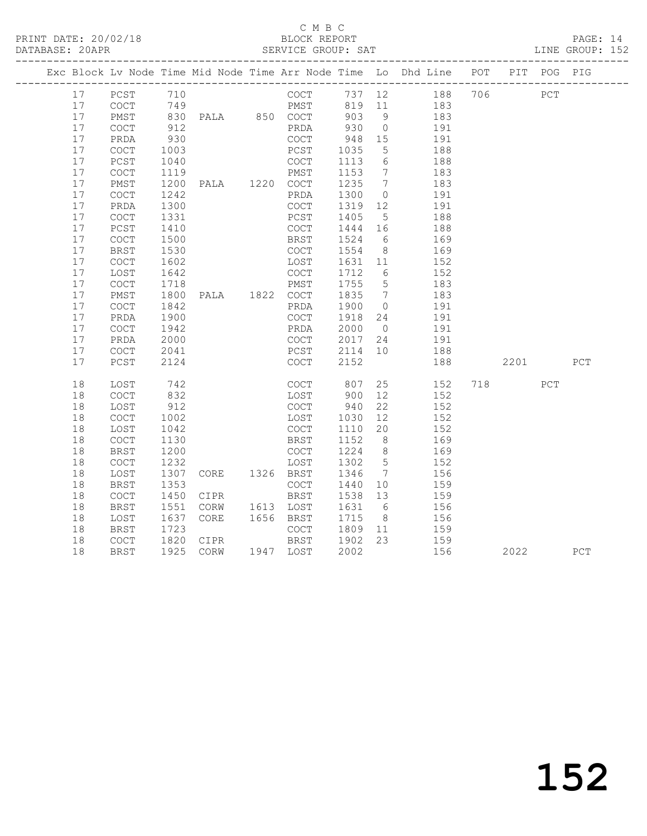### C M B C<br>BLOCK REPORT

PAGE: 14<br>LINE GROUP: 152

|    |                                            |      |                        |              |         |                 | Exc Block Lv Node Time Mid Node Time Arr Node Time Lo Dhd Line POT PIT POG PIG |      |     |             |
|----|--------------------------------------------|------|------------------------|--------------|---------|-----------------|--------------------------------------------------------------------------------|------|-----|-------------|
| 17 | PCST                                       | 710  |                        | COCT         |         |                 | 737 12 188 706 PCT                                                             |      |     |             |
| 17 | COCT                                       |      |                        |              |         |                 | PMST 819 11 183                                                                |      |     |             |
| 17 | PMST                                       |      |                        |              | 903 9   |                 | 183                                                                            |      |     |             |
| 17 | COCT                                       |      |                        |              | 930     | $\overline{0}$  | 191                                                                            |      |     |             |
| 17 | PRDA                                       | 930  |                        | COCT         | 948     | 15              | 191                                                                            |      |     |             |
| 17 | COCT                                       | 1003 |                        | PCST         | 1035    | 5 <sup>5</sup>  | 188                                                                            |      |     |             |
| 17 | PCST                                       | 1040 |                        | COCT         | 1113    | $6\overline{6}$ | 188                                                                            |      |     |             |
| 17 | $\mathtt{C}\mathtt{O}\mathtt{C}\mathtt{T}$ | 1119 |                        | PMST         | 1153    | $7\overline{ }$ | 183                                                                            |      |     |             |
| 17 | PMST                                       | 1200 | PMST<br>PALA 1220 COCT |              | 1235    | $7\overline{ }$ | 183                                                                            |      |     |             |
| 17 | $\mathtt{C}\mathtt{O}\mathtt{C}\mathtt{T}$ | 1242 |                        | PRDA         | 1300    | $\overline{0}$  | 191                                                                            |      |     |             |
| 17 | PRDA                                       | 1300 |                        | COCT         | 1319    | 12              | 191                                                                            |      |     |             |
| 17 | $\mathtt{C}\mathtt{O}\mathtt{C}\mathtt{T}$ | 1331 |                        | PCST         | 1405    | 5 <sup>5</sup>  | 188                                                                            |      |     |             |
| 17 | PCST                                       | 1410 |                        | COCT         | 1444 16 |                 | 188                                                                            |      |     |             |
| 17 | COCT                                       | 1500 |                        | BRST         | 1524    | 6               | 169                                                                            |      |     |             |
| 17 | <b>BRST</b>                                | 1530 |                        | COCT         | 1554 8  |                 | 169                                                                            |      |     |             |
| 17 | COCT                                       | 1602 |                        | LOST         | 1631 11 |                 | 152                                                                            |      |     |             |
| 17 | LOST                                       | 1642 |                        | COCT         | 1712    | 6               | 152                                                                            |      |     |             |
| 17 | COCT                                       | 1718 |                        | PMST         | 1755 5  |                 | 183                                                                            |      |     |             |
| 17 | PMST                                       | 1800 | PALA 1822 COCT         |              | 1835 7  |                 | 183                                                                            |      |     |             |
| 17 | COCT                                       | 1842 |                        | PRDA         | 1900    | $\overline{0}$  | 191                                                                            |      |     |             |
| 17 | PRDA                                       | 1900 |                        | COCT         | 1918    | 24              | 191                                                                            |      |     |             |
| 17 | COCT                                       | 1942 |                        | PRDA         | 2000    | $\bigcirc$      | 191                                                                            |      |     |             |
| 17 | PRDA                                       | 2000 |                        | COCT         | 2017    | 24              | 191                                                                            |      |     |             |
| 17 | COCT                                       | 2041 |                        | PCST         | 2114 10 |                 | 188                                                                            |      |     |             |
| 17 | PCST                                       | 2124 |                        | COCT         | 2152    |                 | 188                                                                            | 2201 |     | PCT         |
| 18 | LOST                                       | 742  |                        | COCT 807     |         |                 | 25<br>152                                                                      | 718  | PCT |             |
| 18 | COCT                                       | 832  |                        | LOST         | 900     | 12              | 152                                                                            |      |     |             |
| 18 | LOST                                       | 912  |                        | COCT         | 940     | 22              | 152                                                                            |      |     |             |
| 18 | COCT                                       | 1002 |                        | LOST         | 1030    | 12              | 152                                                                            |      |     |             |
| 18 | LOST                                       | 1042 |                        | COCT         | 1110 20 |                 | 152                                                                            |      |     |             |
| 18 | COCT                                       | 1130 |                        | BRST         | 1152    | 8 <sup>1</sup>  | 169                                                                            |      |     |             |
| 18 | <b>BRST</b>                                | 1200 |                        | COCT         | 1224    | 8 <sup>8</sup>  | 169                                                                            |      |     |             |
| 18 | COCT                                       | 1232 |                        | LOST         | 1302    | $5^{\circ}$     | 152                                                                            |      |     |             |
| 18 | LOST                                       | 1307 | CORE 1326 BRST         |              | 1346    | $\overline{7}$  | 156                                                                            |      |     |             |
| 18 | BRST                                       | 1353 |                        | COCT         | 1440    | 10              | 159                                                                            |      |     |             |
| 18 | <b>COCT</b>                                | 1450 | CIPR                   | BRST         | 1538 13 |                 | 159                                                                            |      |     |             |
| 18 | <b>BRST</b>                                | 1551 | CORW                   | 1613 LOST    | 1631    | 6               | 156                                                                            |      |     |             |
| 18 | LOST                                       | 1637 | CORE                   | 1656 BRST    | 1715    | 8 <sup>8</sup>  | 156                                                                            |      |     |             |
| 18 | BRST                                       | 1723 |                        | COCT         | 1809 11 |                 | 159                                                                            |      |     |             |
| 18 | COCT                                       | 1820 | CIPR                   | BRST 1902 23 |         |                 | 159                                                                            |      |     |             |
| 18 | <b>BRST</b>                                |      | 1925 CORW              | 1947 LOST    | 2002    |                 | 156                                                                            | 2022 |     | ${\tt PCT}$ |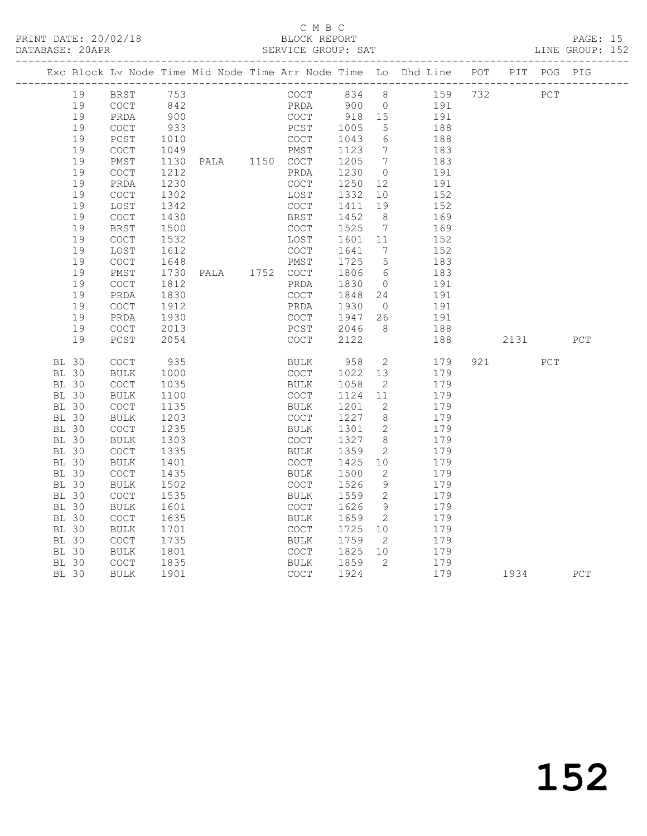### C M B C<br>BLOCK REPORT

PAGE: 15<br>LINE GROUP: 152

|                              |          |                                            |              |                                |                            |                 |                      | Exc Block Lv Node Time Mid Node Time Arr Node Time Lo Dhd Line POT PIT POG PIG |         |     |
|------------------------------|----------|--------------------------------------------|--------------|--------------------------------|----------------------------|-----------------|----------------------|--------------------------------------------------------------------------------|---------|-----|
|                              | 19       | BRST 753                                   |              |                                |                            |                 |                      | COCT 834 8 159 732 PCT                                                         |         |     |
|                              | 19       | COCT                                       | 842          |                                |                            |                 |                      | PRDA 900 0 191                                                                 |         |     |
|                              | 19       | PRDA                                       | 900          |                                | COCT 918 15<br>PCST 1005 5 |                 |                      | 191                                                                            |         |     |
|                              | 19       | COCT                                       | 933          |                                |                            |                 |                      | 188                                                                            |         |     |
|                              | 19       | PCST                                       | 1010         |                                | COCT                       | 1043            | $6\overline{6}$      | 188                                                                            |         |     |
|                              | 19       | $\mathtt{C}\mathtt{O}\mathtt{C}\mathtt{T}$ | 1049         | COCT<br>PMST<br>PALA 1150 COCT |                            | 1123            | $7\overline{ }$      | 183                                                                            |         |     |
|                              | 19       | PMST                                       | 1130         |                                |                            | 1205 7          |                      | 183                                                                            |         |     |
|                              | 19       | $\mathtt{C}\mathtt{O}\mathtt{C}\mathtt{T}$ | 1212         |                                | PRDA                       | 1230            | $\overline{0}$       | 191                                                                            |         |     |
|                              | 19       | PRDA                                       | 1230         |                                | COCT                       | 1250            | 12                   | 191                                                                            |         |     |
|                              | 19       | $\mathtt{C}\mathtt{O}\mathtt{C}\mathtt{T}$ | 1302         |                                | LOST                       | 1332            | 10                   | 152                                                                            |         |     |
|                              | 19       | LOST                                       | 1342         |                                | COCT                       | 1411            | 19<br>8 <sup>8</sup> | 152                                                                            |         |     |
|                              | 19<br>19 | <b>COCT</b><br><b>BRST</b>                 | 1430<br>1500 |                                | BRST<br>COCT               | 1452<br>1525    | $\overline{7}$       | 169<br>169                                                                     |         |     |
|                              | 19       | COCT                                       | 1532         |                                | LOST                       | 1601 11         |                      | 152                                                                            |         |     |
|                              | 19       | LOST                                       | 1612         |                                | COCT                       | 1641            | $\overline{7}$       | 152                                                                            |         |     |
|                              | 19       | $\mathtt{C}\mathtt{O}\mathtt{C}\mathtt{T}$ | 1648         |                                | PMST                       | 1725            | $5\overline{)}$      | 183                                                                            |         |     |
|                              | 19       | PMST                                       | 1730         | PALA 1752 COCT                 |                            | 1806            | 6                    | 183                                                                            |         |     |
|                              | 19       | $\mathtt{C}\mathtt{O}\mathtt{C}\mathtt{T}$ | 1812         |                                | PRDA                       | 1830            | $\overline{0}$       | 191                                                                            |         |     |
|                              | 19       | PRDA                                       | 1830         |                                | COCT                       | 1848            | 24                   | 191                                                                            |         |     |
|                              | 19       | $\mathtt{C}\mathtt{O}\mathtt{C}\mathtt{T}$ | 1912         |                                | PRDA                       | 1930 0          |                      | 191                                                                            |         |     |
|                              | 19       | PRDA                                       | 1930         |                                | COCT 1947 26               |                 |                      | 191                                                                            |         |     |
|                              | 19       | $\mathtt{C}\mathtt{O}\mathtt{C}\mathtt{T}$ | 2013         |                                |                            | 2046            | - 8                  | 188                                                                            |         |     |
|                              | 19       | PCST                                       | 2054         |                                | PCST<br>COCT               | 2122            |                      | 188                                                                            | 2131    | PCT |
| <b>BL 30</b>                 |          | $\mathtt{C}\mathtt{O}\mathtt{C}\mathtt{T}$ | 935          |                                | BULK 958                   |                 |                      | $\overline{2}$<br>179                                                          | 921 PCT |     |
| <b>BL 30</b>                 |          | BULK                                       | 1000         |                                | COCT                       | 1022            | 13                   | 179                                                                            |         |     |
| <b>BL 30</b>                 |          | $\mathtt{C}\mathtt{O}\mathtt{C}\mathtt{T}$ | 1035         |                                | BULK                       | 1058            | $\overline{2}$       | 179                                                                            |         |     |
| <b>BL 30</b>                 |          | BULK                                       | 1100         |                                | COCT                       | 1124 11         |                      | 179                                                                            |         |     |
| <b>BL 30</b>                 |          | $\mathtt{C}\mathtt{O}\mathtt{C}\mathtt{T}$ | 1135         |                                | BULK                       | 1201            | 2                    | 179                                                                            |         |     |
| <b>BL 30</b>                 |          | <b>BULK</b>                                | 1203         |                                | COCT                       | 1227 8          |                      | 179                                                                            |         |     |
| <b>BL 30</b>                 |          | <b>COCT</b>                                | 1235         |                                | BULK                       | 1301            | $\overline{2}$       | 179                                                                            |         |     |
| <b>BL 30</b>                 |          | <b>BULK</b>                                | 1303         |                                | COCT                       | 1327            | 8 <sup>8</sup>       | 179                                                                            |         |     |
| <b>BL 30</b>                 |          | COCT                                       | 1335         |                                | BULK                       | 1359            | 2                    | 179                                                                            |         |     |
| <b>BL 30</b>                 |          | BULK                                       | 1401         |                                | COCT                       | 1425            | 10 <sup>°</sup>      | 179                                                                            |         |     |
| <b>BL 30</b>                 |          | $\mathtt{C}\mathtt{O}\mathtt{C}\mathtt{T}$ | 1435         |                                | BULK                       | 1500            | $\overline{2}$       | 179                                                                            |         |     |
| <b>BL 30</b>                 |          | BULK                                       | 1502         |                                | COCT                       | 1526            | 9                    | 179                                                                            |         |     |
| <b>BL 30</b>                 |          | $\mathtt{C}\mathtt{O}\mathtt{C}\mathtt{T}$ | 1535         |                                | BULK                       | 1559            | $\overline{2}$       | 179                                                                            |         |     |
| <b>BL 30</b>                 |          | BULK                                       | 1601         |                                | COCT                       | 1626            | 9                    | 179                                                                            |         |     |
| <b>BL 30</b>                 |          | COCT                                       | 1635         |                                | BULK                       | 1659            | $\overline{2}$       | 179                                                                            |         |     |
| <b>BL 30</b>                 |          | BULK                                       | 1701         |                                | COCT                       | 1725            | 10                   | 179                                                                            |         |     |
| <b>BL 30</b><br><b>BL 30</b> |          | COCT                                       | 1735<br>1801 |                                | BULK<br>COCT               | 1759<br>1825 10 | $\overline{2}$       | 179<br>179                                                                     |         |     |
| <b>BL 30</b>                 |          | BULK<br>COCT                               |              |                                | BULK                       | 1859            | $\overline{2}$       | 179                                                                            |         |     |
| <b>BL 30</b>                 |          | <b>BULK</b>                                | 1835<br>1901 |                                | COCT                       | 1924            |                      | 179                                                                            | 1934    | PCT |
|                              |          |                                            |              |                                |                            |                 |                      |                                                                                |         |     |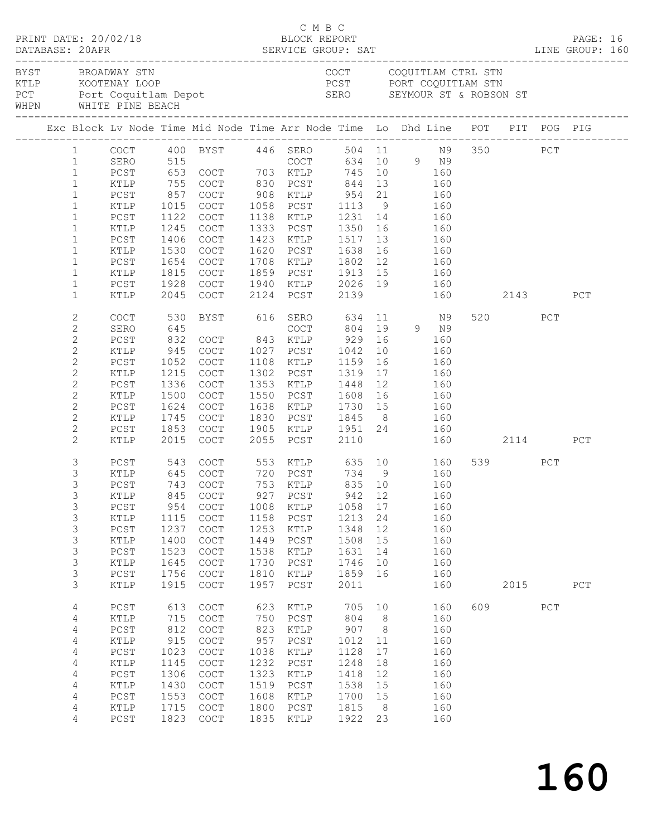| PRINT DATE: 20/02/18<br>BLOCK REPORT BLOCK PERT<br>DATABASE: 20APR SERVICE GROUP: SAT LINE GROUP: 160<br>BYST BROADWAY STN |                                                                                                                                                                                   |                                                                                                |                                                                                  |                                                                                                  |                                                                                  | C M B C                                                                                                                                                                                                                                                                                         |                                                                                   |                                                                                       |               |                                                                           |     |                         |     |     |  |
|----------------------------------------------------------------------------------------------------------------------------|-----------------------------------------------------------------------------------------------------------------------------------------------------------------------------------|------------------------------------------------------------------------------------------------|----------------------------------------------------------------------------------|--------------------------------------------------------------------------------------------------|----------------------------------------------------------------------------------|-------------------------------------------------------------------------------------------------------------------------------------------------------------------------------------------------------------------------------------------------------------------------------------------------|-----------------------------------------------------------------------------------|---------------------------------------------------------------------------------------|---------------|---------------------------------------------------------------------------|-----|-------------------------|-----|-----|--|
|                                                                                                                            |                                                                                                                                                                                   |                                                                                                |                                                                                  |                                                                                                  |                                                                                  | COCT COQUITLAM CTRL STN<br>ENGINEERRY LOOP COUNTLAM CTRL STN<br>FORT COQUITLAM STN<br>PORT COQUITLAM STN<br>PORT COQUITLAM STN<br>FORT COQUITLAM STN<br>FORT COQUITLAM STN<br>FORT COQUITLAM STN<br>FORT COQUITLAM STN<br>SERO SEYMOUR ST & ROBSON ST<br>WHPN WHITE PINE BE                     |                                                                                   |                                                                                       |               |                                                                           |     |                         |     |     |  |
|                                                                                                                            |                                                                                                                                                                                   |                                                                                                |                                                                                  |                                                                                                  |                                                                                  |                                                                                                                                                                                                                                                                                                 |                                                                                   |                                                                                       |               |                                                                           |     |                         |     |     |  |
|                                                                                                                            | $\mathbf{1}$<br>$\mathbf{1}$<br>$\mathbf{1}$<br>$\mathbf{1}$<br>$\mathbf{1}$<br>$\mathbf{1}$                                                                                      | PCST<br>KTLP<br>PCST<br>KTLP<br>PCST                                                           | $857$ $1015$<br>1122<br>1245<br>1406                                             | COCT<br>COCT<br>COCT                                                                             |                                                                                  | 1 COCT 400 BYST 446 SERO 504 11 N9 350 PCT<br>1 SERO 515 COCT 634 10 9 N9<br>1 PCST 653 COCT 703 KTLP 745 10 160<br>KTLP 755 COCT 830 PCST 844<br>COCT 908 KTLP 954 21 160<br>COCT 1058 PCST 1113 9 160<br>1138 KTLP 1231 14 160<br>1333 PCST<br>1423 KTLP 1517 13 160<br>1620 PCST 1638 16 160 | 1350 16 160                                                                       |                                                                                       | 13 160        |                                                                           |     |                         |     |     |  |
|                                                                                                                            | $\mathbf{1}$<br>$\mathbf{1}$<br>$\mathbf{1}$<br>$\mathbf{1}$<br>$\mathbf{1}$                                                                                                      | KTLP<br>PCST<br>KTLP<br>PCST<br>KTLP                                                           | 1530<br>1654<br>1815<br>1928                                                     | COCT<br>COCT<br>COCT<br>COCT<br>2045 COCT                                                        |                                                                                  | 1708 KTLP 1802 12 160<br>1859 PCST 1913 15 160<br>1940 KTLP 2026 19 160<br>2124 PCST 2139 160                                                                                                                                                                                                   |                                                                                   |                                                                                       |               |                                                                           |     | 160 2143                |     | PCT |  |
|                                                                                                                            | $\mathbf{2}$<br>$\mathbf{2}$<br>$\mathbf{2}$<br>$\mathbf{2}$<br>$\mathbf{2}$<br>$\mathbf{2}$<br>$\mathbf{2}$<br>$\mathbf{2}$<br>$\mathbf{2}$<br>$\mathbf{2}$<br>$\mathbf{2}$<br>2 | COCT<br>SERO<br>PCST<br>KTLP<br>PCST<br>KTLP<br>PCST<br>KTLP<br>PCST<br>KTLP<br>PCST<br>KTLP   | 530<br>945<br>1052<br>1215<br>1336<br>1500<br>1624<br>1745<br>1853               | BYST 616 SERO<br>COCT<br>COCT<br>COCT<br>COCT<br>COCT<br>COCT<br>COCT<br>2015 COCT               |                                                                                  | $COCT$ 1027 $PCST$<br>1108 KTLP<br>1302 PCST<br>1353 KTLP 1448 12 160<br>1550 PCST 1608 16 160<br>1638 KTLP 1730 15 160<br>1830 PCST 1845 8 160<br>1905 KTLP 1951 24 160<br>2055 PCST 2110 160                                                                                                  | 634<br>$804$ 19 9 N9<br>929 16 160<br>1042<br>1159<br>1319                        | 10<br>16                                                                              | 160<br>17 160 | 11 N9<br>160                                                              |     | 520 000<br>160 2114 PCT | PCT |     |  |
|                                                                                                                            | $\mathfrak{Z}$<br>$\mathfrak{Z}$<br>3<br>3<br>$\mathsf 3$<br>3<br>$\mathsf 3$<br>3<br>$\mathsf 3$<br>3<br>3                                                                       | PCST<br>KTLP<br>PCST<br>KTLP<br>PCST<br>KTLP<br>PCST<br>KTLP<br>$PCST$<br>KTLP<br>PCST<br>KTLP | 543<br>954<br>1115<br>1237<br>1400<br>1523<br>1645<br>1756<br>1915               | 645 COCT<br>743 COCT<br>845 COCT<br>COCT<br>COCT<br>COCT<br>COCT<br>COCT<br>COCT<br>COCT<br>COCT | 1008<br>1158<br>1253<br>1449<br>1538<br>1730<br>1810<br>1957                     | COCT 553 KTLP 635 10 160<br>COCT 720 PCST 734 9 160<br>COCT 753 KTLP 835 10 160<br>927 PCST<br>KTLP<br>PCST<br>KTLP<br>PCST<br>KTLP<br>PCST<br>KTLP<br>PCST                                                                                                                                     | 1058<br>1213<br>1348<br>1508<br>1631<br>1746<br>1859<br>2011                      | 17<br>24<br>12<br>15<br>14<br>10<br>16                                                |               | 942 12 160<br>160<br>160<br>160<br>160<br>160<br>160<br>160<br>160        |     | 539 PCT<br>2015         |     | PCT |  |
|                                                                                                                            | $\overline{4}$<br>4<br>4<br>4<br>4<br>4<br>4<br>4<br>4<br>4<br>4                                                                                                                  | PCST<br>KTLP<br>PCST<br>KTLP<br>PCST<br>KTLP<br>PCST<br>KTLP<br>PCST<br>KTLP<br>$PCST$         | 613<br>715<br>812<br>915<br>1023<br>1145<br>1306<br>1430<br>1553<br>1715<br>1823 | COCT<br>COCT<br>COCT<br>COCT<br>COCT<br>COCT<br>COCT<br>COCT<br>COCT<br>COCT<br>COCT             | 623<br>750<br>823<br>957<br>1038<br>1232<br>1323<br>1519<br>1608<br>1800<br>1835 | KTLP<br>PCST<br>KTLP<br>PCST<br>KTLP<br>PCST<br>KTLP<br>PCST<br>KTLP<br>PCST<br>KTLP                                                                                                                                                                                                            | 705<br>804<br>907<br>1012<br>1128<br>1248<br>1418<br>1538<br>1700<br>1815<br>1922 | 10 <sub>o</sub><br>8 <sup>8</sup><br>8<br>11<br>17<br>18<br>12<br>15<br>15<br>8<br>23 |               | 160<br>160<br>160<br>160<br>160<br>160<br>160<br>160<br>160<br>160<br>160 | 609 |                         | PCT |     |  |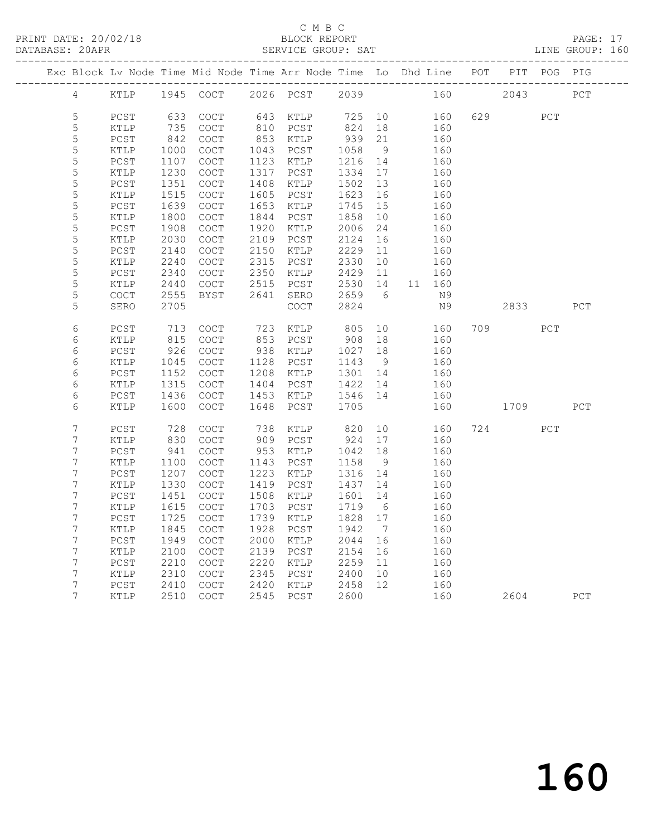## C M B C<br>BLOCK REPORT

|  | DATABASE: 20APR     |                |              |                                                                                |              | SERVICE GROUP: SAT  |                    |                |      |            |      |      | LINE GROUP: 160 |
|--|---------------------|----------------|--------------|--------------------------------------------------------------------------------|--------------|---------------------|--------------------|----------------|------|------------|------|------|-----------------|
|  |                     |                |              | Exc Block Lv Node Time Mid Node Time Arr Node Time Lo Dhd Line POT PIT POG PIG |              |                     |                    |                |      |            |      |      |                 |
|  |                     |                |              | 4 KTLP 1945 COCT 2026 PCST 2039 160 2043 PCT                                   |              |                     |                    |                |      |            |      |      |                 |
|  | 5                   | PCST           | 633          | COCT                                                                           |              | 643 KTLP 725 10 160 |                    |                |      |            | 629  | PCT  |                 |
|  | 5                   | KTLP           | 735          | COCT                                                                           |              | 810 PCST            | 824                | 18             |      | 160        |      |      |                 |
|  | 5                   | PCST           | 842          | $\operatorname{COT}$                                                           |              | 853 KTLP            | 939                | 21             |      | 160        |      |      |                 |
|  | 5                   | KTLP           | 1000         | COCT                                                                           |              | 1043 PCST           | 1058               | 9              |      | 160        |      |      |                 |
|  | 5                   | PCST           | 1107         | COCT                                                                           |              | 1123 KTLP           | 1216               | 14             |      | 160        |      |      |                 |
|  | $\mathsf S$         | KTLP           | 1230         | COCT                                                                           |              | 1317 PCST           | 1334 17            |                |      | 160        |      |      |                 |
|  | 5                   | PCST           | 1351         | $\operatorname{COT}$                                                           | 1408         | KTLP                | 1502               | 13             |      | 160        |      |      |                 |
|  | 5                   | KTLP           | 1515         | COCT                                                                           | 1605         | PCST                | 1623               | 16             |      | 160        |      |      |                 |
|  | 5                   | PCST           | 1639         | COCT                                                                           | 1653         | KTLP                | 1745               | 15             |      | 160        |      |      |                 |
|  | 5                   | KTLP           | 1800         | $\operatorname{COT}$                                                           | 1844         | PCST                | 1858               | 10             |      | 160        |      |      |                 |
|  | 5                   | PCST           | 1908         | COCT                                                                           | 1920         | KTLP                | 2006               | 24             |      | 160        |      |      |                 |
|  | 5                   | KTLP           | 2030         | COCT                                                                           | 2109         | PCST                | 2124               | 16             |      | 160        |      |      |                 |
|  | 5                   | PCST           | 2140         | $\operatorname{COT}$                                                           | 2150         | KTLP                | 2229               | 11             |      | 160        |      |      |                 |
|  | 5                   | KTLP           | 2240         | COCT                                                                           | 2315         | PCST                | 2330               | 10             |      | 160        |      |      |                 |
|  | 5                   | PCST           | 2340         | COCT                                                                           | 2350         | KTLP                | 2429               | 11             |      | 160        |      |      |                 |
|  | 5                   | KTLP           | 2440         | COCT                                                                           | 2515         | PCST                | 2530 14            |                |      | 11 160     |      |      |                 |
|  | 5                   | COCT           | 2555         | BYST                                                                           | 2641         | SERO                | 2659 6             |                |      | N 9        |      |      |                 |
|  | 5                   | SERO           | 2705         |                                                                                |              | COCT                | 2824               |                |      | N9         |      | 2833 | PCT             |
|  | 6                   | PCST           | 713          | COCT                                                                           |              | 723 KTLP            | 805                |                | 10 0 | 160        | 709  | PCT  |                 |
|  | 6                   | KTLP           | 815          | COCT                                                                           |              | 853 PCST            | 908                | 18             |      | 160        |      |      |                 |
|  | 6                   | $PCST$         | 926          | COCT                                                                           | 938          | KTLP                | 1027               | 18             |      | 160        |      |      |                 |
|  | 6                   | KTLP           | 1045         | COCT                                                                           |              | 1128 PCST           | 1143 9             |                |      | 160<br>160 |      |      |                 |
|  | 6                   | PCST           | 1152         | COCT                                                                           | 1208         | KTLP                | 1301 14            |                |      |            |      |      |                 |
|  | 6<br>6              | KTLP<br>$PCST$ | 1315<br>1436 | COCT<br>COCT                                                                   | 1404<br>1453 | PCST<br>KTLP        | 1422 14<br>1546 14 |                |      | 160<br>160 |      |      |                 |
|  | 6                   | KTLP           | 1600         | <b>COCT</b>                                                                    |              | 1648 PCST           | 1705               |                |      | 160        | 1709 |      | PCT             |
|  |                     |                |              |                                                                                |              |                     |                    |                |      |            |      |      |                 |
|  | 7                   | PCST           | 728          | <b>COCT</b>                                                                    | 738          | KTLP                | 820                |                | 10   | 160        | 724  | PCT  |                 |
|  | 7                   | KTLP           | 830          | COCT                                                                           |              | 909 PCST            | 924                | 17             |      | 160        |      |      |                 |
|  | 7                   | PCST           | 941          | COCT                                                                           | 953          | KTLP                | 1042               | 18             |      | 160        |      |      |                 |
|  | 7                   | KTLP           | 1100         | COCT                                                                           | 1143         | PCST                | 1158               | 9              |      | 160        |      |      |                 |
|  | 7                   | PCST           | 1207         | COCT                                                                           | 1223         | KTLP                | 1316 14            |                |      | 160        |      |      |                 |
|  | 7                   | KTLP           | 1330         | COCT                                                                           | 1419         | PCST                | 1437               | 14             |      | 160        |      |      |                 |
|  | 7                   | PCST           | 1451         | COCT                                                                           |              | 1508 KTLP           | 1601 14            |                |      | 160        |      |      |                 |
|  | 7                   | KTLP           | 1615         | COCT                                                                           |              | 1703 PCST           | 1719 6             |                |      | 160        |      |      |                 |
|  | $7^{\circ}$         |                |              | PCST 1725 COCT 1739 KTLP 1828 17 160                                           |              |                     |                    |                |      |            |      |      |                 |
|  | 7                   | KTLP           | 1845         | COCT                                                                           | 1928         | PCST                | 1942               | $\overline{7}$ |      | 160        |      |      |                 |
|  | 7                   | PCST           | 1949         | COCT                                                                           | 2000         | KTLP                | 2044               | 16             |      | 160        |      |      |                 |
|  | 7                   | KTLP           | 2100         | COCT                                                                           | 2139         | PCST                | 2154               | 16             |      | 160        |      |      |                 |
|  | 7                   | PCST           | 2210         | COCT                                                                           | 2220         | KTLP                | 2259               | 11             |      | 160        |      |      |                 |
|  | 7                   | KTLP           | 2310         | COCT                                                                           | 2345         | PCST                | 2400               | 10             |      | 160        |      |      |                 |
|  | 7<br>$7\phantom{.}$ | PCST           | 2410         | COCT                                                                           | 2420         | $\texttt{KTLP}$     | 2458               | 12             |      | 160        |      |      |                 |
|  |                     | KTLP           | 2510         | COCT                                                                           | 2545         | PCST                | 2600               |                |      | 160        | 2604 |      | PCT             |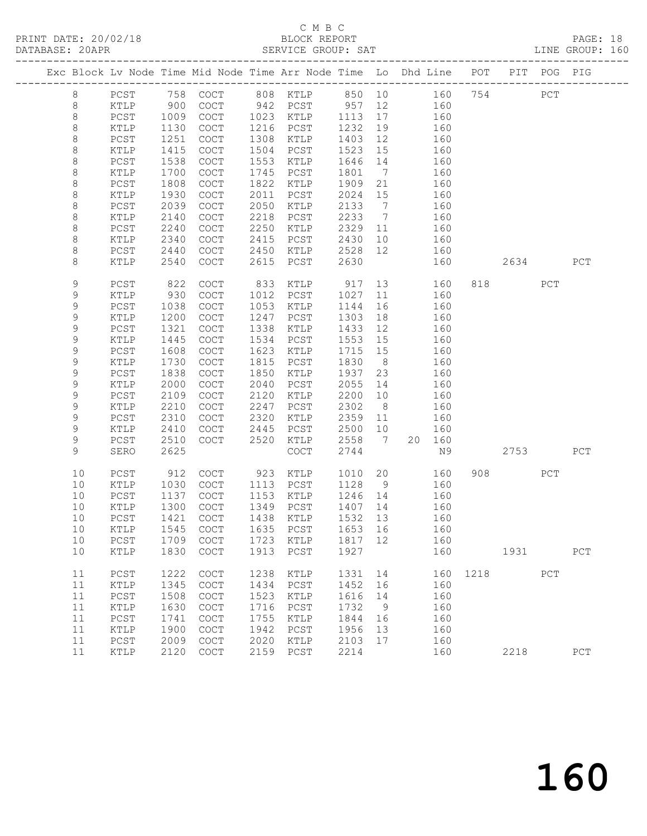PRINT DATE: 20/02/18 BLOCK REPORT BATABASE: 20APR BERVICE GROUP: SAT

# C M B C<br>BLOCK REPORT

PAGE: 18<br>LINE GROUP: 160

|  |                  |              |              |                                            |              | Exc Block Lv Node Time Mid Node Time Arr Node Time Lo Dhd Line POT PIT POG PIG |              |                              |            |             |          |     |     |
|--|------------------|--------------|--------------|--------------------------------------------|--------------|--------------------------------------------------------------------------------|--------------|------------------------------|------------|-------------|----------|-----|-----|
|  |                  |              |              |                                            |              |                                                                                |              |                              |            |             |          |     |     |
|  | $8\,$            | PCST         | 758          | COCT                                       |              | 808 KTLP                                                                       | 850 10       |                              |            | 754<br>160  |          | PCT |     |
|  | $8\,$            | KTLP         | 900          | COCT                                       | 942          | PCST                                                                           | 957          | 12                           | 160        |             |          |     |     |
|  | $\,8\,$          | PCST         | 1009         | COCT                                       | 1023         | KTLP                                                                           | 1113         | 17                           | 160        |             |          |     |     |
|  | 8                | KTLP         | 1130         | COCT                                       | 1216         | PCST                                                                           | 1232         | 19                           | 160        |             |          |     |     |
|  | $\,8\,$          | PCST         | 1251         | $\operatorname{COT}$                       | 1308         | KTLP                                                                           | 1403         | 12                           | 160        |             |          |     |     |
|  | 8                | KTLP         | 1415         | $\operatorname{COT}$                       | 1504         | PCST                                                                           | 1523         | 15                           | 160        |             |          |     |     |
|  | $\,8\,$          | PCST         | 1538<br>1700 | COCT                                       | 1553<br>1745 | KTLP                                                                           | 1646         | 14<br>$7\overline{ }$        | 160        |             |          |     |     |
|  | 8<br>$\,8\,$     | KTLP<br>PCST | 1808         | COCT<br>COCT                               | 1822         | PCST<br>KTLP                                                                   | 1801<br>1909 | 21                           | 160<br>160 |             |          |     |     |
|  | 8                | KTLP         | 1930         | $\operatorname{COT}$                       | 2011         | PCST                                                                           | 2024         | 15                           | 160        |             |          |     |     |
|  | $\,8\,$          | PCST         | 2039         | COCT                                       | 2050         | KTLP                                                                           | 2133         | $\overline{7}$               | 160        |             |          |     |     |
|  | 8                | KTLP         | 2140         | COCT                                       | 2218         | PCST                                                                           | 2233         | $7\phantom{.0}\phantom{.0}7$ | 160        |             |          |     |     |
|  | 8                | PCST         | 2240         | <b>COCT</b>                                | 2250         | KTLP                                                                           | 2329         | 11                           | 160        |             |          |     |     |
|  | 8                | KTLP         | 2340         | $\mathtt{C}\mathtt{O}\mathtt{C}\mathtt{T}$ | 2415         | PCST                                                                           | 2430         | 10                           | 160        |             |          |     |     |
|  | $\,8\,$          | PCST         | 2440         | COCT                                       | 2450         | KTLP                                                                           | 2528         | 12                           | 160        |             |          |     |     |
|  | 8                | KTLP         | 2540         | COCT                                       | 2615         | PCST                                                                           | 2630         |                              | 160        |             | 2634     |     | PCT |
|  |                  |              |              |                                            |              |                                                                                |              |                              |            |             |          |     |     |
|  | $\mathsf 9$      | PCST         | 822          | $\operatorname{COT}$                       | 833          | KTLP                                                                           | 917          | 13                           |            | 160         | 818 — 18 | PCT |     |
|  | $\mathsf 9$      | KTLP         | 930          | COCT                                       | 1012         | PCST                                                                           | 1027         | 11                           | 160        |             |          |     |     |
|  | $\mathsf 9$      | PCST         | 1038         | COCT                                       | 1053         | KTLP                                                                           | 1144         | 16                           | 160        |             |          |     |     |
|  | 9                | KTLP         | 1200         | COCT                                       | 1247         | PCST                                                                           | 1303         | 18                           | 160        |             |          |     |     |
|  | 9                | PCST         | 1321         | $\operatorname{COT}$                       | 1338         | KTLP                                                                           | 1433         | 12                           | 160        |             |          |     |     |
|  | 9                | KTLP         | 1445         | COCT                                       | 1534         | PCST                                                                           | 1553         | 15                           | 160        |             |          |     |     |
|  | $\mathsf 9$      | PCST         | 1608         | COCT                                       | 1623         | KTLP                                                                           | 1715         | 15                           | 160        |             |          |     |     |
|  | 9                | KTLP         | 1730         | COCT                                       | 1815         | PCST                                                                           | 1830         | 8 <sup>8</sup>               | 160        |             |          |     |     |
|  | 9                | PCST         | 1838         | COCT                                       | 1850         | KTLP                                                                           | 1937         | 23                           | 160        |             |          |     |     |
|  | $\mathsf 9$      | KTLP         | 2000         | COCT                                       | 2040         | ${\tt PCST}$                                                                   | 2055         | 14                           | 160        |             |          |     |     |
|  | $\mathsf 9$      | PCST         | 2109         | COCT                                       | 2120         | KTLP                                                                           | 2200         | 10                           | 160        |             |          |     |     |
|  | $\mathsf 9$      | KTLP         | 2210         | COCT                                       | 2247         | PCST                                                                           | 2302         | 8 <sup>8</sup>               | 160        |             |          |     |     |
|  | 9                | PCST         | 2310         | COCT                                       | 2320         | KTLP                                                                           | 2359         | 11                           | 160        |             |          |     |     |
|  | 9<br>$\mathsf 9$ | KTLP         | 2410         | $\operatorname{COT}$                       | 2445<br>2520 | PCST                                                                           | 2500<br>2558 | 10<br>$\overline{7}$         | 160        |             |          |     |     |
|  | 9                | PCST<br>SERO | 2510<br>2625 | COCT                                       |              | KTLP<br>$\mathtt{C}\mathtt{O}\mathtt{C}\mathtt{T}$                             | 2744         |                              | 20 160     | N9          | 2753     |     | PCT |
|  |                  |              |              |                                            |              |                                                                                |              |                              |            |             |          |     |     |
|  | 10               | PCST         | 912          | COCT                                       | 923          | KTLP                                                                           | 1010         | 20                           |            | 160         | 908 8    | PCT |     |
|  | 10               | KTLP         | 1030         | COCT                                       | 1113         | PCST                                                                           | 1128         | 9                            | 160        |             |          |     |     |
|  | 10               | PCST         | 1137         | COCT                                       | 1153         | KTLP                                                                           | 1246         | 14                           | 160        |             |          |     |     |
|  | 10               | KTLP         | 1300         | COCT                                       | 1349         | PCST                                                                           | 1407 14      |                              | 160        |             |          |     |     |
|  | 10               | PCST         | 1421         | COCT                                       |              | 1438 KTLP                                                                      | 1532         | 13                           | 160        |             |          |     |     |
|  | 10               | KTLP         |              |                                            |              | 1545 COCT 1635 PCST 1653 16                                                    |              |                              | 160        |             |          |     |     |
|  | 10               | $PCST$       | 1709         | COCT                                       | 1723         | KTLP                                                                           | 1817         | 12                           |            | 160         |          |     |     |
|  | 10               | KTLP         | 1830         | COCT                                       | 1913         | PCST                                                                           | 1927         |                              |            | 160         | 1931     |     | PCT |
|  | 11               | PCST         | 1222         | COCT                                       | 1238         | KTLP                                                                           | 1331         | 14                           |            | 1218<br>160 |          | PCT |     |
|  | 11               | KTLP         | 1345         | COCT                                       | 1434         | PCST                                                                           | 1452         | 16                           |            | 160         |          |     |     |
|  | 11               | $PCST$       | 1508         | COCT                                       | 1523         | KTLP                                                                           | 1616         | 14                           |            | 160         |          |     |     |
|  | 11               | KTLP         | 1630         | COCT                                       | 1716         | ${\tt PCST}$                                                                   | 1732         | 9                            |            | 160         |          |     |     |
|  | 11               | PCST         | 1741         | COCT                                       | 1755         | KTLP                                                                           | 1844         | 16                           |            | 160         |          |     |     |
|  | 11               | KTLP         | 1900         | COCT                                       | 1942         | PCST                                                                           | 1956         | 13                           |            | 160         |          |     |     |
|  | 11               | PCST         | 2009         | COCT                                       | 2020         | KTLP                                                                           | 2103         | 17                           |            | 160         |          |     |     |
|  | 11               | KTLP         | 2120         | COCT                                       | 2159         | ${\tt PCST}$                                                                   | 2214         |                              |            | 160         | 2218     |     | PCT |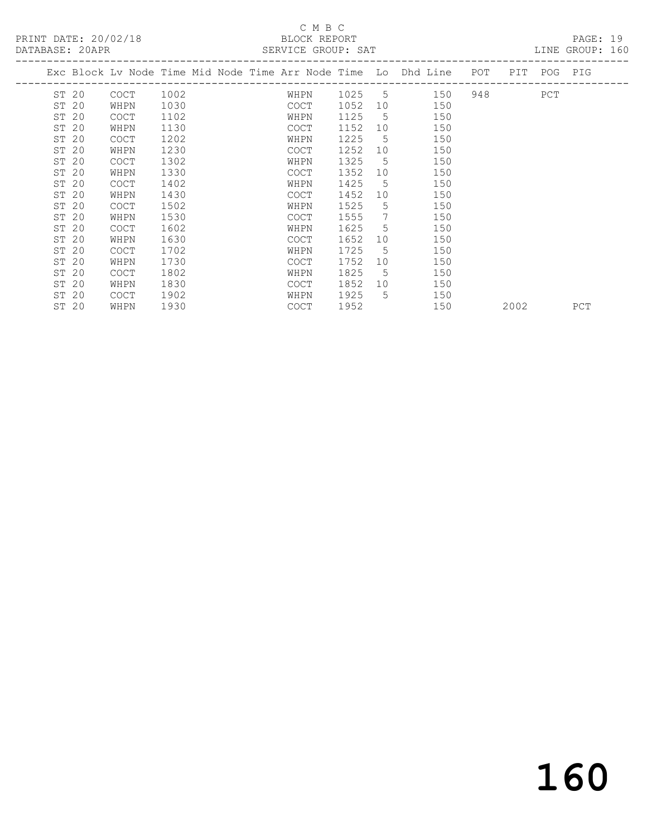PRINT DATE: 20/02/18 BLOCK REPORT PAGE: 19<br>
DATABASE: 2000 PRINT SERVICE CROUP, SAT

# C M B C<br>BLOCK REPORT

| DATABASE: 20APR |                                                                    |      |  |             | SERVICE GROUP: SAT |                |        |     |           |             | LINE GROUP: 160 |  |
|-----------------|--------------------------------------------------------------------|------|--|-------------|--------------------|----------------|--------|-----|-----------|-------------|-----------------|--|
|                 | Exc Block Lv Node Time Mid Node Time Arr Node Time Lo Dhd Line POT |      |  |             |                    |                |        |     |           | PIT POG PIG |                 |  |
| ST 20           | COCT                                                               | 1002 |  | WHPN        |                    |                | 1025 5 | 150 | 948 — 100 | PCT         |                 |  |
| ST 20           | WHPN                                                               | 1030 |  | COCT        | 1052               | 10             |        | 150 |           |             |                 |  |
| ST 20           | <b>COCT</b>                                                        | 1102 |  | WHPN        | 1125               | 5              |        | 150 |           |             |                 |  |
| ST 20           | WHPN                                                               | 1130 |  | COCT        | 1152               | 10             |        | 150 |           |             |                 |  |
| ST 20           | <b>COCT</b>                                                        | 1202 |  | WHPN        | 1225               | $5^{\circ}$    |        | 150 |           |             |                 |  |
| ST 20           | WHPN                                                               | 1230 |  | <b>COCT</b> | 1252               | 10             |        | 150 |           |             |                 |  |
| ST 20           | <b>COCT</b>                                                        | 1302 |  | WHPN        | 1325               | $5^{\circ}$    |        | 150 |           |             |                 |  |
| ST 20           | WHPN                                                               | 1330 |  | COCT        | 1352               | 10             |        | 150 |           |             |                 |  |
| ST 20           | <b>COCT</b>                                                        | 1402 |  | WHPN        | 1425               | $\overline{5}$ |        | 150 |           |             |                 |  |
| ST 20           | WHPN                                                               | 1430 |  | <b>COCT</b> | 1452               | 10             |        | 150 |           |             |                 |  |
| ST 20           | <b>COCT</b>                                                        | 1502 |  | WHPN        | 1525               | 5              |        | 150 |           |             |                 |  |
| ST 20           | WHPN                                                               | 1530 |  | <b>COCT</b> | 1555               | 7              |        | 150 |           |             |                 |  |
| ST 20           | <b>COCT</b>                                                        | 1602 |  | WHPN        | 1625               | $5^{\circ}$    |        | 150 |           |             |                 |  |
| ST 20           | WHPN                                                               | 1630 |  | COCT        | 1652               | 10             |        | 150 |           |             |                 |  |
| ST 20           | <b>COCT</b>                                                        | 1702 |  | WHPN        | 1725               | .5             |        | 150 |           |             |                 |  |
| ST 20           | WHPN                                                               | 1730 |  | <b>COCT</b> | 1752               | 10             |        | 150 |           |             |                 |  |
| ST 20           | <b>COCT</b>                                                        | 1802 |  | WHPN        | 1825               | $5^{\circ}$    |        | 150 |           |             |                 |  |
| ST 20           | WHPN                                                               | 1830 |  | <b>COCT</b> | 1852 10            |                |        | 150 |           |             |                 |  |

ST 20 WHPN 1930 COCT 1952 150 2002 PCT

ST 20 COCT 1902 WHPN 1925 5 150

160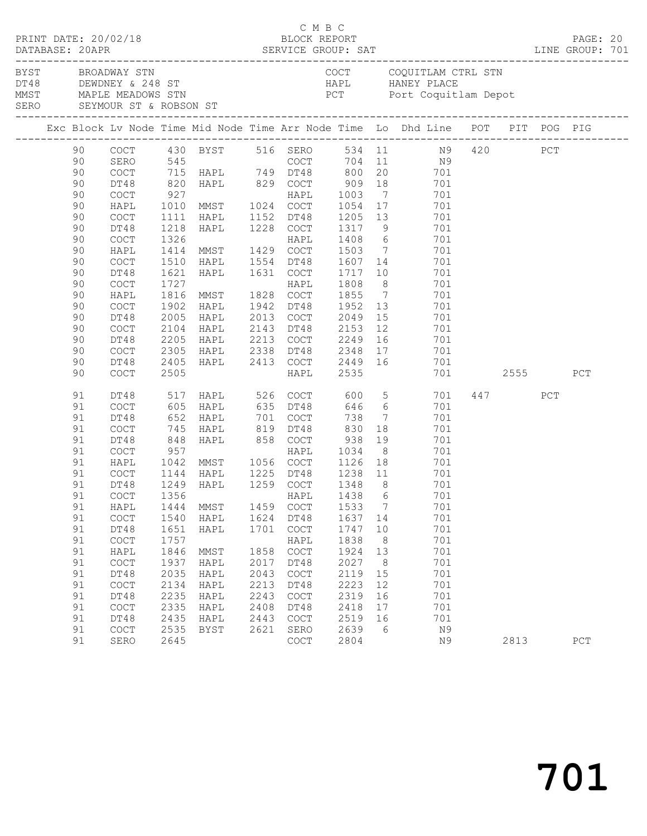| PRINT DATE: 20/02/18 |    |                                            |      |                                                             |      |                                            | C M B C<br>BLOCK REPORT               |                | DATABASE: 20APR SERVICE GROUP: SAT LINE GROUP: 701                                                                                                          |          |     | PAGE: 20 |  |
|----------------------|----|--------------------------------------------|------|-------------------------------------------------------------|------|--------------------------------------------|---------------------------------------|----------------|-------------------------------------------------------------------------------------------------------------------------------------------------------------|----------|-----|----------|--|
|                      |    | BYST BROADWAY STN                          |      |                                                             |      |                                            |                                       |                | COCT COQUITLAM CTRL STN<br>DT48 DEWDNEY & 248 ST<br>MMST MAPLE MEADOWS STN BOOK PCT POTT Coquit1<br>SERO SEYMOUR ST & ROBSON ST<br>PCT Port Coquitlam Depot |          |     |          |  |
|                      |    |                                            |      |                                                             |      |                                            |                                       |                | Exc Block Lv Node Time Mid Node Time Arr Node Time Lo Dhd Line POT PIT POG PIG                                                                              |          |     |          |  |
|                      |    |                                            |      |                                                             |      |                                            |                                       |                | 90 COCT 430 BYST 516 SERO 534 11 N9 420 PCT<br>90 SERO 545 COCT 704 11 N9<br>90 COCT 715 HAPL 749 DT48 800 20 701                                           |          |     |          |  |
|                      |    |                                            |      |                                                             |      |                                            |                                       |                |                                                                                                                                                             |          |     |          |  |
|                      |    |                                            |      |                                                             |      |                                            |                                       |                |                                                                                                                                                             |          |     |          |  |
|                      | 90 | DT48                                       |      |                                                             |      |                                            |                                       |                |                                                                                                                                                             |          |     |          |  |
|                      | 90 | COCT                                       |      |                                                             |      |                                            |                                       |                |                                                                                                                                                             |          |     |          |  |
|                      | 90 | HAPL                                       |      |                                                             |      |                                            |                                       |                |                                                                                                                                                             |          |     |          |  |
|                      | 90 | COCT                                       | 1111 | HAPL 1152 DT48                                              |      |                                            |                                       |                | 1205 13 701                                                                                                                                                 |          |     |          |  |
|                      | 90 | DT48                                       | 1218 | HAPL 1228 COCT                                              |      |                                            |                                       |                | 1317 9 701                                                                                                                                                  |          |     |          |  |
|                      | 90 | $\mathtt{C}\mathtt{O}\mathtt{C}\mathtt{T}$ |      |                                                             |      |                                            | 1408 6<br>1503 7                      |                | 701                                                                                                                                                         |          |     |          |  |
|                      | 90 | HAPL                                       |      |                                                             |      |                                            |                                       |                | 701                                                                                                                                                         |          |     |          |  |
|                      | 90 | COCT                                       |      | 1510 HAPL 1554 DT48                                         |      |                                            | 1607 14                               |                | 701                                                                                                                                                         |          |     |          |  |
|                      | 90 | DT48                                       | 1621 | HAPL 1631 COCT                                              |      |                                            | 1717 10                               |                | 701                                                                                                                                                         |          |     |          |  |
|                      | 90 | COCT                                       | 1727 |                                                             |      |                                            | 1808                                  |                | $\frac{8}{7}$<br>701                                                                                                                                        |          |     |          |  |
|                      | 90 | HAPL                                       |      | 1727<br>1816 MMST - 1828 COCT<br>--- 1942 DT48              |      |                                            | 1855                                  |                | 701                                                                                                                                                         |          |     |          |  |
|                      | 90 | COCT                                       | 1902 | HAPL                                                        |      | 1942 DT48                                  | 1952 13                               |                | 701                                                                                                                                                         |          |     |          |  |
|                      | 90 | DT48                                       | 2005 | HAPL                                                        |      |                                            | 2013 COCT 2049                        |                | 15<br>701                                                                                                                                                   |          |     |          |  |
|                      | 90 | COCT                                       | 2104 | HAPL<br>2104 HAPL<br>2205 HAPL                              |      |                                            |                                       |                | 701                                                                                                                                                         |          |     |          |  |
|                      | 90 | DT48                                       |      |                                                             |      |                                            |                                       |                | 701                                                                                                                                                         |          |     |          |  |
|                      | 90 | COCT                                       |      | 2305 HAPL 2338 DT48 2348                                    |      |                                            |                                       |                | 17 701                                                                                                                                                      |          |     |          |  |
|                      | 90 | DT48                                       |      |                                                             |      |                                            |                                       |                | 2405 HAPL 2413 COCT 2449 16 701                                                                                                                             |          |     |          |  |
|                      | 90 | COCT                                       | 2505 |                                                             |      | HAPL                                       | 2535                                  |                |                                                                                                                                                             | 701 2555 |     | PCT      |  |
|                      | 91 | DT48                                       |      |                                                             |      |                                            |                                       |                | 517 HAPL 526 COCT 600 5 701                                                                                                                                 | 447      | PCT |          |  |
|                      | 91 | COCT                                       |      | 605 HAPL 635 DT48                                           |      |                                            |                                       |                | 646 6<br>701                                                                                                                                                |          |     |          |  |
|                      | 91 | DT48                                       |      |                                                             |      |                                            | 738                                   |                | $7\overline{ }$<br>701                                                                                                                                      |          |     |          |  |
|                      | 91 | COCT                                       |      | 652 HAPL 701 COCT<br>745 HAPL 819 DT48<br>848 HAPL 858 COCT |      |                                            | 830                                   | 18             | 701                                                                                                                                                         |          |     |          |  |
|                      | 91 | DT48                                       |      |                                                             |      |                                            | 938                                   |                | 19<br>701                                                                                                                                                   |          |     |          |  |
|                      | 91 | COCT                                       | 957  |                                                             |      |                                            | HAPL 1034                             |                | 8<br>701                                                                                                                                                    |          |     |          |  |
|                      | 91 | HAPL                                       |      | 1042 MMST 1056 COCT                                         |      |                                            |                                       |                | 1126 18 701                                                                                                                                                 |          |     |          |  |
|                      | 91 | COCT                                       |      | 1144 HAPL    1225 DT48<br>1249 HAPL   1259 COCT             |      |                                            | 1225 DT48 1238 11<br>1259 COCT 1348 8 |                | 701<br>701                                                                                                                                                  |          |     |          |  |
|                      | 91 | DT48                                       |      |                                                             |      |                                            |                                       |                |                                                                                                                                                             |          |     |          |  |
|                      | 91 |                                            |      |                                                             |      |                                            |                                       |                | 701                                                                                                                                                         |          |     |          |  |
|                      | 91 | HAPL                                       | 1444 | MMST                                                        | 1459 | COCT                                       | 1533                                  | $\overline{7}$ | 701                                                                                                                                                         |          |     |          |  |
|                      | 91 | $\operatorname{COT}$                       | 1540 | HAPL                                                        | 1624 | DT48                                       | 1637 14                               |                | 701                                                                                                                                                         |          |     |          |  |
|                      | 91 | DT48                                       | 1651 | HAPL                                                        | 1701 | COCT                                       | 1747                                  | 10             | 701                                                                                                                                                         |          |     |          |  |
|                      | 91 | COCT                                       | 1757 |                                                             |      | HAPL                                       | 1838                                  | 8              | 701                                                                                                                                                         |          |     |          |  |
|                      | 91 | HAPL                                       | 1846 | MMST                                                        | 1858 | $\mathtt{C}\mathtt{O}\mathtt{C}\mathtt{T}$ | 1924                                  | 13             | 701                                                                                                                                                         |          |     |          |  |
|                      | 91 | COCT                                       | 1937 | HAPL                                                        | 2017 | DT48                                       | 2027                                  | 8 <sup>8</sup> | 701                                                                                                                                                         |          |     |          |  |
|                      | 91 | DT48                                       | 2035 | HAPL                                                        | 2043 | COCT                                       | 2119                                  | 15             | 701                                                                                                                                                         |          |     |          |  |
|                      | 91 | COCT                                       | 2134 | HAPL                                                        | 2213 | DT48                                       | 2223                                  | 12             | 701                                                                                                                                                         |          |     |          |  |
|                      | 91 | DT48                                       | 2235 | HAPL                                                        | 2243 | COCT                                       | 2319                                  | 16             | 701                                                                                                                                                         |          |     |          |  |
|                      | 91 | COCT                                       | 2335 | HAPL                                                        | 2408 | DT48                                       | 2418                                  | 17             | 701                                                                                                                                                         |          |     |          |  |
|                      | 91 | DT48                                       | 2435 | HAPL                                                        | 2443 | COCT                                       | 2519                                  | 16             | 701                                                                                                                                                         |          |     |          |  |
|                      | 91 | COCT                                       | 2535 | BYST                                                        | 2621 | SERO                                       | 2639                                  | - 6            | N9                                                                                                                                                          |          |     |          |  |
|                      | 91 | SERO                                       | 2645 |                                                             |      | COCT                                       | 2804                                  |                | N9                                                                                                                                                          | 2813     |     | PCT      |  |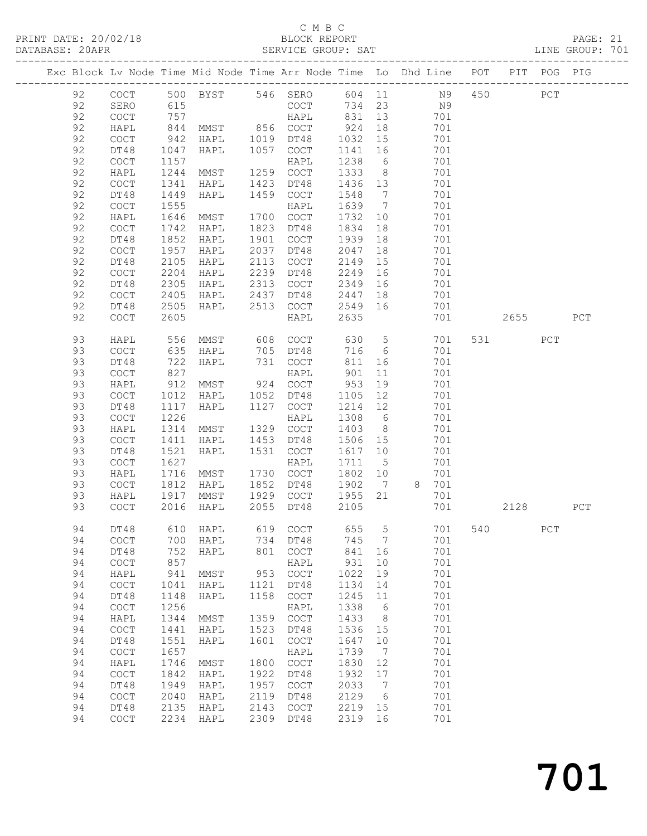## C M B C<br>BLOCK REPORT

| DATABASE: 20APR |    |                                            |                   |                                 |      | SERVICE GROUP: SAT                         |         |                 |                                                                                                                         |     |          |     | LINE GROUP: 701 |
|-----------------|----|--------------------------------------------|-------------------|---------------------------------|------|--------------------------------------------|---------|-----------------|-------------------------------------------------------------------------------------------------------------------------|-----|----------|-----|-----------------|
|                 |    | -------------------                        |                   |                                 |      |                                            |         |                 | -------------------------------------<br>Exc Block Lv Node Time Mid Node Time Arr Node Time Lo Dhd Line POT PIT POG PIG |     |          |     |                 |
|                 | 92 |                                            |                   |                                 |      |                                            |         |                 | COCT 500 BYST 546 SERO 604 11 N9 450 PCT                                                                                |     |          |     |                 |
|                 | 92 | SERO                                       | 615               |                                 |      |                                            |         |                 | COCT 734 23 N9                                                                                                          |     |          |     |                 |
|                 | 92 | $\mathtt{C}\mathtt{O}\mathtt{C}\mathtt{T}$ | 757<br>844<br>942 |                                 |      | HAPL 831                                   |         | 13              | 701                                                                                                                     |     |          |     |                 |
|                 | 92 | HAPL                                       |                   |                                 |      |                                            | 924     | 18              | 701                                                                                                                     |     |          |     |                 |
|                 | 92 | $\mathtt{C}\mathtt{O}\mathtt{C}\mathtt{T}$ |                   | MMST 856 COCT<br>HAPL 1019 DT48 |      |                                            | 1032    | 15              | 701                                                                                                                     |     |          |     |                 |
|                 |    |                                            |                   |                                 |      | 1057 COCT                                  |         |                 |                                                                                                                         |     |          |     |                 |
|                 | 92 | DT48                                       | 1047              | HAPL                            |      |                                            | 1141    | 16              | 701                                                                                                                     |     |          |     |                 |
|                 | 92 | COCT                                       | 1157              | HAPL<br>MMST 1259 COCT          |      |                                            | 1238    | $6\overline{6}$ | 701                                                                                                                     |     |          |     |                 |
|                 | 92 | HAPL                                       | 1244              |                                 |      |                                            | 1333    | 8 <sup>8</sup>  | 701                                                                                                                     |     |          |     |                 |
|                 | 92 | COCT                                       | 1341              | HAPL                            | 1423 | DT48                                       | 1436 13 |                 | 701                                                                                                                     |     |          |     |                 |
|                 | 92 | DT48                                       | 1449              | HAPL                            | 1459 | COCT                                       | 1548    | $\overline{7}$  | 701                                                                                                                     |     |          |     |                 |
|                 | 92 | COCT                                       | 1555              |                                 |      | HAPL                                       | 1639    | $7\overline{ }$ | 701                                                                                                                     |     |          |     |                 |
|                 | 92 | HAPL                                       | 1646              | MMST                            |      | 1700 COCT                                  | 1732    | 10              | 701                                                                                                                     |     |          |     |                 |
|                 | 92 | COCT                                       | 1742              | HAPL                            |      | 1823 DT48                                  | 1834    | 18              | 701                                                                                                                     |     |          |     |                 |
|                 | 92 | DT48                                       | 1852              | HAPL                            |      | 1901 COCT                                  | 1939    | 18              | 701                                                                                                                     |     |          |     |                 |
|                 | 92 | COCT                                       | 1957              | HAPL                            | 2037 | DT48                                       | 2047    | 18              | 701                                                                                                                     |     |          |     |                 |
|                 | 92 | DT48                                       | 2105              | HAPL                            |      | 2113 COCT                                  | 2149    | 15              | 701                                                                                                                     |     |          |     |                 |
|                 |    |                                            |                   |                                 |      |                                            |         |                 |                                                                                                                         |     |          |     |                 |
|                 | 92 | COCT                                       | 2204              | HAPL                            | 2239 | DT48                                       | 2249    | 16              | 701                                                                                                                     |     |          |     |                 |
|                 | 92 | DT48                                       | 2305              | HAPL                            | 2313 | COCT                                       | 2349    | 16              | 701                                                                                                                     |     |          |     |                 |
|                 | 92 | COCT                                       | 2405              | HAPL                            | 2437 | DT48                                       | 2447    | 18              | 701                                                                                                                     |     |          |     |                 |
|                 | 92 | DT48                                       | 2505              | HAPL                            |      | 2513 COCT                                  | 2549 16 |                 | 701                                                                                                                     |     |          |     |                 |
|                 | 92 | $\mathtt{C}\mathtt{O}\mathtt{C}\mathtt{T}$ | 2605              |                                 |      | HAPL                                       | 2635    |                 | 701                                                                                                                     |     | 2655 200 |     | PCT             |
|                 | 93 | HAPL                                       | 556               | MMST 608 COCT                   |      |                                            | 630     | $5\overline{)}$ | 701                                                                                                                     |     | 531 7    | PCT |                 |
|                 | 93 | $\mathtt{C}\mathtt{O}\mathtt{C}\mathtt{T}$ |                   | HAPL                            |      |                                            | 716     | 6               | 701                                                                                                                     |     |          |     |                 |
|                 | 93 | DT48                                       | 635<br>722        | HAPL                            |      | 705 DT48<br>731 COCT                       | 811     | 16              | 701                                                                                                                     |     |          |     |                 |
|                 | 93 | COCT                                       | 827               |                                 |      | HAPL                                       | 901     | 11              | 701                                                                                                                     |     |          |     |                 |
|                 | 93 | HAPL                                       | 912               | MMST 924 COCT                   |      |                                            | 953     | 19              | 701                                                                                                                     |     |          |     |                 |
|                 | 93 | $\mathtt{C}\mathtt{O}\mathtt{C}\mathtt{T}$ | 1012              | HAPL                            |      | 1052 DT48                                  | 1105    | 12              | 701                                                                                                                     |     |          |     |                 |
|                 | 93 | DT48                                       | 1117              | HAPL 1127 COCT                  |      |                                            | 1214    | 12              | 701                                                                                                                     |     |          |     |                 |
|                 | 93 |                                            |                   |                                 |      |                                            |         |                 |                                                                                                                         |     |          |     |                 |
|                 |    | COCT                                       | 1226              |                                 |      | HAPL                                       | 1308    | $6\overline{6}$ | 701                                                                                                                     |     |          |     |                 |
|                 | 93 | HAPL                                       | 1314              | MMST                            |      | 1329 COCT                                  | 1403    | 8 <sup>8</sup>  | 701                                                                                                                     |     |          |     |                 |
|                 | 93 | COCT                                       | 1411              | HAPL                            | 1453 | DT48                                       | 1506    | 15              | 701                                                                                                                     |     |          |     |                 |
|                 | 93 | DT48                                       | 1521              | HAPL                            |      | 1531 COCT                                  | 1617 10 |                 | 701                                                                                                                     |     |          |     |                 |
|                 | 93 | COCT                                       | 1627              |                                 |      | HAPL                                       | 1711    | $5\overline{)}$ | 701                                                                                                                     |     |          |     |                 |
|                 | 93 | HAPL                                       | 1716              | MMST                            |      | 1730 COCT                                  | 1802 10 |                 | 701                                                                                                                     |     |          |     |                 |
|                 | 93 | COCT                                       | 1812              | HAPL                            |      | 1852 DT48                                  | 1902    | $7\overline{ }$ | 8 701                                                                                                                   |     |          |     |                 |
|                 | 93 | HAPL                                       | 1917              | MMST                            |      | 1929 COCT                                  | 1955 21 |                 | 701                                                                                                                     |     |          |     |                 |
|                 | 93 | <b>COCT</b>                                |                   | $2016$ HAPL                     |      | 2055 DT48                                  | 2105    |                 | 701                                                                                                                     |     | 2128     |     | PCT             |
|                 | 94 | DT48                                       | 610               | HAPL                            | 619  | COCT                                       | 655     | 5               | 701                                                                                                                     | 540 |          | PCT |                 |
|                 | 94 | $\mathtt{C}\mathtt{O}\mathtt{C}\mathtt{T}$ | 700               | HAPL                            | 734  | DT48                                       | 745     | 7               | 701                                                                                                                     |     |          |     |                 |
|                 | 94 | DT48                                       | 752               | HAPL                            | 801  | COCT                                       | 841     | 16              | 701                                                                                                                     |     |          |     |                 |
|                 | 94 | COCT                                       | 857               |                                 |      | HAPL                                       | 931     | 10              | 701                                                                                                                     |     |          |     |                 |
|                 |    |                                            |                   |                                 |      |                                            |         |                 |                                                                                                                         |     |          |     |                 |
|                 | 94 | HAPL                                       | 941               | MMST                            | 953  | COCT                                       | 1022    | 19              | 701                                                                                                                     |     |          |     |                 |
|                 | 94 | $\mathtt{C}\mathtt{O}\mathtt{C}\mathtt{T}$ | 1041              | HAPL                            | 1121 | DT48                                       | 1134    | 14              | 701                                                                                                                     |     |          |     |                 |
|                 | 94 | DT48                                       | 1148              | HAPL                            | 1158 | COCT                                       | 1245    | 11              | 701                                                                                                                     |     |          |     |                 |
|                 | 94 | COCT                                       | 1256              |                                 |      | HAPL                                       | 1338    | 6               | 701                                                                                                                     |     |          |     |                 |
|                 | 94 | HAPL                                       | 1344              | MMST                            | 1359 | COCT                                       | 1433    | 8               | 701                                                                                                                     |     |          |     |                 |
|                 | 94 | $\mathtt{C}\mathtt{O}\mathtt{C}\mathtt{T}$ | 1441              | HAPL                            | 1523 | DT48                                       | 1536    | 15              | 701                                                                                                                     |     |          |     |                 |
|                 | 94 | DT48                                       | 1551              | HAPL                            | 1601 | COCT                                       | 1647    | 10              | 701                                                                                                                     |     |          |     |                 |
|                 | 94 | COCT                                       | 1657              |                                 |      | HAPL                                       | 1739    | 7               | 701                                                                                                                     |     |          |     |                 |
|                 | 94 | HAPL                                       | 1746              | MMST                            | 1800 | $\mathtt{C}\mathtt{O}\mathtt{C}\mathtt{T}$ | 1830    | 12              | 701                                                                                                                     |     |          |     |                 |
|                 | 94 | COCT                                       | 1842              | HAPL                            | 1922 | DT48                                       | 1932    | 17              | 701                                                                                                                     |     |          |     |                 |
|                 |    |                                            |                   |                                 |      |                                            |         |                 |                                                                                                                         |     |          |     |                 |
|                 | 94 | DT48                                       | 1949              | HAPL                            | 1957 | COCT                                       | 2033    | 7               | 701                                                                                                                     |     |          |     |                 |
|                 | 94 | COCT                                       | 2040              | HAPL                            | 2119 | DT48                                       | 2129    | 6               | 701                                                                                                                     |     |          |     |                 |
|                 | 94 | DT48                                       | 2135              | HAPL                            | 2143 | $\mathtt{C}\mathtt{O}\mathtt{C}\mathtt{T}$ | 2219    | 15              | 701                                                                                                                     |     |          |     |                 |
|                 | 94 | $\mathtt{C}\mathtt{O}\mathtt{C}\mathtt{T}$ | 2234              | HAPL                            | 2309 | DT48                                       | 2319    | 16              | 701                                                                                                                     |     |          |     |                 |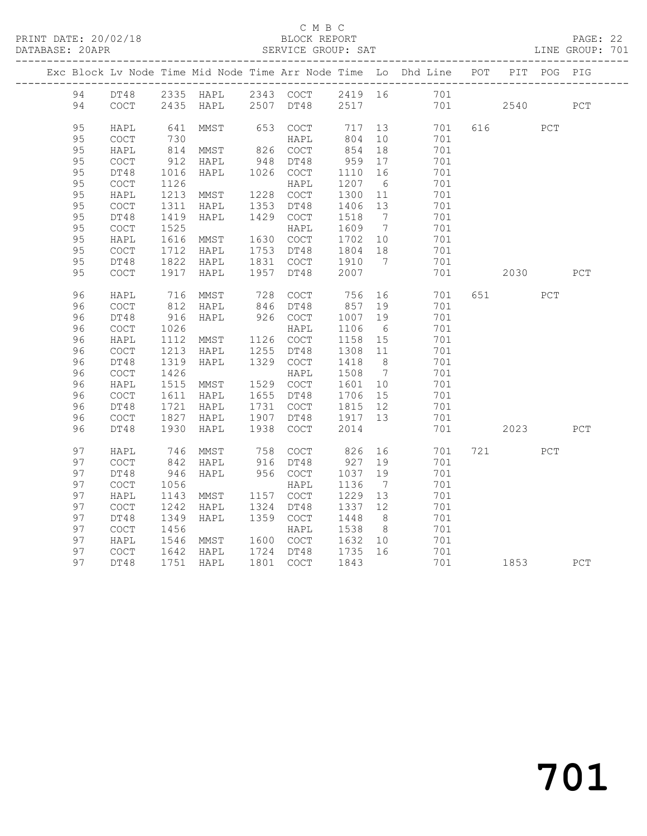#### C M B C<br>BLOCK REPORT

PAGE: 22<br>LINE GROUP: 701

|  |          |                                            |              |                                 |      |                                            |                 |                              | Exc Block Lv Node Time Mid Node Time Arr Node Time Lo Dhd Line POT |     |                                                                                                                                                                                                                                 | PIT POG PIG |     |
|--|----------|--------------------------------------------|--------------|---------------------------------|------|--------------------------------------------|-----------------|------------------------------|--------------------------------------------------------------------|-----|---------------------------------------------------------------------------------------------------------------------------------------------------------------------------------------------------------------------------------|-------------|-----|
|  | 94       |                                            |              |                                 |      |                                            |                 |                              | DT48 2335 HAPL 2343 COCT 2419 16 701                               |     |                                                                                                                                                                                                                                 |             |     |
|  | 94       | COCT                                       |              | 2435 HAPL                       |      | 2507 DT48 2517                             |                 |                              | 701                                                                |     | 2540                                                                                                                                                                                                                            |             | PCT |
|  | 95       | HAPL                                       | 641          | $\operatorname{MMS} \mathbb{T}$ | 653  | COCT                                       | 717             |                              | 701<br>13                                                          |     | 616                                                                                                                                                                                                                             | PCT         |     |
|  | 95       | <b>COCT</b>                                | 730          |                                 |      | HAPL                                       | 804             | 10                           | 701                                                                |     |                                                                                                                                                                                                                                 |             |     |
|  | 95       | HAPL                                       | 814          | MMST                            |      | 826 COCT                                   | 854             | 18                           | 701                                                                |     |                                                                                                                                                                                                                                 |             |     |
|  | 95       | <b>COCT</b>                                | 912          | HAPL                            | 948  | DT48                                       | 959             | 17                           | 701                                                                |     |                                                                                                                                                                                                                                 |             |     |
|  | 95       | DT48                                       | 1016         | HAPL                            |      | 1026 COCT                                  | 1110            | 16                           | 701                                                                |     |                                                                                                                                                                                                                                 |             |     |
|  | 95       | $\mathtt{C}\mathtt{O}\mathtt{C}\mathtt{T}$ | 1126         |                                 |      | HAPL                                       | 1207            | $6\overline{6}$              | 701                                                                |     |                                                                                                                                                                                                                                 |             |     |
|  | 95       | HAPL                                       | 1213         | MMST                            | 1228 | COCT                                       | 1300            | 11                           | 701                                                                |     |                                                                                                                                                                                                                                 |             |     |
|  | 95       | COCT                                       | 1311         | HAPL                            | 1353 | DT48                                       | 1406            | 13                           | 701                                                                |     |                                                                                                                                                                                                                                 |             |     |
|  | 95       | DT48                                       | 1419         | HAPL                            | 1429 | COCT                                       | 1518            | $7\phantom{.0}\phantom{.0}7$ | 701                                                                |     |                                                                                                                                                                                                                                 |             |     |
|  | 95       | $\mathtt{C}\mathtt{O}\mathtt{C}\mathtt{T}$ | 1525         |                                 |      | HAPL                                       | 1609            | $\overline{7}$               | 701                                                                |     |                                                                                                                                                                                                                                 |             |     |
|  | 95       | HAPL                                       | 1616         | MMST                            |      | 1630 COCT                                  | 1702            | 10                           | 701                                                                |     |                                                                                                                                                                                                                                 |             |     |
|  | 95       | COCT                                       | 1712         | HAPL                            | 1753 | DT48                                       | 1804            | 18                           | 701                                                                |     |                                                                                                                                                                                                                                 |             |     |
|  | 95       | DT48                                       | 1822         | HAPL                            |      | 1831 COCT                                  | 1910            | $\overline{7}$               | 701                                                                |     |                                                                                                                                                                                                                                 |             |     |
|  | 95       | $\mathtt{C}\mathtt{O}\mathtt{C}\mathtt{T}$ | 1917         | HAPL                            | 1957 | DT48                                       | 2007            |                              | 701                                                                |     | 2030                                                                                                                                                                                                                            |             | PCT |
|  | 96       | HAPL                                       | 716          | MMST                            | 728  | COCT                                       | 756             | 16                           | 701                                                                |     | 651 000                                                                                                                                                                                                                         | PCT         |     |
|  | 96       | COCT                                       | 812          | HAPL                            |      | 846 DT48                                   | 857             | 19                           | 701                                                                |     |                                                                                                                                                                                                                                 |             |     |
|  | 96       | DT48                                       | 916          | HAPL                            |      | 926 COCT                                   | 1007            | 19                           | 701                                                                |     |                                                                                                                                                                                                                                 |             |     |
|  | 96       | $\mathtt{C}\mathtt{O}\mathtt{C}\mathtt{T}$ | 1026         |                                 |      | HAPL                                       | 1106            | 6                            | 701                                                                |     |                                                                                                                                                                                                                                 |             |     |
|  | 96       | HAPL                                       | 1112         | MMST                            |      | 1126 COCT                                  | 1158            | 15                           | 701                                                                |     |                                                                                                                                                                                                                                 |             |     |
|  | 96       | COCT                                       | 1213         | HAPL                            | 1255 | DT48                                       | 1308            | 11                           | 701                                                                |     |                                                                                                                                                                                                                                 |             |     |
|  | 96       | DT48                                       | 1319         | HAPL                            |      | 1329 COCT                                  | 1418            | 8 <sup>8</sup>               | 701                                                                |     |                                                                                                                                                                                                                                 |             |     |
|  | 96       | COCT                                       | 1426         |                                 |      | HAPL                                       | 1508            | $7\phantom{0}$               | 701                                                                |     |                                                                                                                                                                                                                                 |             |     |
|  | 96       | HAPL                                       | 1515         | MMST                            |      | 1529 COCT                                  | 1601            | 10                           | 701                                                                |     |                                                                                                                                                                                                                                 |             |     |
|  | 96       | COCT                                       | 1611         | HAPL                            | 1655 | DT48                                       | 1706            | 15                           | 701                                                                |     |                                                                                                                                                                                                                                 |             |     |
|  | 96<br>96 | DT48                                       | 1721<br>1827 | HAPL                            | 1907 | 1731 COCT<br>DT48                          | 1815<br>1917 13 | 12                           | 701<br>701                                                         |     |                                                                                                                                                                                                                                 |             |     |
|  | 96       | COCT<br>DT48                               | 1930         | HAPL<br>HAPL                    | 1938 | COCT                                       | 2014            |                              | 701                                                                |     | 2023                                                                                                                                                                                                                            |             | PCT |
|  |          |                                            |              |                                 |      |                                            |                 |                              |                                                                    |     |                                                                                                                                                                                                                                 |             |     |
|  | 97       | HAPL                                       | 746          | MMST                            | 758  | $\mathtt{C}\mathtt{O}\mathtt{C}\mathtt{T}$ | 826             | 16                           | 701                                                                | 721 |                                                                                                                                                                                                                                 | PCT         |     |
|  | 97       | COCT                                       | 842          | HAPL                            | 916  | DT48                                       | 927             | 19                           | 701                                                                |     |                                                                                                                                                                                                                                 |             |     |
|  | 97       | DT48                                       | 946          | HAPL                            |      | 956 COCT                                   | 1037            | 19                           | 701                                                                |     |                                                                                                                                                                                                                                 |             |     |
|  | 97       | $\mathtt{C}\mathtt{O}\mathtt{C}\mathtt{T}$ | 1056         |                                 |      | HAPL                                       | 1136            | $\overline{7}$               | 701                                                                |     |                                                                                                                                                                                                                                 |             |     |
|  | 97       | HAPL                                       | 1143         | MMST                            |      | 1157 COCT                                  | 1229            | 13                           | 701                                                                |     |                                                                                                                                                                                                                                 |             |     |
|  | 97       | <b>COCT</b>                                | 1242         | HAPL                            | 1324 | DT48                                       | 1337            | 12                           | 701                                                                |     |                                                                                                                                                                                                                                 |             |     |
|  | 97       | DT48                                       | 1349         | HAPL                            |      | 1359 COCT                                  | 1448            | 8 <sup>8</sup>               | 701                                                                |     |                                                                                                                                                                                                                                 |             |     |
|  | 97       | $\mathtt{C}\mathtt{O}\mathtt{C}\mathtt{T}$ | 1456         |                                 |      | HAPL                                       | 1538            | 8 <sup>8</sup>               | 701                                                                |     |                                                                                                                                                                                                                                 |             |     |
|  | 97       | HAPL                                       | 1546         | MMST                            |      | 1600 COCT                                  | 1632            | 10                           | 701                                                                |     |                                                                                                                                                                                                                                 |             |     |
|  | 97       | <b>COCT</b>                                | 1642         | HAPL                            |      | 1724 DT48                                  | 1735            | 16                           | 701                                                                |     |                                                                                                                                                                                                                                 |             |     |
|  | 97       | DT48                                       |              | 1751 HAPL                       |      | 1801 COCT                                  | 1843            |                              | 701                                                                |     | 1853 — 1853 — 1864 — 1865 — 1865 — 1865 — 1865 — 1865 — 1866 — 1866 — 1870 — 1886 — 1886 — 1886 — 1886 — 1886 — 1886 — 1886 — 1886 — 1886 — 1886 — 1886 — 1886 — 1886 — 1886 — 1886 — 1886 — 1886 — 1886 — 1886 — 1886 — 1886 — |             | PCT |

701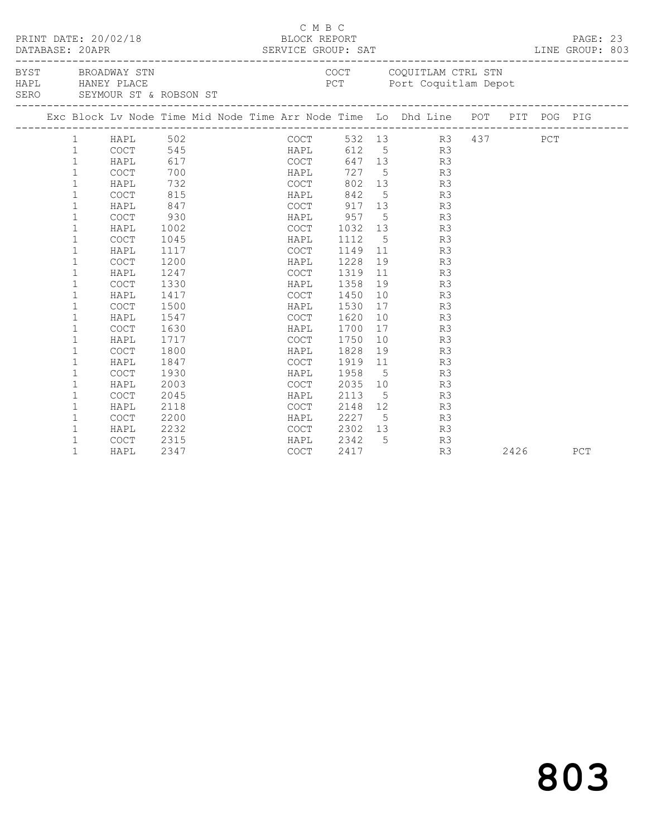|  |              | PRINT DATE: 20/02/18 |                                                  |  | C M B C<br>BLOCK REPORT |                             |    |                                                                                |  |      | PAGE: 23<br>LINE GROUP: 803 |  |
|--|--------------|----------------------|--------------------------------------------------|--|-------------------------|-----------------------------|----|--------------------------------------------------------------------------------|--|------|-----------------------------|--|
|  |              | HAPL HANEY PLACE     | BYST BROADWAY STN<br>SERO SEYMOUR ST & ROBSON ST |  |                         |                             |    | COCT COQUITLAM CTRL STN<br>PCT Port Coquitlam Depot                            |  |      |                             |  |
|  |              |                      |                                                  |  |                         |                             |    | Exc Block Lv Node Time Mid Node Time Arr Node Time Lo Dhd Line POT PIT POG PIG |  |      |                             |  |
|  |              |                      |                                                  |  |                         |                             |    | COCT 532 13 R3 437 PCT<br>HAPL 612 5 R3<br>COCT 647 13 R3                      |  |      |                             |  |
|  |              |                      |                                                  |  |                         |                             |    |                                                                                |  |      |                             |  |
|  |              |                      |                                                  |  |                         |                             |    |                                                                                |  |      |                             |  |
|  |              |                      |                                                  |  | HAPL                    |                             |    | 727 5 R3                                                                       |  |      |                             |  |
|  | $\mathbf 1$  | HAPL                 | 732                                              |  | COCT                    |                             |    | 802 13 R3                                                                      |  |      |                             |  |
|  | 1            | COCT                 | 815                                              |  |                         |                             |    | HAPL 842 5 R3                                                                  |  |      |                             |  |
|  | $\mathbf 1$  | HAPL                 | 847                                              |  |                         |                             |    | COCT 917 13 R3                                                                 |  |      |                             |  |
|  | $\mathbf{1}$ | COCT                 | 930                                              |  |                         |                             |    | HAPL 957 5 R3                                                                  |  |      |                             |  |
|  | $\mathbf 1$  | HAPL                 | 1002                                             |  | COCT 1032 13            |                             |    | R3                                                                             |  |      |                             |  |
|  | $\mathbf 1$  | COCT                 | 1045                                             |  | HAPL                    | 1112                        |    | $5\overline{}$<br>R3                                                           |  |      |                             |  |
|  | $\mathbf 1$  | HAPL                 | 1117                                             |  | COCT                    |                             |    | 1149 11<br>R3                                                                  |  |      |                             |  |
|  | $\mathbf 1$  | <b>COCT</b>          | 1200                                             |  | HAPL                    | 1228                        |    | 19 R3                                                                          |  |      |                             |  |
|  | $\mathbf 1$  | HAPL                 | 1247                                             |  | COCT                    | 1319                        |    | 11<br>R3                                                                       |  |      |                             |  |
|  | $\mathbf{1}$ | COCT                 | 1330                                             |  | HAPL                    | 1358                        | 19 | R3                                                                             |  |      |                             |  |
|  | $\mathbf 1$  | HAPL                 | 1417                                             |  | COCT                    | 1450                        | 10 | R3                                                                             |  |      |                             |  |
|  | $\mathbf{1}$ | <b>COCT</b>          | 1500                                             |  | HAPL                    | 1530                        |    | 17<br>R3                                                                       |  |      |                             |  |
|  | $\mathbf{1}$ | HAPL                 | 1547                                             |  | COCT                    | 1620                        |    | 10<br>R3                                                                       |  |      |                             |  |
|  | $\mathbf 1$  | <b>COCT</b>          | 1630                                             |  | HAPL                    | 1700                        |    | 17<br>R3                                                                       |  |      |                             |  |
|  | $\mathbf 1$  | HAPL                 | 1717                                             |  | COCT                    | 1750                        |    | 10<br>R3                                                                       |  |      |                             |  |
|  | 1            | COCT                 | 1800                                             |  | HAPL                    | 1828                        |    | 19<br>R3                                                                       |  |      |                             |  |
|  | $\mathbf 1$  | HAPL                 | 1847                                             |  | COCT                    | 1919                        |    | 11 7<br>R3                                                                     |  |      |                             |  |
|  | $\mathbf{1}$ | COCT                 | 1930                                             |  | HAPL                    | 1958                        |    | $5\overline{}$<br>R3                                                           |  |      |                             |  |
|  | $\mathbf{1}$ | HAPL                 | 2003                                             |  | <b>COCT</b>             | 2035                        |    | 10<br>R3                                                                       |  |      |                             |  |
|  | $\mathbf 1$  | <b>COCT</b>          | 2045                                             |  | HAPL                    | 2113                        |    | R3<br>$5\overline{}$                                                           |  |      |                             |  |
|  | $\mathbf 1$  | HAPL                 | 2118                                             |  | COCT                    |                             |    | 2148 12<br>R3                                                                  |  |      |                             |  |
|  | $\mathbf 1$  | COCT                 | 2200                                             |  | HAPL                    | 2227 5<br>2302 13<br>2342 5 |    | R3                                                                             |  |      |                             |  |
|  | $\mathbf 1$  | HAPL                 | 2232                                             |  | COCT                    |                             |    | R3                                                                             |  |      |                             |  |
|  | $\mathbf{1}$ | COCT                 | 2315                                             |  | HAPL                    |                             |    | R3                                                                             |  |      |                             |  |
|  | $\mathbf{1}$ | HAPL                 | 2347                                             |  | COCT                    | 2417                        |    | R3                                                                             |  | 2426 | PCT                         |  |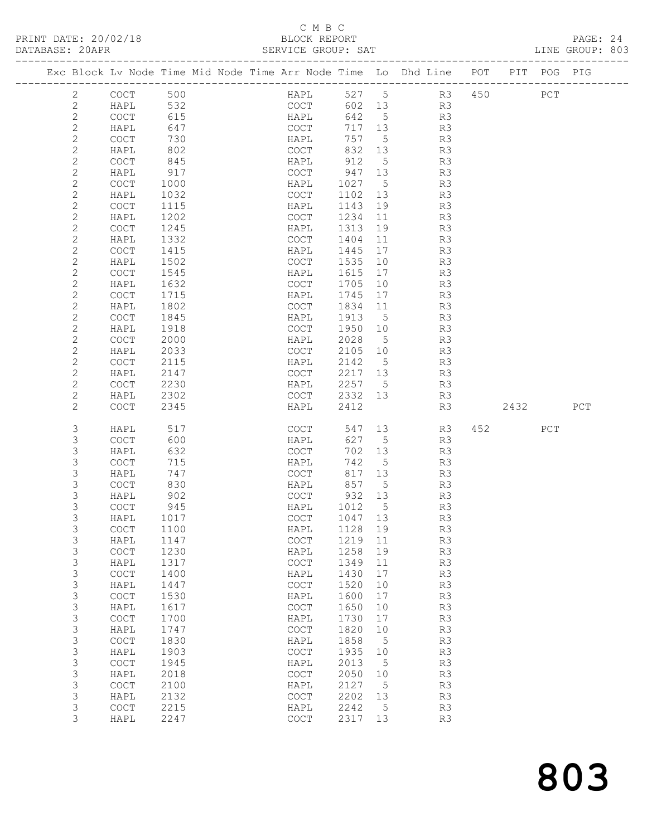### C M B C<br>BLOCK REPORT

| PRINT DATE: 20/02/18<br>DATABASE: 20APR |                                            |                 |  | BLOCK REPORT<br>SERVICE GROUP: SAT         | C M B C |              |      |                                                                                |          |     | PAGE: 24<br>LINE GROUP: 803 |  |
|-----------------------------------------|--------------------------------------------|-----------------|--|--------------------------------------------|---------|--------------|------|--------------------------------------------------------------------------------|----------|-----|-----------------------------|--|
|                                         |                                            |                 |  |                                            |         |              |      | Exc Block Lv Node Time Mid Node Time Arr Node Time Lo Dhd Line POT PIT POG PIG |          |     |                             |  |
| $\overline{2}$                          | COCT 500                                   |                 |  |                                            |         |              |      | HAPL 527 5 R3 450 PCT                                                          |          |     |                             |  |
| $\mathbf{2}$                            | HAPL 532                                   |                 |  |                                            |         |              |      | COCT 602 13 R3                                                                 |          |     |                             |  |
| $\mathbf{2}$                            | COCT                                       | 615             |  |                                            |         |              |      | HAPL 642 5 R3                                                                  |          |     |                             |  |
| $\mathbf{2}$                            | HAPL                                       | 647             |  | COCT<br>HAPL                               |         | 717 13       |      | R3<br>R3                                                                       |          |     |                             |  |
| $\mathbf{2}$                            | COCT                                       | $\frac{1}{730}$ |  |                                            |         | 757 5        |      |                                                                                |          |     |                             |  |
| $\mathbf{2}$                            | HAPL                                       | 802             |  | COCT                                       |         |              |      | 832 13 R3                                                                      |          |     |                             |  |
| $\mathbf{2}$                            | COCT                                       | 845             |  |                                            |         | HAPL 912 5   |      | R3                                                                             |          |     |                             |  |
| $\mathbf{2}$                            | HAPL                                       | 917             |  | COCT                                       |         | 947 13       |      | R3                                                                             |          |     |                             |  |
| $\mathbf{2}$                            | COCT                                       | 1000            |  | HAPL                                       |         | 1027 5       |      | R <sub>3</sub>                                                                 |          |     |                             |  |
| $\mathbf{2}$                            | HAPL                                       | 1032            |  |                                            |         |              |      | COCT 1102 13 R3                                                                |          |     |                             |  |
| $\mathbf{2}$                            | COCT                                       | 1115            |  | HAPL                                       |         | 1143 19      |      | R <sub>3</sub>                                                                 |          |     |                             |  |
| $\mathbf{2}$                            | HAPL                                       | 1202            |  | COCT                                       |         | 1234 11      |      | R3                                                                             |          |     |                             |  |
| $\mathbf{2}$                            | COCT                                       | 1245            |  | HAPL                                       |         | 1313 19      |      | R3                                                                             |          |     |                             |  |
| 2                                       | HAPL                                       | 1332            |  |                                            |         |              |      | COCT 1404 11 R3                                                                |          |     |                             |  |
| $\mathbf{2}$                            | COCT                                       | 1415            |  |                                            |         |              |      | HAPL 1445 17 R3                                                                |          |     |                             |  |
| $\mathbf{2}$                            | HAPL                                       | 1502            |  | COCT                                       |         | 1535 10      |      | R <sub>3</sub>                                                                 |          |     |                             |  |
| $\overline{c}$                          | COCT                                       | 1545            |  | HAPL                                       |         | 1615 17      |      | R3                                                                             |          |     |                             |  |
| $\overline{c}$                          | HAPL                                       | 1632            |  | COCT                                       |         | 1705 10      |      | R <sub>3</sub>                                                                 |          |     |                             |  |
| $\mathbf{2}$                            | COCT                                       | 1715            |  | HAPL                                       |         |              |      | 1745 17 R3                                                                     |          |     |                             |  |
| $\overline{c}$                          | HAPL                                       | 1802            |  | COCT                                       |         | 1834 11      |      | R3                                                                             |          |     |                             |  |
| $\overline{c}$                          | COCT                                       | 1845            |  | HAPL                                       |         | 1913 5       |      | R3                                                                             |          |     |                             |  |
| $\mathbf{2}$                            | HAPL                                       | 1918            |  |                                            |         | COCT 1950 10 |      | R <sub>3</sub>                                                                 |          |     |                             |  |
| $\mathbf{2}$                            | COCT                                       | 2000            |  | HAPL                                       |         |              |      | 2028 5 R3                                                                      |          |     |                             |  |
| $\mathbf{2}$                            | HAPL                                       | 2033            |  | COCT                                       |         | 2105 10      |      | R3                                                                             |          |     |                             |  |
| $\mathbf{2}$                            | COCT                                       | 2115            |  | HAPL                                       |         | 2142 5       |      | R3                                                                             |          |     |                             |  |
| $\mathbf{2}$                            | HAPL                                       | 2147            |  | COCT                                       |         | 2217 13      |      | R3                                                                             |          |     |                             |  |
| $\mathbf{2}$                            | COCT                                       | 2230            |  | HAPL                                       |         | 2257 5       |      | R3                                                                             |          |     |                             |  |
| $\overline{c}$                          | HAPL                                       | 2302            |  | COCT                                       |         |              |      | 2332 13 R3                                                                     |          |     |                             |  |
| $\overline{2}$                          | COCT                                       | 2345            |  | HAPL                                       |         | 2412         |      | R3                                                                             | 2432 PCT |     |                             |  |
| 3                                       | HAPL                                       | 517             |  | COCT                                       |         |              |      | 547 13 R3 452                                                                  |          | PCT |                             |  |
| 3                                       | COCT                                       | 600             |  | HAPL                                       |         | 627 5        |      | R3                                                                             |          |     |                             |  |
| 3                                       | HAPL                                       | 632             |  | COCT                                       |         | 702 13       |      | R3                                                                             |          |     |                             |  |
| 3                                       | COCT                                       | 715             |  | HAPL                                       |         | 742 5        |      | R3                                                                             |          |     |                             |  |
| 3                                       | HAPL                                       | 747             |  | COCT                                       |         | 817 13       |      | R3                                                                             |          |     |                             |  |
| 3                                       | COCT                                       | 830             |  | HAPL                                       |         | 857 5        |      | R <sub>3</sub>                                                                 |          |     |                             |  |
| 3                                       | HAPL                                       | 902             |  | COCT                                       |         | 932 13       |      | R3                                                                             |          |     |                             |  |
| 3                                       | COCT                                       | 945             |  | HAPL                                       |         | 1012         | 5    | R3                                                                             |          |     |                             |  |
| 3                                       | HAPL                                       | 1017            |  | $\mathtt{C}\mathtt{O}\mathtt{C}\mathtt{T}$ |         | 1047         | 13   | R3                                                                             |          |     |                             |  |
| 3                                       | COCT                                       | 1100            |  | HAPL                                       |         | 1128         | 19   | R3                                                                             |          |     |                             |  |
| 3                                       | HAPL                                       | 1147            |  | $\mathtt{C}\mathtt{O}\mathtt{C}\mathtt{T}$ |         | 1219         | 11   | R3                                                                             |          |     |                             |  |
| 3                                       | $\mathtt{C}\mathtt{O}\mathtt{C}\mathtt{T}$ | 1230            |  | HAPL                                       |         | 1258         | 19   | R3                                                                             |          |     |                             |  |
| 3                                       | HAPL                                       | 1317            |  | $\mathtt{C}\mathtt{O}\mathtt{C}\mathtt{T}$ |         | 1349         | $11$ | R3                                                                             |          |     |                             |  |
| 3                                       | COCT                                       | 1400            |  | HAPL                                       |         | 1430         | $17$ | R3                                                                             |          |     |                             |  |
| 3                                       | HAPL                                       | 1447            |  | $\mathtt{C}\mathtt{O}\mathtt{C}\mathtt{T}$ |         | 1520         | 10   | R3                                                                             |          |     |                             |  |
| 3                                       | COCT                                       | 1530            |  | HAPL                                       |         | 1600         | 17   | R3                                                                             |          |     |                             |  |
| 3                                       | HAPL                                       | 1617            |  | $\mathtt{C}\mathtt{O}\mathtt{C}\mathtt{T}$ |         | 1650         | 10   | R3                                                                             |          |     |                             |  |
| $\mathsf 3$                             | COCT                                       | 1700            |  | HAPL                                       |         | 1730         | 17   | R3                                                                             |          |     |                             |  |
| 3                                       | HAPL                                       | 1747            |  | $\mathtt{C}\mathtt{O}\mathtt{C}\mathtt{T}$ |         | 1820         | 10   | R3                                                                             |          |     |                             |  |
| 3                                       | $\mathtt{C}\mathtt{O}\mathtt{C}\mathtt{T}$ | 1830            |  | HAPL                                       |         | 1858         | 5    | R3                                                                             |          |     |                             |  |
| 3                                       | HAPL                                       | 1903            |  | COCT                                       |         | 1935         | 10   | R3                                                                             |          |     |                             |  |
| 3                                       | $\mathtt{C}\mathtt{O}\mathtt{C}\mathtt{T}$ | 1945            |  | HAPL                                       |         | 2013         | 5    | R3                                                                             |          |     |                             |  |
| 3                                       | HAPL                                       | 2018            |  | COCT                                       |         | 2050         | 10   | R3                                                                             |          |     |                             |  |
| $\mathsf 3$                             | $\mathtt{C}\mathtt{O}\mathtt{C}\mathtt{T}$ | 2100            |  | HAPL                                       |         | 2127         | 5    | R3                                                                             |          |     |                             |  |
| 3                                       | HAPL                                       | 2132            |  | COCT                                       |         | 2202         | 13   | R3                                                                             |          |     |                             |  |
| 3                                       | COCT                                       | 2215            |  | HAPL                                       |         | 2242         | 5    | R3                                                                             |          |     |                             |  |
| 3                                       | HAPL                                       | 2247            |  | COCT                                       |         | 2317         | 13   | R3                                                                             |          |     |                             |  |

803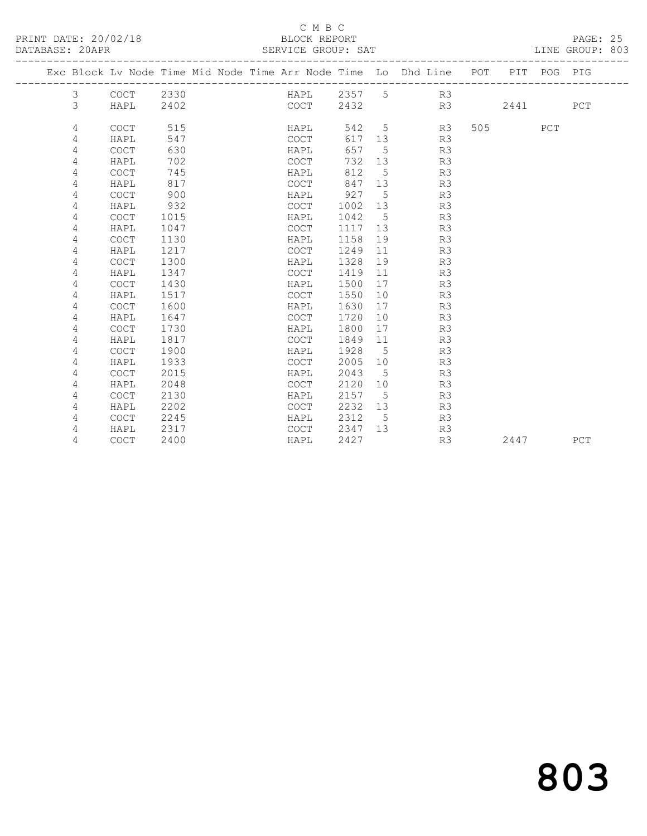PRINT DATE: 20/02/18 BLOCK REPORT<br>
DATABASE: 20APR<br>
SERVICE GROUP: SAT

### C M B C<br>BLOCK REPORT

PAGE: 25<br>LINE GROUP: 803

|   |             | Exc Block Lv Node Time Mid Node Time Arr Node Time Lo Dhd Line POT |  |             |             |             |    |    | PIT     | POG PIG |     |
|---|-------------|--------------------------------------------------------------------|--|-------------|-------------|-------------|----|----|---------|---------|-----|
| 3 | COCT        | 2330                                                               |  |             | HAPL 2357 5 |             | R3 |    |         |         |     |
| 3 | HAPL        | 2402                                                               |  | COCT        | 2432        |             |    | R3 | 2441    |         | PCT |
| 4 | <b>COCT</b> | 515                                                                |  | HAPL        | 542         | $5^{\circ}$ | R3 |    | 505 700 | PCT     |     |
| 4 | HAPL        | 547                                                                |  | COCT        | 617         | 13          | R3 |    |         |         |     |
| 4 | COCT        | 630                                                                |  | HAPL        | 657         | 5           | R3 |    |         |         |     |
| 4 | HAPL        | 702                                                                |  | COCT        | 732         | 13          | R3 |    |         |         |     |
| 4 | <b>COCT</b> | 745                                                                |  | HAPL        | 812         | 5           | R3 |    |         |         |     |
| 4 | HAPL        | 817                                                                |  | <b>COCT</b> | 847         | 13          | R3 |    |         |         |     |
| 4 | COCT        | 900                                                                |  | HAPL        | 927         | $5^{\circ}$ | R3 |    |         |         |     |
| 4 | HAPL        | 932                                                                |  | COCT        | 1002        | 13          | R3 |    |         |         |     |
| 4 | <b>COCT</b> | 1015                                                               |  | HAPL        | 1042        | $5^{\circ}$ | R3 |    |         |         |     |
| 4 | HAPL        | 1047                                                               |  | COCT        | 1117        | 13          | R3 |    |         |         |     |
| 4 | COCT        | 1130                                                               |  | HAPL        | 1158        | 19          | R3 |    |         |         |     |
| 4 | HAPL        | 1217                                                               |  | <b>COCT</b> | 1249        | 11          | R3 |    |         |         |     |
| 4 | <b>COCT</b> | 1300                                                               |  | HAPL        | 1328        | 19          | R3 |    |         |         |     |
| 4 | HAPL        | 1347                                                               |  | <b>COCT</b> | 1419        | 11          | R3 |    |         |         |     |
| 4 | <b>COCT</b> | 1430                                                               |  | HAPL        | 1500        | 17          | R3 |    |         |         |     |
| 4 | HAPL        | 1517                                                               |  | <b>COCT</b> | 1550        | 10          | R3 |    |         |         |     |
| 4 | <b>COCT</b> | 1600                                                               |  | HAPL        | 1630        | 17          | R3 |    |         |         |     |
| 4 | HAPL        | 1647                                                               |  | COCT        | 1720        | 10          | R3 |    |         |         |     |
| 4 | <b>COCT</b> | 1730                                                               |  | HAPL        | 1800        | 17          | R3 |    |         |         |     |
| 4 | HAPL        | 1817                                                               |  | <b>COCT</b> | 1849        | 11          | R3 |    |         |         |     |
| 4 | COCT        | 1900                                                               |  | HAPL        | 1928        | 5           | R3 |    |         |         |     |
| 4 | HAPL        | 1933                                                               |  | <b>COCT</b> | 2005        | 10          | R3 |    |         |         |     |
| 4 | <b>COCT</b> | 2015                                                               |  | HAPL        | 2043        | $5^{\circ}$ | R3 |    |         |         |     |
| 4 | HAPL        | 2048                                                               |  | <b>COCT</b> | 2120        | 10          | R3 |    |         |         |     |
| 4 | <b>COCT</b> | 2130                                                               |  | HAPL        | 2157        | $5^{\circ}$ | R3 |    |         |         |     |
| 4 | HAPL        | 2202                                                               |  | COCT        | 2232        | 13          | R3 |    |         |         |     |
| 4 | <b>COCT</b> | 2245                                                               |  | HAPL        | 2312        | $5^{\circ}$ | R3 |    |         |         |     |
| 4 | HAPL        | 2317                                                               |  | COCT        | 2347        | 13          | R3 |    |         |         |     |
| 4 | <b>COCT</b> | 2400                                                               |  | HAPL        | 2427        |             | R3 |    | 2447    |         | PCT |